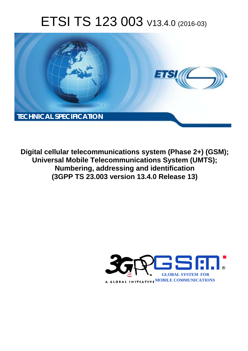# ETSI TS 123 003 V13.4.0 (2016-03)



**Digital cellular telecommunications system (Phase 2+) (GSM); Universal Mobile Tel elecommunications System ( (UMTS); Numbering, addressing and identification (3GPP TS 23.0 .003 version 13.4.0 Release 13 13)** 

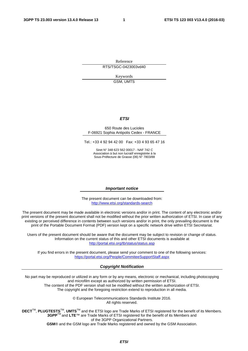Reference RTS/TSGC-0423003vd40

> Keywords GSM, UMTS

#### *ETSI*

#### 650 Route des Lucioles F-06921 Sophia Antipolis Cedex - FRANCE

Tel.: +33 4 92 94 42 00 Fax: +33 4 93 65 47 16

Siret N° 348 623 562 00017 - NAF 742 C Association à but non lucratif enregistrée à la Sous-Préfecture de Grasse (06) N° 7803/88

#### *Important notice*

The present document can be downloaded from: <http://www.etsi.org/standards-search>

The present document may be made available in electronic versions and/or in print. The content of any electronic and/or print versions of the present document shall not be modified without the prior written authorization of ETSI. In case of any existing or perceived difference in contents between such versions and/or in print, the only prevailing document is the print of the Portable Document Format (PDF) version kept on a specific network drive within ETSI Secretariat.

Users of the present document should be aware that the document may be subject to revision or change of status. Information on the current status of this and other ETSI documents is available at <http://portal.etsi.org/tb/status/status.asp>

If you find errors in the present document, please send your comment to one of the following services: <https://portal.etsi.org/People/CommiteeSupportStaff.aspx>

#### *Copyright Notification*

No part may be reproduced or utilized in any form or by any means, electronic or mechanical, including photocopying and microfilm except as authorized by written permission of ETSI.

The content of the PDF version shall not be modified without the written authorization of ETSI. The copyright and the foregoing restriction extend to reproduction in all media.

> © European Telecommunications Standards Institute 2016. All rights reserved.

**DECT**TM, **PLUGTESTS**TM, **UMTS**TM and the ETSI logo are Trade Marks of ETSI registered for the benefit of its Members. **3GPP**TM and **LTE**™ are Trade Marks of ETSI registered for the benefit of its Members and of the 3GPP Organizational Partners.

**GSM**® and the GSM logo are Trade Marks registered and owned by the GSM Association.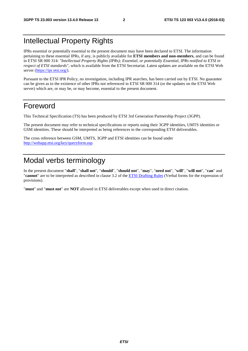## Intellectual Property Rights

IPRs essential or potentially essential to the present document may have been declared to ETSI. The information pertaining to these essential IPRs, if any, is publicly available for **ETSI members and non-members**, and can be found in ETSI SR 000 314: *"Intellectual Property Rights (IPRs); Essential, or potentially Essential, IPRs notified to ETSI in respect of ETSI standards"*, which is available from the ETSI Secretariat. Latest updates are available on the ETSI Web server ([https://ipr.etsi.org/\)](https://ipr.etsi.org/).

Pursuant to the ETSI IPR Policy, no investigation, including IPR searches, has been carried out by ETSI. No guarantee can be given as to the existence of other IPRs not referenced in ETSI SR 000 314 (or the updates on the ETSI Web server) which are, or may be, or may become, essential to the present document.

## Foreword

This Technical Specification (TS) has been produced by ETSI 3rd Generation Partnership Project (3GPP).

The present document may refer to technical specifications or reports using their 3GPP identities, UMTS identities or GSM identities. These should be interpreted as being references to the corresponding ETSI deliverables.

The cross reference between GSM, UMTS, 3GPP and ETSI identities can be found under [http://webapp.etsi.org/key/queryform.asp.](http://webapp.etsi.org/key/queryform.asp)

## Modal verbs terminology

In the present document "**shall**", "**shall not**", "**should**", "**should not**", "**may**", "**need not**", "**will**", "**will not**", "**can**" and "**cannot**" are to be interpreted as described in clause 3.2 of the [ETSI Drafting Rules](http://portal.etsi.org/Help/editHelp!/Howtostart/ETSIDraftingRules.aspx) (Verbal forms for the expression of provisions).

"**must**" and "**must not**" are **NOT** allowed in ETSI deliverables except when used in direct citation.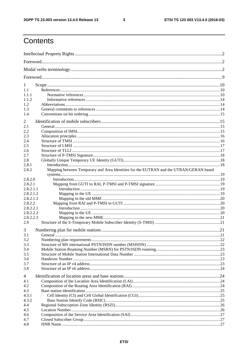$\mathbf{3}$ 

## Contents

| 1              |                                                                                        |  |
|----------------|----------------------------------------------------------------------------------------|--|
| 1.1            |                                                                                        |  |
| 1.1.1          |                                                                                        |  |
| 1.1.2          |                                                                                        |  |
| 1.2            |                                                                                        |  |
| 1.3            |                                                                                        |  |
| 1.4            |                                                                                        |  |
| 2              |                                                                                        |  |
| 2.1            |                                                                                        |  |
| 2.2            |                                                                                        |  |
| 2.3            |                                                                                        |  |
| 2.4            |                                                                                        |  |
| 2.5<br>2.6     |                                                                                        |  |
| 2.7            |                                                                                        |  |
| 2.8            |                                                                                        |  |
| 2.8.1          |                                                                                        |  |
| 2.8.2          | Mapping between Temporary and Area Identities for the EUTRAN and the UTRAN/GERAN based |  |
| 2.8.2.0        |                                                                                        |  |
| 2.8.2.1        |                                                                                        |  |
| 2.8.2.1.1      |                                                                                        |  |
| 2.8.2.1.2      |                                                                                        |  |
| 2.8.2.1.3      |                                                                                        |  |
| 2.8.2.2        |                                                                                        |  |
| 2.8.2.2.1      |                                                                                        |  |
| 2.8.2.2.2      |                                                                                        |  |
| 2.8.2.2.3      |                                                                                        |  |
| 2.9            |                                                                                        |  |
| 3              |                                                                                        |  |
| 3.1            |                                                                                        |  |
| 3.2            |                                                                                        |  |
| 3.3<br>3.4     |                                                                                        |  |
| 3.5            |                                                                                        |  |
| 3.6            |                                                                                        |  |
| 3.7            |                                                                                        |  |
| 3.8            |                                                                                        |  |
| $\overline{4}$ |                                                                                        |  |
| 4.1            |                                                                                        |  |
| 4.2            |                                                                                        |  |
| 4.3            |                                                                                        |  |
| 4.3.1          |                                                                                        |  |
| 4.3.2          |                                                                                        |  |
| 4.4            |                                                                                        |  |
| 4.5            |                                                                                        |  |
| 4.6            |                                                                                        |  |
| 4.7            |                                                                                        |  |
| 4.8            |                                                                                        |  |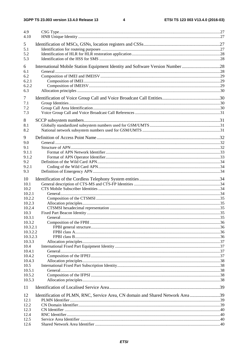| 4.9<br>4.10        |                                                                                 |  |
|--------------------|---------------------------------------------------------------------------------|--|
| 5<br>5.1<br>5.2    |                                                                                 |  |
| 5.3                |                                                                                 |  |
| 6<br>6.1           | International Mobile Station Equipment Identity and Software Version Number 28  |  |
| 6.2                |                                                                                 |  |
| 6.2.1              |                                                                                 |  |
| 6.2.2              |                                                                                 |  |
| 6.3                |                                                                                 |  |
| 7                  |                                                                                 |  |
| 7.1                |                                                                                 |  |
| 7.2<br>7.3         |                                                                                 |  |
|                    |                                                                                 |  |
| 8                  |                                                                                 |  |
| 8.1<br>8.2         |                                                                                 |  |
|                    |                                                                                 |  |
| 9                  |                                                                                 |  |
| 9.0<br>9.1         |                                                                                 |  |
| 9.1.1              |                                                                                 |  |
| 9.1.2              |                                                                                 |  |
| 9.2                |                                                                                 |  |
| 9.2.1<br>9.3       |                                                                                 |  |
|                    |                                                                                 |  |
| 10                 |                                                                                 |  |
| 10.1<br>10.2       |                                                                                 |  |
| 10.2.1             |                                                                                 |  |
| 10.2.2             |                                                                                 |  |
| 10.2.3             |                                                                                 |  |
| 10.2.4             |                                                                                 |  |
| 10.3<br>10.3.1     |                                                                                 |  |
| 10.3.2             |                                                                                 |  |
| 10.3.2.1           |                                                                                 |  |
| 10.3.2.2           |                                                                                 |  |
| 10.3.2.3<br>10.3.3 |                                                                                 |  |
| 10.4               |                                                                                 |  |
| 10.4.1             |                                                                                 |  |
| 10.4.2             |                                                                                 |  |
| 10.4.3             |                                                                                 |  |
| 10.5<br>10.5.1     |                                                                                 |  |
| 10.5.2             |                                                                                 |  |
| 10.5.3             |                                                                                 |  |
| 11                 |                                                                                 |  |
| 12                 | Identification of PLMN, RNC, Service Area, CN domain and Shared Network Area 39 |  |
| 12.1               |                                                                                 |  |
| 12.2<br>12.3       |                                                                                 |  |
| 12.4               |                                                                                 |  |
| 12.5               |                                                                                 |  |
| 12.6               |                                                                                 |  |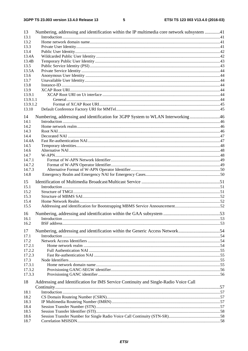| 13           | Numbering, addressing and identification within the IP multimedia core network subsystem 41 |  |
|--------------|---------------------------------------------------------------------------------------------|--|
| 13.1         |                                                                                             |  |
| 13.2         |                                                                                             |  |
| 13.3         |                                                                                             |  |
| 13.4         |                                                                                             |  |
| 13.4A        |                                                                                             |  |
| 13.4B        |                                                                                             |  |
| 13.5         |                                                                                             |  |
| 13.5A        |                                                                                             |  |
| 13.6         |                                                                                             |  |
| 13.7         |                                                                                             |  |
| 13.8         |                                                                                             |  |
| 13.9         |                                                                                             |  |
| 13.9.1       |                                                                                             |  |
| 13.9.1.1     |                                                                                             |  |
| 13.9.1.2     |                                                                                             |  |
| 13.10        |                                                                                             |  |
|              |                                                                                             |  |
| 14           | Numbering, addressing and identification for 3GPP System to WLAN Interworking46             |  |
| 14.1         |                                                                                             |  |
| 14.2         |                                                                                             |  |
| 14.3         |                                                                                             |  |
| 14.4         |                                                                                             |  |
| 14.4A        |                                                                                             |  |
| 14.5         |                                                                                             |  |
| 14.6         |                                                                                             |  |
| 14.7         |                                                                                             |  |
| 14.7.1       |                                                                                             |  |
| 14.7.2       |                                                                                             |  |
| 14.7.3       |                                                                                             |  |
| 14.8         |                                                                                             |  |
| 15           |                                                                                             |  |
| 15.1         |                                                                                             |  |
| 15.2         |                                                                                             |  |
| 15.3         |                                                                                             |  |
| 15.4         |                                                                                             |  |
| 15.5         |                                                                                             |  |
| 16           |                                                                                             |  |
| 16.1         |                                                                                             |  |
| 16.2         |                                                                                             |  |
|              |                                                                                             |  |
| 17           | Numbering, addressing and identification within the Generic Access Network54                |  |
| 17.1         |                                                                                             |  |
| 17.2         |                                                                                             |  |
| 17.2.1       |                                                                                             |  |
| 17.2.2       |                                                                                             |  |
| 17.2.3       |                                                                                             |  |
| 17.3         |                                                                                             |  |
| 17.3.1       |                                                                                             |  |
| 17.3.2       |                                                                                             |  |
| 17.3.3       |                                                                                             |  |
| 18           | Addressing and Identification for IMS Service Continuity and Single-Radio Voice Call        |  |
|              |                                                                                             |  |
|              |                                                                                             |  |
| 18.1         |                                                                                             |  |
| 18.2         |                                                                                             |  |
| 18.3<br>18.4 |                                                                                             |  |
| 18.5         |                                                                                             |  |
| 18.6         |                                                                                             |  |
| 18.7         |                                                                                             |  |
|              |                                                                                             |  |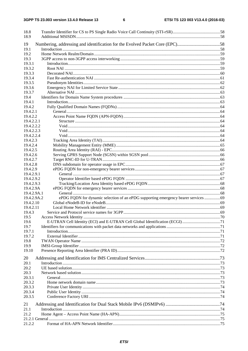| 18.8<br>18.9                                                                                      |  |
|---------------------------------------------------------------------------------------------------|--|
| Numbering, addressing and identification for the Evolved Packet Core (EPC)58<br>19<br>19.1        |  |
| 19.2                                                                                              |  |
| 19.3                                                                                              |  |
| 19.3.1                                                                                            |  |
| 19.3.2                                                                                            |  |
| 19.3.3                                                                                            |  |
| 19.3.4                                                                                            |  |
| 19.3.5                                                                                            |  |
| 19.3.6                                                                                            |  |
| 19.3.7                                                                                            |  |
| 19.4                                                                                              |  |
| 19.4.1                                                                                            |  |
| 19.4.2                                                                                            |  |
| 19.4.2.1                                                                                          |  |
| 19.4.2.2                                                                                          |  |
| 19.4.2.2.1                                                                                        |  |
| 19.4.2.2.2                                                                                        |  |
| 19.4.2.2.3                                                                                        |  |
| 19.4.2.2.4<br>19.4.2.3                                                                            |  |
| 19.4.2.4                                                                                          |  |
| 19.4.2.5                                                                                          |  |
| 19.4.2.6                                                                                          |  |
| 19.4.2.7                                                                                          |  |
| 19.4.2.8                                                                                          |  |
| 19.4.2.9                                                                                          |  |
| 19.4.2.9.1                                                                                        |  |
| 19.4.2.9.2                                                                                        |  |
| 19.4.2.9.3                                                                                        |  |
| 19.4.2.9A                                                                                         |  |
| 19.4.2.9A.1                                                                                       |  |
| ePDG FQDN for dynamic selection of an ePDG supporting emergency bearer services 69<br>19.4.2.9A.2 |  |
| 19.4.2.10                                                                                         |  |
| 19.4.2.11                                                                                         |  |
| 19.4.3                                                                                            |  |
| 19.5                                                                                              |  |
| 19.6                                                                                              |  |
| 19.7                                                                                              |  |
| 19.7.1                                                                                            |  |
| 19.7.2<br>19.8                                                                                    |  |
| 19.9                                                                                              |  |
| 19.10                                                                                             |  |
|                                                                                                   |  |
| 20                                                                                                |  |
| 20.1                                                                                              |  |
| 20.2                                                                                              |  |
| 20.3                                                                                              |  |
| 20.3.1                                                                                            |  |
| 20.3.2                                                                                            |  |
| 20.3.3                                                                                            |  |
| 20.3.4                                                                                            |  |
| 20.3.5                                                                                            |  |
| 21                                                                                                |  |
| 21.1                                                                                              |  |
| 21.2                                                                                              |  |
|                                                                                                   |  |
| 21.2.2                                                                                            |  |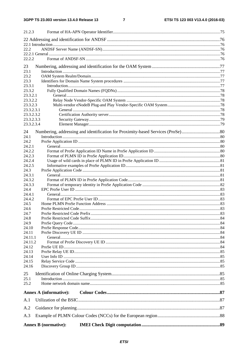#### $\overline{7}$

| 21.2.3                   |                               |  |
|--------------------------|-------------------------------|--|
|                          |                               |  |
|                          |                               |  |
| 22.2                     |                               |  |
|                          |                               |  |
| 22.2.2                   |                               |  |
| 23                       |                               |  |
| 23.1                     |                               |  |
| 23.2                     |                               |  |
| 23.3                     |                               |  |
| 23.3.1<br>23.3.2         |                               |  |
| 23.3.2.1                 |                               |  |
| 23.3.2.2                 |                               |  |
| 23.3.2.3                 |                               |  |
| 23.3.2.3.1               |                               |  |
| 23.3.2.3.2               |                               |  |
| 23.3.2.3.3<br>23.3.2.3.4 |                               |  |
|                          |                               |  |
| 24                       |                               |  |
| 24.1                     |                               |  |
| 24.2<br>24.2.1           |                               |  |
| 24.2.2                   |                               |  |
| 24.2.3                   |                               |  |
| 24.2.4                   |                               |  |
| 24.2.5                   |                               |  |
| 24.3                     |                               |  |
| 24.3.1<br>24.3.2         |                               |  |
| 24.3.3                   |                               |  |
| 24.4                     |                               |  |
| 24.4.1                   |                               |  |
| 24.4.2                   |                               |  |
| 24.5                     |                               |  |
| 24.6<br>24.7             |                               |  |
| 24.8                     |                               |  |
| 24.9                     |                               |  |
| 24.10                    |                               |  |
| 24.11                    |                               |  |
| 24.11.1                  |                               |  |
| 24.11.2                  |                               |  |
| 24.12<br>24.13           |                               |  |
| 24.14                    |                               |  |
| 24.15                    |                               |  |
| 24.16                    |                               |  |
| 25                       |                               |  |
| 25.1                     |                               |  |
| 25.2                     |                               |  |
|                          | <b>Annex A (informative):</b> |  |
| A.1                      |                               |  |
| A.2                      |                               |  |
| A.3                      |                               |  |
|                          |                               |  |
|                          | <b>Annex B</b> (normative):   |  |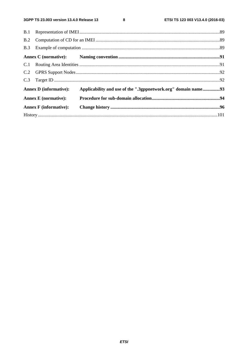$\bf8$ 

| <b>Annex D</b> (informative): | Applicability and use of the ".3gppnetwork.org" domain name93 |  |
|-------------------------------|---------------------------------------------------------------|--|
| <b>Annex E</b> (normative):   |                                                               |  |
| <b>Annex F</b> (informative): |                                                               |  |
|                               |                                                               |  |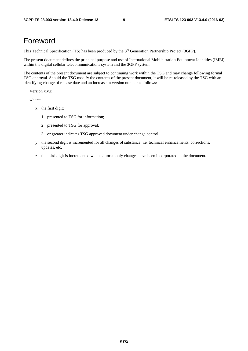## Foreword

This Technical Specification (TS) has been produced by the 3<sup>rd</sup> Generation Partnership Project (3GPP).

The present document defines the principal purpose and use of International Mobile station Equipment Identities (IMEI) within the digital cellular telecommunications system and the 3GPP system.

The contents of the present document are subject to continuing work within the TSG and may change following formal TSG approval. Should the TSG modify the contents of the present document, it will be re-released by the TSG with an identifying change of release date and an increase in version number as follows:

Version x.y.z

where:

- x the first digit:
	- 1 presented to TSG for information;
	- 2 presented to TSG for approval;
	- 3 or greater indicates TSG approved document under change control.
- y the second digit is incremented for all changes of substance, i.e. technical enhancements, corrections, updates, etc.
- z the third digit is incremented when editorial only changes have been incorporated in the document.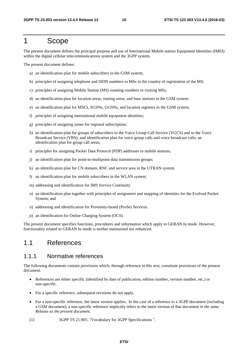## 1 Scope

The present document defines the principal purpose and use of International Mobile station Equipment Identities (IMEI) within the digital cellular telecommunications system and the 3GPP system.

The present document defines:

- a) an identification plan for mobile subscribers in the GSM system;
- b) principles of assigning telephone and ISDN numbers to MSs in the country of registration of the MS;
- c) principles of assigning Mobile Station (MS) roaming numbers to visiting MSs;
- d) an identification plan for location areas, routing areas, and base stations in the GSM system;
- e) an identification plan for MSCs, SGSNs, GGSNs, and location registers in the GSM system;
- f) principles of assigning international mobile equipment identities;
- g) principles of assigning zones for regional subscription;
- h) an identification plan for groups of subscribers to the Voice Group Call Service (VGCS) and to the Voice Broadcast Service (VBS); and identification plan for voice group calls and voice broadcast calls; an identification plan for group call areas;
- i) principles for assigning Packet Data Protocol (PDP) addresses to mobile stations;
- j) an identification plan for point-to-multipoint data transmission groups;
- k) an identification plan for CN domain, RNC and service area in the UTRAN system.
- l) an identification plan for mobile subscribers in the WLAN system.
- m) addressing and identification for IMS Service Continuity
- n) an identification plan together with principles of assignment and mapping of identities for the Evolved Packet System; and
- o) addressing and identification for Proximity-based (ProSe) Services.
- p) an identification for Online Charging System (OCS).

The present document specifies functions, procedures and information which apply to GERAN Iu mode. However, functionality related to GERAN Iu mode is neither maintained nor enhanced.

#### 1.1 References

#### 1.1.1 Normative references

The following documents contain provisions which, through reference in this text, constitute provisions of the present document.

- References are either specific (identified by date of publication, edition number, version number, etc.) or non-specific.
- For a specific reference, subsequent revisions do not apply.
- For a non-specific reference, the latest version applies. In the case of a reference to a 3GPP document (including a GSM document), a non-specific reference implicitly refers to the latest version of that document *in the same Release as the present document*.
- [1] 3GPP TS 21.905: "Vocabulary for 3GPP Specifications ".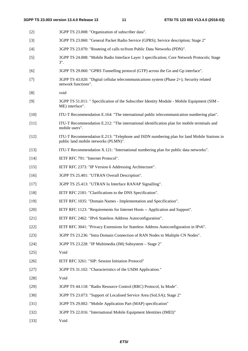| $[2]$  | 3GPP TS 23.008: "Organization of subscriber data".                                                                                 |
|--------|------------------------------------------------------------------------------------------------------------------------------------|
| $[3]$  | 3GPP TS 23.060: "General Packet Radio Service (GPRS); Service description; Stage 2"                                                |
| $[4]$  | 3GPP TS 23.070: "Routeing of calls to/from Public Data Networks (PDN)".                                                            |
| $[5]$  | 3GPP TS 24.008: "Mobile Radio Interface Layer 3 specification; Core Network Protocols; Stage<br>$3$ ".                             |
| [6]    | 3GPP TS 29.060: "GPRS Tunnelling protocol (GTP) across the Gn and Gp interface".                                                   |
| $[7]$  | 3GPP TS 43.020: "Digital cellular telecommunications system (Phase 2+); Security related<br>network functions".                    |
| [8]    | void                                                                                                                               |
| [9]    | 3GPP TS 51.011: " Specification of the Subscriber Identity Module - Mobile Equipment (SIM -<br>ME) interface".                     |
| $[10]$ | ITU-T Recommendation E.164: "The international public telecommunication numbering plan".                                           |
| $[11]$ | ITU-T Recommendation E.212: "The international identification plan for mobile terminals and<br>mobile users".                      |
| $[12]$ | ITU-T Recommendation E.213: "Telephone and ISDN numbering plan for land Mobile Stations in<br>public land mobile networks (PLMN)". |
| $[13]$ | ITU-T Recommendation X.121: "International numbering plan for public data networks".                                               |
| $[14]$ | IETF RFC 791: "Internet Protocol".                                                                                                 |
| $[15]$ | IETF RFC 2373: "IP Version 6 Addressing Architecture".                                                                             |
| $[16]$ | 3GPP TS 25.401: "UTRAN Overall Description".                                                                                       |
| $[17]$ | 3GPP TS 25.413: "UTRAN Iu Interface RANAP Signalling".                                                                             |
| $[18]$ | IETF RFC 2181: "Clarifications to the DNS Specification".                                                                          |
| $[19]$ | IETF RFC 1035: "Domain Names - Implementation and Specification".                                                                  |
| $[20]$ | IETF RFC 1123: "Requirements for Internet Hosts -- Application and Support".                                                       |
| $[21]$ | IETF RFC 2462: "IPv6 Stateless Address Autoconfiguration".                                                                         |
| $[22]$ | IETF RFC 3041: "Privacy Extensions for Stateless Address Autoconfiguration in IPv6".                                               |
| $[23]$ | 3GPP TS 23.236: "Intra Domain Connection of RAN Nodes to Multiple CN Nodes".                                                       |
| $[24]$ | 3GPP TS 23.228: "IP Multimedia (IM) Subsystem - Stage 2"                                                                           |
| $[25]$ | Void                                                                                                                               |
| $[26]$ | IETF RFC 3261: "SIP: Session Initiation Protocol"                                                                                  |
| $[27]$ | 3GPP TS 31.102: "Characteristics of the USIM Application."                                                                         |
| $[28]$ | Void                                                                                                                               |
| $[29]$ | 3GPP TS 44.118: "Radio Resource Control (RRC) Protocol, Iu Mode".                                                                  |
| $[30]$ | 3GPP TS 23.073: "Support of Localised Service Area (SoLSA); Stage 2"                                                               |
| $[31]$ | 3GPP TS 29.002: "Mobile Application Part (MAP) specification"                                                                      |
| $[32]$ | 3GPP TS 22.016: "International Mobile Equipment Identities (IMEI)"                                                                 |
| $[33]$ | Void                                                                                                                               |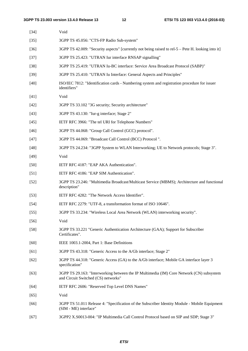| $[34]$ | Void                                                                                                                            |
|--------|---------------------------------------------------------------------------------------------------------------------------------|
| $[35]$ | 3GPP TS 45.056: "CTS-FP Radio Sub-system"                                                                                       |
| $[36]$ | 3GPP TS 42.009: "Security aspects" [currently not being raised to rel-5 – Pete H. looking into it]                              |
| $[37]$ | 3GPP TS 25.423: "UTRAN Iur interface RNSAP signalling"                                                                          |
| $[38]$ | 3GPP TS 25.419: "UTRAN Iu-BC interface: Service Area Broadcast Protocol (SABP)"                                                 |
| $[39]$ | 3GPP TS 25.410: "UTRAN Iu Interface: General Aspects and Principles"                                                            |
| $[40]$ | ISO/IEC 7812: "Identification cards - Numbering system and registration procedure for issuer<br>identifiers"                    |
| $[41]$ | Void                                                                                                                            |
| $[42]$ | 3GPP TS 33.102 "3G security; Security architecture"                                                                             |
| $[43]$ | 3GPP TS 43.130: "Iur-g interface; Stage 2"                                                                                      |
| $[45]$ | IETF RFC 3966: "The tel URI for Telephone Numbers"                                                                              |
| $[46]$ | 3GPP TS 44.068: "Group Call Control (GCC) protocol".                                                                            |
| $[47]$ | 3GPP TS 44.069: "Broadcast Call Control (BCC) Protocol".                                                                        |
| $[48]$ | 3GPP TS 24.234: "3GPP System to WLAN Interworking; UE to Network protocols; Stage 3".                                           |
| $[49]$ | Void                                                                                                                            |
| $[50]$ | IETF RFC 4187: "EAP AKA Authentication".                                                                                        |
| $[51]$ | IETF RFC 4186: "EAP SIM Authentication".                                                                                        |
| $[52]$ | 3GPP TS 23.246: "Multimedia Broadcast/Multicast Service (MBMS); Architecture and functional<br>description"                     |
| $[53]$ | IETF RFC 4282: "The Network Access Identifier".                                                                                 |
| $[54]$ | IETF RFC 2279: "UTF-8, a transformation format of ISO 10646".                                                                   |
| $[55]$ | 3GPP TS 33.234: "Wireless Local Area Network (WLAN) interworking security".                                                     |
| $[56]$ | Void                                                                                                                            |
| $[58]$ | 3GPP TS 33.221 "Generic Authentication Architecture (GAA); Support for Subscriber<br>Certificates".                             |
| $[60]$ | IEEE 1003.1-2004, Part 1: Base Definitions                                                                                      |
| [61]   | 3GPP TS 43.318: "Generic Access to the A/Gb interface; Stage 2"                                                                 |
| $[62]$ | 3GPP TS 44.318: "Generic Access (GA) to the A/Gb interface; Mobile GA interface layer 3<br>specification"                       |
| $[63]$ | 3GPP TS 29.163: "Interworking between the IP Multimedia (IM) Core Network (CN) subsystem<br>and Circuit Switched (CS) networks" |
| [64]   | IETF RFC 2606: "Reserved Top Level DNS Names"                                                                                   |
| $[65]$ | Void                                                                                                                            |
| [66]   | 3GPP TS 51.011 Release 4: "Specification of the Subscriber Identity Module - Mobile Equipment<br>(SIM - ME) interface"          |
| $[67]$ | 3GPP2 X.S0013-004: "IP Multimedia Call Control Protocol based on SIP and SDP; Stage 3"                                          |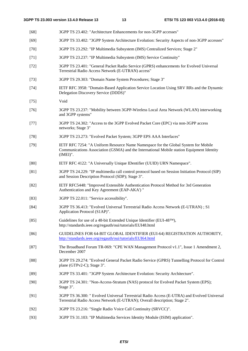- [68] 3GPP TS 23.402: "Architecture Enhancements for non-3GPP accesses" [69] 3GPP TS 33.402: "3GPP System Architecture Evolution: Security Aspects of non-3GPP accesses" [70] 3GPP TS 23.292: "IP Multimedia Subsystem (IMS) Centralized Services; Stage 2" [71] 3GPP TS 23.237: "IP Multimedia Subsystem (IMS) Service Continuity" [72] 3GPP TS 23.401: "General Packet Radio Service (GPRS) enhancements for Evolved Universal Terrestrial Radio Access Network (E-UTRAN) access" [73] 3GPP TS 29.303: "Domain Name System Procedures; Stage 3" [74] IETF RFC 3958: "Domain-Based Application Service Location Using SRV RRs and the Dynamic Delegation Discovery Service (DDDS)" [75] Void [76] 3GPP TS 23.237: "Mobility between 3GPP-Wireless Local Area Network (WLAN) interworking and 3GPP systems" [77] 3GPP TS 24.302: "Access to the 3GPP Evolved Packet Core (EPC) via non-3GPP access networks; Stage 3" [78] 3GPP TS 23.273: "Evolved Packet System; 3GPP EPS AAA Interfaces" [79] IETF RFC 7254: "A Uniform Resource Name Namespace for the Global System for Mobile Communications Association (GSMA) and the International Mobile station Equipment Identity (IMEI)". [80] IETF RFC 4122: "A Universally Unique IDentifier (UUID) URN Namespace". [81] 3GPP TS 24.229: "IP multimedia call control protocol based on Session Initiation Protocol (SIP) and Session Description Protocol (SDP); Stage 3". [82] IETF RFC5448: "Improved Extensible Authentication Protocol Method for 3rd Generation Authentication and Key Agreement (EAP-AKA') " [83] 3GPP TS 22.011: "Service accessibility". [84] 3GPP TS 36.413: "Evolved Universal Terrestrial Radio Access Network (E-UTRAN) ; S1 Application Protocol (S1AP)". [85] Guidelines for use of a 48-bit Extended Unique Identifier (EUI-48™), http://standards.ieee.org/regauth/oui/tutorials/EUI48.html [86] GUIDELINES FOR 64-BIT GLOBAL IDENTIFIER (EUI-64) REGISTRATION AUTHORITY, <http://standards.ieee.org/regauth/oui/tutorials/EUI64.html> [87] The Broadband Forum TR-069: "CPE WAN Management Protocol v1.1", Issue 1 Amendment 2, December 2007 [88] 3GPP TS 29.274: "Evolved General Packet Radio Service (GPRS) Tunnelling Protocol for Control plane (GTPv2-C); Stage 3". [89] 3GPP TS 33.401: "3GPP System Architecture Evolution: Security Architecture". [90] 3GPP TS 24.301: "Non-Access-Stratum (NAS) protocol for Evolved Packet System (EPS); Stage 3". [91] 3GPP TS 36.300: " Evolved Universal Terrestrial Radio Access (E-UTRA) and Evolved Universal Terrestrial Radio Access Network (E-UTRAN); Overall description; Stage 2". [92] 3GPP TS 23.216: "Single Radio Voice Call Continuity (SRVCC)".
- [93] 3GPP TS 31.103: "IP Multimedia Services Identity Module (ISIM) application".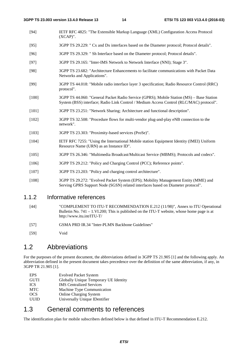- [94] IETF RFC 4825: "The Extensible Markup Language (XML) Configuration Access Protocol (XCAP)".
- [95] 3GPP TS 29.229: " Cx and Dx interfaces based on the Diameter protocol; Protocol details".
- [96] 3GPP TS 29.329: " Sh Interface based on the Diameter protocol; Protocol details".
- [97] 3GPP TS 29.165: "Inter-IMS Network to Network Interface (NNI); Stage 3".
- [98] 3GPP TS 23.682: "Architecture Enhancements to facilitate communications with Packet Data Networks and Applications".
- [99] 3GPP TS 44.018: "Mobile radio interface layer 3 specification; Radio Resource Control (RRC) protocol".
- [100] 3GPP TS 44.060: "General Packet Radio Service (GPRS); Mobile Station (MS) Base Station System (BSS) interface; Radio Link Control / Medium Access Control (RLC/MAC) protocol".
- [101] 3GPP TS 23.251: "Network Sharing; Architecture and functional description".
- [102] 3GPP TS 32.508: "Procedure flows for multi-vendor plug-and-play eNB connection to the network".
- [103] 3GPP TS 23.303: "Proximity-based services (ProSe)".
- [104] IETF RFC 7255: "Using the International Mobile station Equipment Identity (IMEI) Uniform Resource Name (URN) as an Instance ID".
- [105] 3GPP TS 26.346: "Multimedia Broadcast/Multicast Service (MBMS); Protocols and codecs".
- [106] 3GPP TS 29.212: "Policy and Charging Control (PCC); Reference points".
- [107] 3GPP TS 23.203: "Policy and charging control architecture".
- [108] 3GPP TS 29.272: "Evolved Packet System (EPS); Mobility Management Entity (MME) and Serving GPRS Support Node (SGSN) related interfaces based on Diameter protocol".

#### 1.1.2 Informative references

- [44] "COMPLEMENT TO ITU-T RECOMMENDATION E.212 (11/98)", Annex to ITU Operational Bulletin No. 741 – 1.VI.200; This is published on the ITU-T website, whose home page is at http://www.itu.int/ITU-T/
- [57] GSMA PRD IR.34 "Inter-PLMN Backbone Guidelines"
- [59] Void

### 1.2 Abbreviations

For the purposes of the present document, the abbreviations defined in 3GPP TS 21.905 [1] and the following apply. An abbreviation defined in the present document takes precedence over the definition of the same abbreviation, if any, in 3GPP TR 21.905 [1].

EPS Evolved Packet System GUTI Globally Unique Temporary UE Identity<br>
ICS IMS Centralized Services **IMS** Centralized Services MTC Machine Type Communication OCS Online Charging System<br>
ULIID Universally Unique IDen Universally Unique IDentifier

### 1.3 General comments to references

The identification plan for mobile subscribers defined below is that defined in ITU-T Recommendation E.212.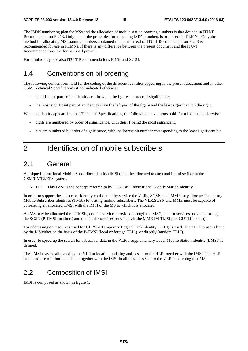The ISDN numbering plan for MSs and the allocation of mobile station roaming numbers is that defined in ITU-T Recommendation E.213. Only one of the principles for allocating ISDN numbers is proposed for PLMNs. Only the method for allocating MS roaming numbers contained in the main text of ITU-T Recommendation E.213 is recommended for use in PLMNs. If there is any difference between the present document and the ITU-T Recommendations, the former shall prevail.

For terminology, see also ITU-T Recommendations E.164 and X.121.

## 1.4 Conventions on bit ordering

The following conventions hold for the coding of the different identities appearing in the present document and in other GSM Technical Specifications if not indicated otherwise:

- the different parts of an identity are shown in the figures in order of significance;
- the most significant part of an identity is on the left part of the figure and the least significant on the right.

When an identity appears in other Technical Specifications, the following conventions hold if not indicated otherwise:

- digits are numbered by order of significance, with digit 1 being the most significant;
- bits are numbered by order of significance, with the lowest bit number corresponding to the least significant bit.

## 2 Identification of mobile subscribers

### 2.1 General

A unique International Mobile Subscriber Identity (IMSI) shall be allocated to each mobile subscriber in the GSM/UMTS/EPS system.

NOTE: This IMSI is the concept referred to by ITU-T as "International Mobile Station Identity".

In order to support the subscriber identity confidentiality service the VLRs, SGSNs and MME may allocate Temporary Mobile Subscriber Identities (TMSI) to visiting mobile subscribers. The VLR,SGSN and MME must be capable of correlating an allocated TMSI with the IMSI of the MS to which it is allocated.

An MS may be allocated three TMSIs, one for services provided through the MSC, one for services provided through the SGSN (P-TMSI for short) and one for the services provided via the MME (M-TMSI part GUTI for short).

For addressing on resources used for GPRS, a Temporary Logical Link Identity (TLLI) is used. The TLLI to use is built by the MS either on the basis of the P-TMSI (local or foreign TLLI), or directly (random TLLI).

In order to speed up the search for subscriber data in the VLR a supplementary Local Mobile Station Identity (LMSI) is defined.

The LMSI may be allocated by the VLR at location updating and is sent to the HLR together with the IMSI. The HLR makes no use of it but includes it together with the IMSI in all messages sent to the VLR concerning that MS.

### 2.2 Composition of IMSI

IMSI is composed as shown in figure 1.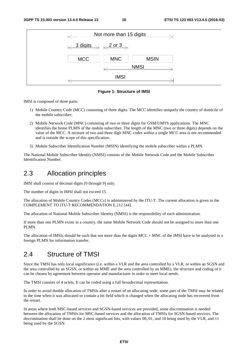

**Figure 1: Structure of IMSI** 

IMSI is composed of three parts:

- 1) Mobile Country Code (MCC) consisting of three digits. The MCC identifies uniquely the country of domicile of the mobile subscriber;
- 2) Mobile Network Code (MNC) consisting of two or three digits for GSM/UMTS applications. The MNC identifies the home PLMN of the mobile subscriber. The length of the MNC (two or three digits) depends on the value of the MCC. A mixture of two and three digit MNC codes within a single MCC area is not recommended and is outside the scope of this specification.
- 3) Mobile Subscriber Identification Number (MSIN) identifying the mobile subscriber within a PLMN.

The National Mobile Subscriber Identity (NMSI) consists of the Mobile Network Code and the Mobile Subscriber Identification Number.

#### 2.3 Allocation principles

IMSI shall consist of decimal digits (0 through 9) only.

The number of digits in IMSI shall not exceed 15.

The allocation of Mobile Country Codes (MCCs) is administered by the ITU-T. The current allocation is given in the COMPLEMENT TO ITU-T RECOMMENDATION E.212 [44].

The allocation of National Mobile Subscriber Identity (NMSI) is the responsibility of each administration.

If more than one PLMN exists in a country, the same Mobile Network Code should not be assigned to more than one PLMN.

The allocation of IMSIs should be such that not more than the digits MCC + MNC of the IMSI have to be analysed in a foreign PLMN for information transfer.

### 2.4 Structure of TMSI

Since the TMSI has only local significance (i.e. within a VLR and the area controlled by a VLR, or within an SGSN and the area controlled by an SGSN, or within an MME and the area controlled by an MME), the structure and coding of it can be chosen by agreement between operator and manufacturer in order to meet local needs.

The TMSI consists of 4 octets. It can be coded using a full hexadecimal representation.

In order to avoid double allocation of TMSIs after a restart of an allocating node, some part of the TMSI may be related to the time when it was allocated or contain a bit field which is changed when the allocating node has recovered from the restart.

In areas where both MSC-based services and SGSN-based services are provided, some discrimination is needed between the allocation of TMSIs for MSC-based services and the allocation of TMSIs for SGSN-based services. The discrimination shall be done on the 2 most significant bits, with values 00, 01, and 10 being used by the VLR, and 11 being used by the SGSN.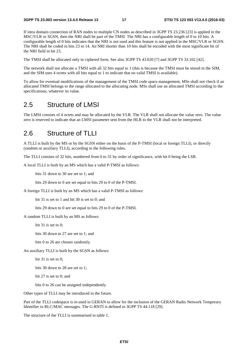If intra domain connection of RAN nodes to multiple CN nodes as described in 3GPP TS 23.236 [23] is applied in the MSC/VLR or SGSN, then the NRI shall be part of the TMSI. The NRI has a configurable length of 0 to 10 bits. A configurable length of 0 bits indicates that the NRI is not used and this feature is not applied in the MSC/VLR or SGSN. The NRI shall be coded in bits 23 to 14. An NRI shorter than 10 bits shall be encoded with the most significant bit of the NRI field in bit 23.

The TMSI shall be allocated only in ciphered form. See also 3GPP TS 43.020 [7] and 3GPP TS 33.102 [42].

The network shall not allocate a TMSI with all 32 bits equal to 1 (this is because the TMSI must be stored in the SIM, and the SIM uses 4 octets with all bits equal to 1 to indicate that no valid TMSI is available).

To allow for eventual modifications of the management of the TMSI code space management, MSs shall not check if an allocated TMSI belongs to the range allocated to the allocating node. MSs shall use an allocated TMSI according to the specifications, whatever its value.

#### 2.5 Structure of LMSI

The LMSI consists of 4 octets and may be allocated by the VLR. The VLR shall not allocate the value zero. The value zero is reserved to indicate that an LMSI parameter sent from the HLR to the VLR shall not be interpreted.

### 2.6 Structure of TLLI

A TLLI is built by the MS or by the SGSN either on the basis of the P-TMSI (local or foreign TLLI), or directly (random or auxiliary TLLI), according to the following rules.

The TLLI consists of 32 bits, numbered from 0 to 31 by order of significance, with bit 0 being the LSB.

A local TLLI is built by an MS which has a valid P-TMSI as follows:

bits 31 down to 30 are set to 1; and

bits 29 down to 0 are set equal to bits 29 to 0 of the P-TMSI.

A foreign TLLI is built by an MS which has a valid P-TMSI as follows:

bit 31 is set to 1 and bit 30 is set to 0; and

bits 29 down to 0 are set equal to bits 29 to 0 of the P-TMSI.

A random TLLI is built by an MS as follows:

bit 31 is set to 0;

bits 30 down to 27 are set to 1; and

bits 0 to 26 are chosen randomly.

An auxiliary TLLI is built by the SGSN as follows:

bit 31 is set to 0;

bits 30 down to 28 are set to 1;

bit 27 is set to 0; and

bits 0 to 26 can be assigned independently.

Other types of TLLI may be introduced in the future.

Part of the TLLI codespace is re-used in GERAN to allow for the inclusion of the GERAN Radio Network Temporary Identifier in RLC/MAC messages. The G-RNTI is defined in 3GPP TS 44.118 [29].

The structure of the TLLI is summarised in table 1.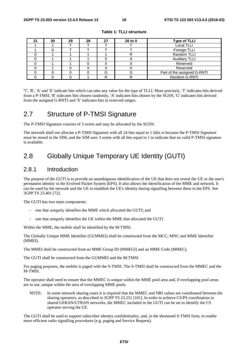| 31 | 30 | 29 | 28 | 27 | 26 to 0 | Type of TLLI                |
|----|----|----|----|----|---------|-----------------------------|
|    |    |    |    |    |         | <b>Local TLLI</b>           |
|    |    |    |    |    |         | Foreign TLLI                |
|    |    |    |    |    |         | Random TLLI                 |
|    |    |    |    |    |         | <b>Auxiliary TLLI</b>       |
|    |    |    |    |    |         | Reserved                    |
|    |    |    |    |    | ↗       | Reserved                    |
|    |    |    |    | G  | G       | Part of the assigned G-RNTI |
|    |    |    |    | רו |         | Random G-RNTI               |

**Table 1: TLLI structure** 

'T', 'R', 'A' and 'X' indicate bits which can take any value for the type of TLLI. More precisely, 'T' indicates bits derived from a P-TMSI, 'R' indicates bits chosen randomly, 'A' indicates bits chosen by the SGSN, 'G' indicates bits derived from the assigned G-RNTI and 'X' indicates bits in reserved ranges.

### 2.7 Structure of P-TMSI Signature

The P-TMSI Signature consists of 3 octets and may be allocated by the SGSN.

The network shall not allocate a P-TMSI Signature with all 24 bits equal to 1 (this is because the P-TMSI Signature must be stored in the SIM, and the SIM uses 3 octets with all bits equal to 1 to indicate that no valid P-TMSI signature is available.

## 2.8 Globally Unique Temporary UE Identity (GUTI)

#### 2.8.1 Introduction

The purpose of the GUTI is to provide an unambiguous identification of the UE that does not reveal the UE or the user's permanent identity in the Evolved Packet System (EPS). It also allows the identification of the MME and network. It can be used by the network and the UE to establish the UE's identity during signalling between them in the EPS. See 3GPP TS 23.401 [72].

The GUTI has two main components:

- one that uniquely identifies the MME which allocated the GUTI; and
- one that uniquely identifies the UE within the MME that allocated the GUTI.

Within the MME, the mobile shall be identified by the M-TMSI.

The Globally Unique MME Identifier (GUMMEI) shall be constructed from the MCC, MNC and MME Identifier (MMEI).

The MMEI shall be constructed from an MME Group ID (MMEGI) and an MME Code (MMEC).

The GUTI shall be constructed from the GUMMEI and the M-TMSI.

For paging purposes, the mobile is paged with the S-TMSI. The S-TMSI shall be constructed from the MMEC and the M-TMSI.

The operator shall need to ensure that the MMEC is unique within the MME pool area and, if overlapping pool areas are in use, unique within the area of overlapping MME pools.

NOTE: In some network sharing cases it is required that the MMEC and NRI values are coordinated between the sharing operators, as described in 3GPP TS 23.251 [101]. In order to achieve CS/PS coordination in shared GERAN/UTRAN networks, the MMEC included in the GUTI can be set to identify the CS operator serving the UE.

The GUTI shall be used to support subscriber identity confidentiality, and, in the shortened S-TMSI form, to enable more efficient radio signalling procedures (e.g. paging and Service Request).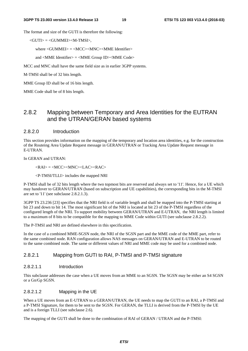The format and size of the GUTI is therefore the following:

<GUTI> = <GUMMEI><M-TMSI>,

where  $\langle$  GUMMEI $\rangle$  =  $\langle$ MCC $\rangle$  $\langle$ MNC $\rangle$  $\langle$ MME Identifier $\rangle$ 

and <MME Identifier> = <MME Group ID><MME Code>

MCC and MNC shall have the same field size as in earlier 3GPP systems.

M-TMSI shall be of 32 bits length.

MME Group ID shall be of 16 bits length.

MME Code shall be of 8 bits length.

#### 2.8.2 Mapping between Temporary and Area Identities for the EUTRAN and the UTRAN/GERAN based systems

#### 2.8.2.0 Introduction

This section provides information on the mapping of the temporary and location area identities, e.g. for the construction of the Routeing Area Update Request message in GERAN/UTRAN or Tracking Area Update Request message in E-UTRAN.

In GERAN and UTRAN:

 $\langle RAI \rangle = \langle MCC \rangle \langle MNC \rangle \langle LAC \rangle \langle RAC \rangle$ 

<P-TMSI/TLLI> includes the mapped NRI

P-TMSI shall be of 32 bits length where the two topmost bits are reserved and always set to '11'. Hence, for a UE which may handover to GERAN/UTRAN (based on subscription and UE capabilities), the corresponding bits in the M-TMSI are set to '11' (see subclause 2.8.2.1.3).

3GPP TS 23.236 [23] specifies that the NRI field is of variable length and shall be mapped into the P-TMSI starting at bit 23 and down to bit 14. The most significant bit of the NRI is located at bit 23 of the P-TMSI regardless of the configured length of the NRI. To support mobility between GERAN/UTRAN and E-UTRAN, the NRI length is limited to a maximum of 8 bits to be compatible for the mapping to MME Code within GUTI (see subclause 2.8.2.2).

The P-TMSI and NRI are defined elsewhere in this specification.

In the case of a combined MME-SGSN node, the NRI of the SGSN part and the MME code of the MME part, refer to the same combined node. RAN configuration allows NAS messages on GERAN/UTRAN and E-UTRAN to be routed to the same combined node. The same or different values of NRI and MME code may be used for a combined node.

#### 2.8.2.1 Mapping from GUTI to RAI, P-TMSI and P-TMSI signature

#### 2.8.2.1.1 Introduction

This subclause addresses the case when a UE moves from an MME to an SGSN. The SGSN may be either an S4 SGSN or a Gn/Gp SGSN.

#### 2.8.2.1.2 Mapping in the UE

When a UE moves from an E-UTRAN to a GERAN/UTRAN, the UE needs to map the GUTI to an RAI, a P-TMSI and a P-TMSI Signature, for them to be sent to the SGSN. For GERAN, the TLLI is derived from the P-TMSI by the UE and is a foreign TLLI (see subclause 2.6).

The mapping of the GUTI shall be done to the combination of RAI of GERAN / UTRAN and the P-TMSI: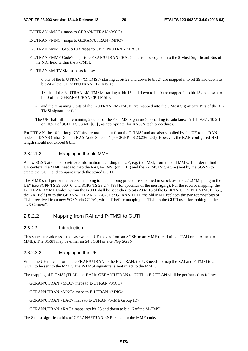E-UTRAN <MCC> maps to GERAN/UTRAN <MCC>

E-UTRAN <MNC> maps to GERAN/UTRAN <MNC>

E-UTRAN <MME Group ID> maps to GERAN/UTRAN <LAC>

E-UTRAN <MME Code> maps to GERAN/UTRAN <RAC> and is also copied into the 8 Most Significant Bits of the NRI field within the P-TMSI;

E-UTRAN <M-TMSI> maps as follows:

- 6 bits of the E-UTRAN <M-TMSI> starting at bit 29 and down to bit 24 are mapped into bit 29 and down to bit 24 of the GERAN/UTRAN <P-TMSI>;
- 16 bits of the E-UTRAN <M-TMSI> starting at bit 15 and down to bit 0 are mapped into bit 15 and down to bit 0 of the GERAN/UTRAN <P-TMSI>;
- and the remaining 8 bits of the E-UTRAN  $\langle M-TMSI \rangle$  are mapped into the 8 Most Significant Bits of the  $\langle P-TMSI \rangle$ TMSI signature> field.
- The UE shall fill the remaining 2 octets of the <P-TMSI signature> according to subclauses 9.1.1, 9.4.1, 10.2.1, or 10.5.1 of 3GPP TS.33.401 [89] , as appropriate, for RAU/Attach procedures.

For UTRAN, the 10-bit long NRI bits are masked out from the P-TMSI and are also supplied by the UE to the RAN node as IDNNS (Intra Domain NAS Node Selector) (see 3GPP TS 23.236 [23]). However, the RAN configured NRI length should not exceed 8 bits.

#### 2.8.2.1.3 Mapping in the old MME

A new SGSN attempts to retrieve information regarding the UE, e.g. the IMSI, from the old MME. In order to find the UE context, the MME needs to map the RAI, P-TMSI (or TLLI) and the P-TMSI Signature (sent by the SGSN) to create the GUTI and compare it with the stored GUTI.

The MME shall perform a reverse mapping to the mapping procedure specified in subclause 2.8.2.1.2 "Mapping in the UE" (see 3GPP TS 29.060 [6] and 3GPP TS 29.274 [88] for specifics of the messaging). For the reverse mapping, the E-UTRAN <MME Code> within the GUTI shall be set either to bits 23 to 16 of the GERAN/UTRAN <P-TMSI> (i.e., the NRI field) or to the GERAN/UTRAN <RAC>. For GERAN TLLI, the old MME replaces the two topmost bits of TLLI, received from new SGSN via GTPv1, with '11' before mapping the TLLI to the GUTI used for looking up the "UE Context".

#### 2.8.2.2 Mapping from RAI and P-TMSI to GUTI

#### 2.8.2.2.1 Introduction

This subclause addresses the case when a UE moves from an SGSN to an MME (i.e. during a TAU or an Attach to MME). The SGSN may be either an S4 SGSN or a Gn/Gp SGSN.

#### 2.8.2.2.2 Mapping in the UE

When the UE moves from the GERAN/UTRAN to the E-UTRAN, the UE needs to map the RAI and P-TMSI to a GUTI to be sent to the MME. The P-TMSI signature is sent intact to the MME.

The mapping of P-TMSI (TLLI) and RAI in GERAN/UTRAN to GUTI in E-UTRAN shall be performed as follows:

GERAN/UTRAN <MCC> maps to E-UTRAN <MCC>

GERAN/UTRAN <MNC> maps to E-UTRAN <MNC>

GERAN/UTRAN <LAC> maps to E-UTRAN <MME Group ID>

GERAN/UTRAN <RAC> maps into bit 23 and down to bit 16 of the M-TMSI

The 8 most significant bits of GERAN/UTRAN <NRI> map to the MME code.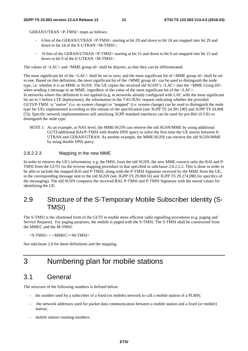GERAN/UTRAN <P-TMSI> maps as follows:

- 6 bits of the GERAN/UTRAN <P-TMSI> starting at bit 29 and down to bit 24 are mapped into bit 29 and down to bit 24 of the E-UTRAN <M-TMSI>;
- 16 bits of the GERAN/UTRAN <P-TMSI> starting at bit 15 and down to bit 0 are mapped into bit 15 and down to bit 0 of the E-UTRAN <M-TMSI>.

The values of <LAC> and <MME group id> shall be disjoint, so that they can be differentiated.

The most significant bit of the <LAC> shall be set to zero; and the most significant bit of <MME group id> shall be set to one. Based on this definition, the most significant bit of the <MME group id> can be used to distinguish the node type, i.e. whether it is an MME or SGSN. The UE copies the received old SGSN"s <LAC> into the <MME Group ID> when sending a message to an MME, regardless of the value of the most significant bit of the  $\langle$ LAC $>$ . In networks where this definition is not applied (e.g. in networks already configured with LAC with the most significant bit set to 1 before LTE deployment), the information in the TAU/RAU request indicating whether the provided GUTI/P-TMSI is "native" (i.e. no system change) or "mapped" (i.e. system change) can be used to distinguish the node type for UEs implemented according to this release of the specification (see 3GPP TS 24.301 [90] and 3GPP TS 24.008 [5]). Specific network implementations still satisfying 3GPP standard interfaces can be used for pre-Rel-10 UEs to distinguish the node type.

NOTE 1: As an example, at NAS level, the MME/SGSN can retrieve the old SGSN/MME by using additional GUTI/additional RAI/P-TMSI with double DNS query to solve the first time the UE moves between E-UTRAN and GERAN/UTRAN. As another example, the MME/SGSN can retrieve the old SGSN/MME by using double DNS query.

#### 2.8.2.2.3 Mapping in the new MME

In order to retrieve the UE's information, e.g. the IMSI, from the old SGSN, the new MME extracts only the RAI and P-TMSI from the GUTI via the reverse mapping procedure to that specified in subclause 2.8.2.2.2. This is done in order to be able to include the mapped RAI and P-TMSI, along with the P-TMSI Signature received by the MME from the UE, in the corresponding message sent to the old SGSN (see 3GPP TS 29.060 [6] and 3GPP TS 29.274 [88] for specifics of the messaging). The old SGSN compares the received RAI, P-TMSI and P-TMSI Signature with the stored values for identifying the UE.

### 2.9 Structure of the S-Temporary Mobile Subscriber Identity (S-TMSI)

The S-TMSI is the shortened form of the GUTI to enable more efficient radio signalling procedures (e.g. paging and Service Request). For paging purposes, the mobile is paged with the S-TMSI. The S-TMSI shall be constructed from the MMEC and the M-TMSI:

 $\langle$ S-TMSI $\rangle$  =  $\langle$ MMEC $>$  $\langle$ M-TMSI $\rangle$ 

See subclause 2.8 for these definitions and the mapping.

## 3 Numbering plan for mobile stations

#### 3.1 General

The structure of the following numbers is defined below:

- the number used by a subscriber of a fixed (or mobile) network to call a mobile station of a PLMN;
- the network addresses used for packet data communication between a mobile station and a fixed (or mobile) station;
- mobile station roaming numbers.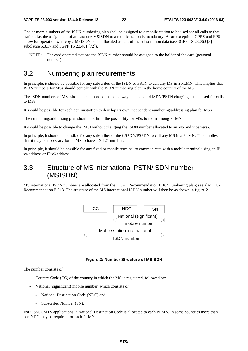One or more numbers of the ISDN numbering plan shall be assigned to a mobile station to be used for all calls to that station, i.e. the assignment of at least one MSISDN to a mobile station is mandatory. As an exception, GPRS and EPS allow for operation whereby a MSISDN is not allocated as part of the subscription data (see 3GPP TS 23.060 [3] subclause 5.3.17 and 3GPP TS 23.401 [72]).

NOTE: For card operated stations the ISDN number should be assigned to the holder of the card (personal number).

## 3.2 Numbering plan requirements

In principle, it should be possible for any subscriber of the ISDN or PSTN to call any MS in a PLMN. This implies that ISDN numbers for MSs should comply with the ISDN numbering plan in the home country of the MS.

The ISDN numbers of MSs should be composed in such a way that standard ISDN/PSTN charging can be used for calls to MSs.

It should be possible for each administration to develop its own independent numbering/addressing plan for MSs.

The numbering/addressing plan should not limit the possibility for MSs to roam among PLMNs.

It should be possible to change the IMSI without changing the ISDN number allocated to an MS and vice versa.

In principle, it should be possible for any subscriber of the CSPDN/PSPDN to call any MS in a PLMN. This implies that it may be necessary for an MS to have a X.121 number.

In principle, it should be possible for any fixed or mobile terminal to communicate with a mobile terminal using an IP v4 address or IP v6 address.

## 3.3 Structure of MS international PSTN/ISDN number (MSISDN)

MS international ISDN numbers are allocated from the ITU-T Recommendation E.164 numbering plan; see also ITU-T Recommendation E.213. The structure of the MS international ISDN number will then be as shown in figure 2.



#### **Figure 2: Number Structure of MSISDN**

The number consists of:

- Country Code (CC) of the country in which the MS is registered, followed by:
- National (significant) mobile number, which consists of:
	- National Destination Code (NDC) and
	- Subscriber Number (SN).

For GSM/UMTS applications, a National Destination Code is allocated to each PLMN. In some countries more than one NDC may be required for each PLMN.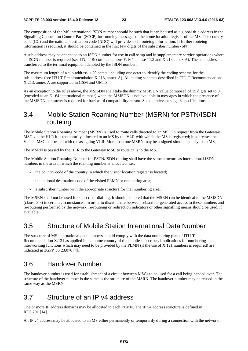The composition of the MS international ISDN number should be such that it can be used as a global title address in the Signalling Connection Control Part (SCCP) for routeing messages to the home location register of the MS. The country code (CC) and the national destination code (NDC) will provide such routeing information. If further routeing information is required, it should be contained in the first few digits of the subscriber number (SN).

A sub-address may be appended to an ISDN number for use in call setup and in supplementary service operations where an ISDN number is required (see ITU-T Recommendations E.164, clause 11.2 and X.213 annex A). The sub-address is transferred to the terminal equipment denoted by the ISDN number.

The maximum length of a sub-address is 20 octets, including one octet to identify the coding scheme for the sub-address (see ITU-T Recommendation X.213, annex A). All coding schemes described in ITU-T Recommendation X.213, annex A are supported in GSM and UMTS.

As an exception to the rules above, the MSISDN shall take the dummy MSISDN value composed of 15 digits set to 0 (encoded as an E.164 international number) when the MSISDN is not available in messages in which the presence of the MSISDN parameter is required for backward compatibility reason. See the relevant stage 3 specifications.

### 3.4 Mobile Station Roaming Number (MSRN) for PSTN/ISDN routeing

The Mobile Station Roaming Number (MSRN) is used to route calls directed to an MS. On request from the Gateway MSC via the HLR it is temporarily allocated to an MS by the VLR with which the MS is registered; it addresses the Visited MSC collocated with the assigning VLR. More than one MSRN may be assigned simultaneously to an MS.

The MSRN is passed by the HLR to the Gateway MSC to route calls to the MS.

The Mobile Station Roaming Number for PSTN/ISDN routing shall have the same structure as international ISDN numbers in the area in which the roaming number is allocated, *i.e.*:

- the country code of the country in which the visitor location register is located;
- the national destination code of the visited PLMN or numbering area;
- a subscriber number with the appropriate structure for that numbering area.

The MSRN shall not be used for subscriber dialling. It should be noted that the MSRN can be identical to the MSISDN (clause 3.3) in certain circumstances. In order to discriminate between subscriber generated access to these numbers and re-routeing performed by the network, re-routeing or redirection indicators or other signalling means should be used, if available.

#### 3.5 Structure of Mobile Station International Data Number

The structure of MS international data numbers should comply with the data numbering plan of ITU-T Recommendation X.121 as applied in the home country of the mobile subscriber. Implications for numbering interworking functions which may need to be provided by the PLMN (if the use of X.121 numbers is required) are indicated in 3GPP TS 23.070 [4].

#### 3.6 Handover Number

The handover number is used for establishment of a circuit between MSCs to be used for a call being handed over. The structure of the handover number is the same as the structure of the MSRN. The handover number may be reused in the same way as the MSRN.

### 3.7 Structure of an IP v4 address

One or more IP address domains may be allocated to each PLMN. The IP v4 address structure is defined in RFC 791 [14].

An IP v4 address may be allocated to an MS either permanently or temporarily during a connection with the network.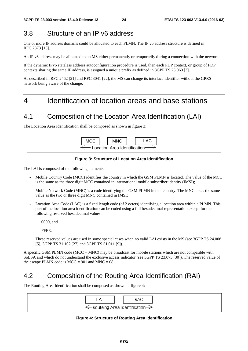## 3.8 Structure of an IP v6 address

One or more IP address domains could be allocated to each PLMN. The IP v6 address structure is defined in RFC 2373 [15].

An IP v6 address may be allocated to an MS either permanently or temporarily during a connection with the network

If the dynamic IPv6 stateless address autoconfiguration procedure is used, then each PDP context, or group of PDP contexts sharing the same IP address, is assigned a unique prefix as defined in 3GPP TS 23.060 [3].

As described in RFC 2462 [21] and RFC 3041 [22], the MS can change its interface identifier without the GPRS network being aware of the change.

## 4 Identification of location areas and base stations

### 4.1 Composition of the Location Area Identification (LAI)

The Location Area Identification shall be composed as shown in figure 3:

| <b>MCC</b> | <b>MNC</b>                    | ∟AC. |
|------------|-------------------------------|------|
|            | Location Area Identification- |      |

#### **Figure 3: Structure of Location Area Identification**

The LAI is composed of the following elements:

- Mobile Country Code (MCC) identifies the country in which the GSM PLMN is located. The value of the MCC is the same as the three digit MCC contained in international mobile subscriber identity (IMSI);
- Mobile Network Code (MNC) is a code identifying the GSM PLMN in that country. The MNC takes the same value as the two or three digit MNC contained in IMSI;
- Location Area Code (LAC) is a fixed length code (of 2 octets) identifying a location area within a PLMN. This part of the location area identification can be coded using a full hexadecimal representation except for the following reserved hexadecimal values:

0000, and

FFFE.

 These reserved values are used in some special cases when no valid LAI exists in the MS (see 3GPP TS 24.008 [5], 3GPP TS 31.102 [27] and 3GPP TS 51.011 [9]).

A specific GSM PLMN code (MCC + MNC) may be broadcast for mobile stations which are not compatible with SoLSA and which do not understand the exclusive access indicator (see 3GPP TS 23.073 [30]). The reserved value of the escape PLMN code is  $MCC = 901$  and  $MNC = 08$ .

## 4.2 Composition of the Routing Area Identification (RAI)

The Routing Area Identification shall be composed as shown in figure 4:



**Figure 4: Structure of Routing Area Identification**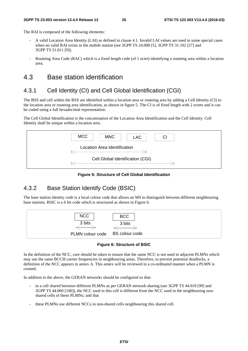The RAI is composed of the following elements:

- A valid Location Area Identity (LAI) as defined in clause 4.1. Invalid LAI values are used in some special cases when no valid RAI exists in the mobile station (see 3GPP TS 24.008 [5], 3GPP TS 31.102 [27] and 3GPP TS 51.011 [9]).
- Routeing Area Code (RAC) which is a fixed length code (of 1 octet) identifying a routeing area within a location area.

#### 4.3 Base station identification

#### 4.3.1 Cell Identity (CI) and Cell Global Identification (CGI)

The BSS and cell within the BSS are identified within a location area or routeing area by adding a Cell Identity (CI) to the location area or routeing area identification, as shown in figure 5. The CI is of fixed length with 2 octets and it can be coded using a full hexadecimal representation.

The Cell Global Identification is the concatenation of the Location Area Identification and the Cell Identity. Cell Identity shall be unique within a location area.



**Figure 5: Structure of Cell Global Identification** 

### 4.3.2 Base Station Identify Code (BSIC)

The base station identity code is a local colour code that allows an MS to distinguish between different neighbouring base stations. BSIC is a 6 bit code which is structured as shown in Figure 6.



**Figure 6: Structure of BSIC** 

In the definition of the NCC, care should be taken to ensure that the same NCC is not used in adjacent PLMNs which may use the same BCCH carrier frequencies in neighbouring areas. Therefore, to prevent potential deadlocks, a definition of the NCC appears in annex A. This annex will be reviewed in a co-ordinated manner when a PLMN is created.

In addition to the above, the GERAN networks should be configured so that:

- in a cell shared between different PLMNs as per GERAN network sharing (see 3GPP TS 44.018 [99] and 3GPP TS 44.060 [100]), the NCC used in this cell is different from the NCC used in the neighbouring nonshared cells of these PLMNs; and that
- these PLMNs use different NCCs in non-shared cells neighbouring this shared cell.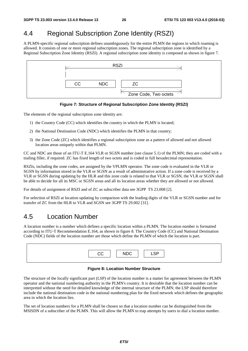## 4.4 Regional Subscription Zone Identity (RSZI)

A PLMN-specific regional subscription defines unambiguously for the entire PLMN the regions in which roaming is allowed. It consists of one or more regional subscription zones. The regional subscription zone is identified by a Regional Subscription Zone Identity (RSZI). A regional subscription zone identity is composed as shown in figure 7.



**Figure 7: Structure of Regional Subscription Zone Identity (RSZI)** 

The elements of the regional subscription zone identity are:

- 1) the Country Code (CC) which identifies the country in which the PLMN is located;
- 2) the National Destination Code (NDC) which identifies the PLMN in that country;
- 3) the Zone Code (ZC) which identifies a regional subscription zone as a pattern of allowed and not allowed location areas uniquely within that PLMN.

CC and NDC are those of an ITU-T E.164 VLR or SGSN number (see clause 5.1) of the PLMN; they are coded with a trailing filler, if required. ZC has fixed length of two octets and is coded in full hexadecimal representation.

RSZIs, including the zone codes, are assigned by the VPLMN operator. The zone code is evaluated in the VLR or SGSN by information stored in the VLR or SGSN as a result of administrative action. If a zone code is received by a VLR or SGSN during updating by the HLR and this zone code is related to that VLR or SGSN, the VLR or SGSN shall be able to decide for all its MSC or SGSN areas and all its location areas whether they are allowed or not allowed.

For details of assignment of RSZI and of ZC as subscriber data see 3GPP TS 23.008 [2].

For selection of RSZI at location updating by comparison with the leading digits of the VLR or SGSN number and for transfer of ZC from the HLR to VLR and SGSN see 3GPP TS 29.002 [31].

### 4.5 Location Number

A location number is a number which defines a specific location within a PLMN. The location number is formatted according to ITU-T Recommendation E.164, as shown in figure 8. The Country Code (CC) and National Destination Code (NDC) fields of the location number are those which define the PLMN of which the location is part.

#### **Figure 8: Location Number Structure**

The structure of the locally significant part (LSP) of the location number is a matter for agreement between the PLMN operator and the national numbering authority in the PLMN's country. It is desirable that the location number can be interpreted without the need for detailed knowledge of the internal structure of the PLMN; the LSP should therefore include the national destination code in the national numbering plan for the fixed network which defines the geographic area in which the location lies.

The set of location numbers for a PLMN shall be chosen so that a location number can be distinguished from the MSISDN of a subscriber of the PLMN. This will allow the PLMN to trap attempts by users to dial a location number.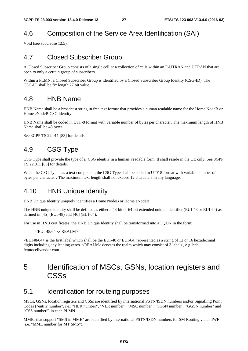## 4.6 Composition of the Service Area Identification (SAI)

Void (see subclause 12.5).

## 4.7 Closed Subscriber Group

A Closed Subscriber Group consists of a single cell or a collection of cells within an E-UTRAN and UTRAN that are open to only a certain group of subscribers.

Within a PLMN, a Closed Subscriber Group is identified by a Closed Subscriber Group Identity (CSG-ID). The CSG-ID shall be fix length 27 bit value.

#### 4.8 HNB Name

HNB Name shall be a broadcast string in free text format that provides a human readable name for the Home NodeB or Home eNodeB CSG identity.

HNB Name shall be coded in UTF-8 format with variable number of bytes per character. The maximum length of HNB Name shall be 48 bytes.

See 3GPP TS 22.011 [83] for details.

## 4.9 CSG Type

CSG Type shall provide the type of a CSG identity in a human readable form. It shall reside in the UE only. See 3GPP TS 22.011 [83] for details.

When the CSG Type has a text component, the CSG Type shall be coded in UTF-8 format with variable number of bytes per character . The maximum text length shall not exceed 12 characters in any language.

### 4.10 HNB Unique Identity

HNB Unique Identity uniquely identifies a Home NodeB or Home eNodeB.

The HNB unique identity shall be defined as either a 48-bit or 64-bit extended unique identifier (EUI-48 or EUI-64) as defined in [45] (EUI-48) and [46] (EUI-64).

For use in HNB certificates, the HNB Unique Identity shall be transformed into a FQDN in the form:

 $\leq$ EUI-48/64> $\leq$ REALM $>$ 

<EUI48/64> is the first label which shall be the EUI-48 or EUI-64, represented as a string of 12 or 16 hexadecimal digits including any leading zeros. <REALM> denotes the realm which may consist of 3 labels , e.g. hnb. femtocellvendor.com

## 5 Identification of MSCs, GSNs, location registers and **CSSs**

### 5.1 Identification for routeing purposes

MSCs, GSNs, location registers and CSSs are identified by international PSTN/ISDN numbers and/or Signalling Point Codes ("entity number", i.e., "HLR number", "VLR number", "MSC number", "SGSN number", "GGSN number" and "CSS number") in each PLMN.

MMEs that support "SMS in MME" are identified by international PSTN/ISDN numbers for SM Routing via an IWF (i.e. "MME number for MT SMS").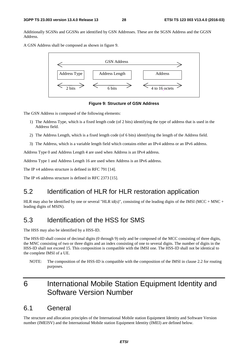Additionally SGSNs and GGSNs are identified by GSN Addresses. These are the SGSN Address and the GGSN Address.

A GSN Address shall be composed as shown in figure 9.



**Figure 9: Structure of GSN Address** 

The GSN Address is composed of the following elements:

- 1) The Address Type, which is a fixed length code (of 2 bits) identifying the type of address that is used in the Address field.
- 2) The Address Length, which is a fixed length code (of 6 bits) identifying the length of the Address field.
- 3) The Address, which is a variable length field which contains either an IPv4 address or an IPv6 address.

Address Type 0 and Address Length 4 are used when Address is an IPv4 address.

Address Type 1 and Address Length 16 are used when Address is an IPv6 address.

The IP v4 address structure is defined in RFC 791 [14].

The IP v6 address structure is defined in RFC 2373 [15].

## 5.2 Identification of HLR for HLR restoration application

HLR may also be identified by one or several "HLR id(s)", consisting of the leading digits of the IMSI (MCC + MNC + leading digits of MSIN).

### 5.3 Identification of the HSS for SMS

The HSS may also be identified by a HSS-ID.

The HSS-ID shall consist of decimal digits (0 through 9) only and be composed of the MCC consisting of three digits, the MNC consisting of two or three digits and an index consisting of one to several digits. The number of digits in the HSS-ID shall not exceed 15. This composition is compatible with the IMSI one. The HSS-ID shall not be identical to the complete IMSI of a UE.

NOTE: The composition of the HSS-ID is compatible with the composition of the IMSI in clause 2.2 for routing purposes.

## 6 International Mobile Station Equipment Identity and Software Version Number

#### 6.1 General

The structure and allocation principles of the International Mobile station Equipment Identity and Software Version number (IMEISV) and the International Mobile station Equipment Identity (IMEI) are defined below.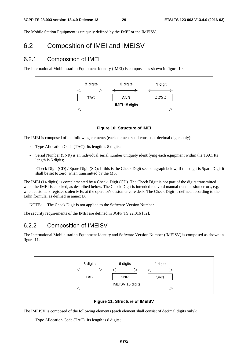The Mobile Station Equipment is uniquely defined by the IMEI or the IMEISV.

### 6.2 Composition of IMEI and IMEISV

#### 6.2.1 Composition of IMEI

The International Mobile station Equipment Identity (IMEI) is composed as shown in figure 10.



#### **Figure 10: Structure of IMEI**

The IMEI is composed of the following elements (each element shall consist of decimal digits only):

- Type Allocation Code (TAC). Its length is 8 digits;
- Serial Number (SNR) is an individual serial number uniquely identifying each equipment within the TAC. Its length is 6 digits;
- Check Digit (CD) / Spare Digit (SD): If this is the Check Digit see paragraph below; if this digit is Spare Digit it shall be set to zero, when transmitted by the MS.

The IMEI (14 digits) is complemented by a Check Digit (CD). The Check Digit is not part of the digits transmitted when the IMEI is checked, as described below. The Check Digit is intended to avoid manual transmission errors, e.g. when customers register stolen MEs at the operator's customer care desk. The Check Digit is defined according to the Luhn formula, as defined in annex B.

NOTE: The Check Digit is not applied to the Software Version Number.

The security requirements of the IMEI are defined in 3GPP TS 22.016 [32].

#### 6.2.2 Composition of IMEISV

The International Mobile station Equipment Identity and Software Version Number (IMEISV) is composed as shown in figure 11.



**Figure 11: Structure of IMEISV** 

The IMEISV is composed of the following elements (each element shall consist of decimal digits only):

- Type Allocation Code (TAC). Its length is 8 digits;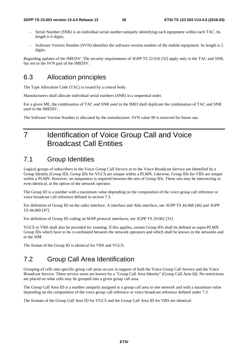- Serial Number (SNR) is an individual serial number uniquely identifying each equipment within each TAC. Its length is 6 digits;
- Software Version Number (SVN) identifies the software version number of the mobile equipment. Its length is 2 digits.

Regarding updates of the IMEISV: The security requirements of 3GPP TS 22.016 [32] apply only to the TAC and SNR, but not to the SVN part of the IMEISV.

### 6.3 Allocation principles

The Type Allocation Code (TAC) is issued by a central body.

Manufacturers shall allocate individual serial numbers (SNR) in a sequential order.

For a given ME, the combination of TAC and SNR used in the IMEI shall duplicate the combination of TAC and SNR used in the IMEISV.

The Software Version Number is allocated by the manufacturer. SVN value 99 is reserved for future use.

## 7 Identification of Voice Group Call and Voice Broadcast Call Entities

## 7.1 Group Identities

Logical groups of subscribers to the Voice Group Call Service or to the Voice Broadcast Service are identified by a Group Identity (Group ID). Group IDs for VGCS are unique within a PLMN. Likewise, Group IDs for VBS are unique within a PLMN. However, no uniqueness is required between the sets of Group IDs. These sets may be intersecting or even identical, at the option of the network operator.

The Group ID is a number with a maximum value depending on the composition of the voice group call reference or voice broadcast call reference defined in section 7.3.

For definition of Group ID on the radio interface, A interface and Abis interface, see 3GPP TS 44.068 [46] and 3GPP TS 44.069 [47].

For definition of Group ID coding on MAP protocol interfaces, see 3GPP TS 29.002 [31].

VGCS or VBS shall also be provided for roaming. If this applies, certain Group IDs shall be defined as supra-PLMN Group IDs which have to be co-ordinated between the network operators and which shall be known in the networks and in the SIM.

The format of the Group ID is identical for VBS and VGCS.

## 7.2 Group Call Area Identification

Grouping of cells into specific group call areas occurs in support of both the Voice Group Call Service and the Voice Broadcast Service. These service areas are known by a "Group Call Area Identity" (Group Call Area Id). No restrictions are placed on what cells may be grouped into a given group call area.

The Group Call Area ID is a number uniquely assigned to a group call area in one network and with a maximum value depending on the composition of the voice group call reference or voice broadcast reference defined under 7.3.

The formats of the Group Call Area ID for VGCS and the Group Call Area ID for VBS are identical.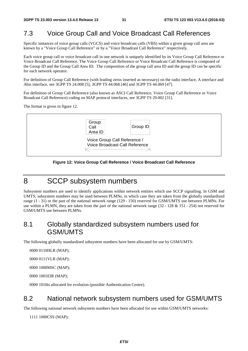## 7.3 Voice Group Call and Voice Broadcast Call References

Specific instances of voice group calls (VGCS) and voice broadcast calls (VBS) within a given group call area are known by a "Voice Group Call Reference" or by a "Voice Broadcast Call Reference" respectively.

Each voice group call or voice broadcast call in one network is uniquely identified by its Voice Group Call Reference or Voice Broadcast Call Reference. The Voice Group Call Reference or Voice Broadcast Call Reference is composed of the Group ID and the Group Call Area ID. The composition of the group call area ID and the group ID can be specific for each network operator.

For definition of Group Call Reference (with leading zeros inserted as necessary) on the radio interface, A interface and Abis interface, see 3GPP TS 24.008 [5], 3GPP TS 44.068 [46] and 3GPP TS 44.069 [47].

For definition of Group Call Reference (also known as ASCI Call Reference, Voice Group Call Reference or Voice Broadcast Call Reference) coding on MAP protocol interfaces, see 3GPP TS 29.002 [31].

The format is given in figure 12.



**Figure 12: Voice Group Call Reference / Voice Broadcast Call Reference** 

## 8 SCCP subsystem numbers

Subsystem numbers are used to identify applications within network entities which use SCCP signalling. In GSM and UMTS, subsystem numbers may be used between PLMNs, in which case they are taken from the globally standardized range (1 - 31) or the part of the national network range (129 - 150) reserved for GSM/UMTS use between PLMNs. For use within a PLMN, they are taken from the part of the national network range  $(32 - 128 \& 151 - 254)$  not reserved for GSM/UMTS use between PLMNs.

## 8.1 Globally standardized subsystem numbers used for GSM/UMTS

The following globally standardised subsystem numbers have been allocated for use by GSM/UMTS:

0000 0110 HLR (MAP);

0000 0111 VLR (MAP);

0000 1000 MSC (MAP);

0000 1001 EIR (MAP);

0000 1010 is allocated for evolution (possible Authentication Centre).

### 8.2 National network subsystem numbers used for GSM/UMTS

The following national network subsystem numbers have been allocated for use within GSM/UMTS networks:

1111 1000CSS (MAP);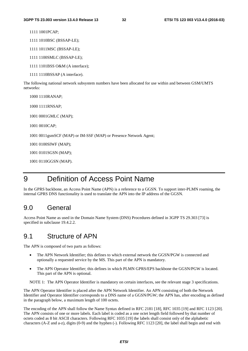1111 1001 PCAP:

1111 1010BSC (BSSAP-LE);

1111 1011 MSC (BSSAP-LE);

1111 1100 SMLC (BSSAP-LE);

1111 1101BSS O&M (A interface);

1111 1110BSSAP (A interface).

The following national network subsystem numbers have been allocated for use within and between GSM/UMTS networks:

1000 1110 RANAP; 1000 1111 RNSAP; 1001 0001 GMLC (MAP); 1001 0010 CAP; 1001 0011 gsmSCF (MAP) or IM-SSF (MAP) or Presence Network Agent; 1001 0100 SIWF (MAP); 1001 0101 SGSN (MAP); 1001 0110 GGSN (MAP).

## 9 Definition of Access Point Name

In the GPRS backbone, an Access Point Name (APN) is a reference to a GGSN. To support inter-PLMN roaming, the internal GPRS DNS functionality is used to translate the APN into the IP address of the GGSN.

### 9.0 General

Access Point Name as used in the Domain Name System (DNS) Procedures defined in 3GPP TS 29.303 [73] is specified in subclause 19.4.2.2.

#### 9.1 Structure of APN

The APN is composed of two parts as follows:

- The APN Network Identifier; this defines to which external network the GGSN/PGW is connected and optionally a requested service by the MS. This part of the APN is mandatory.
- The APN Operator Identifier; this defines in which PLMN GPRS/EPS backbone the GGSN/PGW is located. This part of the APN is optional.

NOTE 1: The APN Operator Identifier is mandatory on certain interfaces, see the relevant stage 3 specifications.

The APN Operator Identifier is placed after the APN Network Identifier. An APN consisting of both the Network Identifier and Operator Identifier corresponds to a DNS name of a GGSN/PGW; the APN has, after encoding as defined in the paragraph below, a maximum length of 100 octets.

The encoding of the APN shall follow the Name Syntax defined in RFC 2181 [18], RFC 1035 [19] and RFC 1123 [20]. The APN consists of one or more labels. Each label is coded as a one octet length field followed by that number of octets coded as 8 bit ASCII characters. Following RFC 1035 [19] the labels shall consist only of the alphabetic characters (A-Z and a-z), digits (0-9) and the hyphen (-). Following RFC 1123 [20], the label shall begin and end with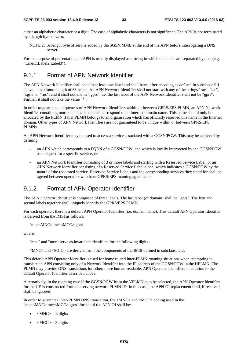either an alphabetic character or a digit. The case of alphabetic characters is not significant. The APN is not terminated by a length byte of zero.

NOTE 2: A length byte of zero is added by the SGSN/MME at the end of the APN before interrogating a DNS server.

For the purpose of presentation, an APN is usually displayed as a string in which the labels are separated by dots (e.g. "Label1.Label2.Label3").

#### 9.1.1 Format of APN Network Identifier

The APN Network Identifier shall contain at least one label and shall have, after encoding as defined in subclause 9.1 above, a maximum length of 63 octets. An APN Network Identifier shall not start with any of the strings "rac", "lac", "sgsn" or "rnc", and it shall not end in ".gprs", i.e. the last label of the APN Network Identifier shall not be "gprs". Further, it shall not take the value "\*".

In order to guarantee uniqueness of APN Network Identifiers within or between GPRS/EPS PLMN, an APN Network Identifier containing more than one label shall correspond to an Internet domain name. This name should only be allocated by the PLMN if that PLMN belongs to an organisation which has officially reserved this name in the Internet domain. Other types of APN Network Identifiers are not guaranteed to be unique within or between GPRS/EPS PLMNs.

An APN Network Identifier may be used to access a service associated with a GGSN/PGW. This may be achieved by defining:

- an APN which corresponds to a FODN of a GGSN/PGW, and which is locally interpreted by the GGSN/PGW as a request for a specific service, or
- an APN Network Identifier consisting of 3 or more labels and starting with a Reserved Service Label, or an APN Network Identifier consisting of a Reserved Service Label alone, which indicates a GGSN/PGW by the nature of the requested service. Reserved Service Labels and the corresponding services they stand for shall be agreed between operators who have GPRS/EPS roaming agreements.

#### 9.1.2 Format of APN Operator Identifier

The APN Operator Identifier is composed of three labels. The last label (or domain) shall be "gprs". The first and second labels together shall uniquely identify the GPRS/EPS PLMN.

For each operator, there is a default APN Operator Identifier (i.e. domain name). This default APN Operator Identifier is derived from the IMSI as follows:

"mnc<MNC>.mcc<MCC>.gprs"

where:

"mnc" and "mcc" serve as invariable identifiers for the following digits.

<MNC> and <MCC> are derived from the components of the IMSI defined in subclause 2.2.

This default APN Operator Identifier is used for home routed inter-PLMN roaming situations when attempting to translate an APN consisting only of a Network Identifier into the IP address of the GGSN/PGW in the HPLMN. The PLMN may provide DNS translations for other, more human-readable, APN Operator Identifiers in addition to the default Operator Identifier described above.

Alternatively, in the roaming case if the GGSN/PGW from the VPLMN is to be selected, the APN Operator Identifier for the UE is constructed from the serving network PLMN ID. In this case, the APN-OI replacement field, if received, shall be ignored.

In order to guarantee inter-PLMN DNS translation, the <MNC> and <MCC> coding used in the "mnc<MNC>.mcc<MCC>.gprs" format of the APN OI shall be:

- $|MNC\rangle = 3$  digits
- $\langle \text{MCC} \rangle = 3$  digits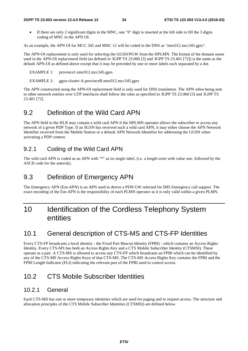• If there are only 2 significant digits in the MNC, one "0" digit is inserted at the left side to fill the 3 digits coding of MNC in the APN OI.

As an example, the APN OI for MCC 345 and MNC 12 will be coded in the DNS as "mnc012.mcc345.gprs".

The APN-OI replacement is only used for selecting the GGSN/PGW from the HPLMN. The format of the domain name used in the APN-OI replacement field (as defined in 3GPP TS 23.060 [3] and 3GPP TS 23.401 [72]) is the same as the default APN-OI as defined above except that it may be preceded by one or more labels each separated by a dot.

EXAMPLE 1: province1.mnc012.mcc345.gprs

EXAMPLE 2: ggsn-cluster-A.provinceB.mnc012.mcc345.gprs

The APN constructed using the APN-OI replacement field is only used for DNS translation. The APN when being sent to other network entities over GTP interfaces shall follow the rules as specified in 3GPP TS 23.060 [3] and 3GPP TS 23.401 [72].

### 9.2 Definition of the Wild Card APN

The APN field in the HLR may contain a wild card APN if the HPLMN operator allows the subscriber to access any network of a given PDP Type. If an SGSN has received such a wild card APN, it may either choose the APN Network Identifier received from the Mobile Station or a default APN Network Identifier for addressing the GGSN when activating a PDP context.

#### 9.2.1 Coding of the Wild Card APN

The wild card APN is coded as an APN with "\*" as its single label, (i.e. a length octet with value one, followed by the ASCII code for the asterisk).

### 9.3 Definition of Emergency APN

The Emergency APN (Em-APN) is an APN used to derive a PDN GW selected for IMS Emergency call support. The exact encoding of the Em-APN is the responsibility of each PLMN operator as it is only valid within a given PLMN.

## 10 Identification of the Cordless Telephony System entities

## 10.1 General description of CTS-MS and CTS-FP Identities

Every CTS-FP broadcasts a local identity - the Fixed Part Beacon Identity (FPBI) - which contains an Access Rights Identity. Every CTS-MS has both an Access Rights Key and a CTS Mobile Subscriber Identity (CTSMSI). These operate as a pair. A CTS-MS is allowed to access any CTS-FP which broadcasts an FPBI which can be identified by any of the CTS-MS Access Rights Keys of that CTS-MS. The CTS-MS Access Rights Key contains the FPBI and the FPBI Length Indicator (FLI) indicating the relevant part of the FPBI used to control access.

## 10.2 CTS Mobile Subscriber Identities

#### 10.2.1 General

Each CTS-MS has one or more temporary identities which are used for paging and to request access. The structure and allocation principles of the CTS Mobile Subscriber Identities (CTSMSI) are defined below.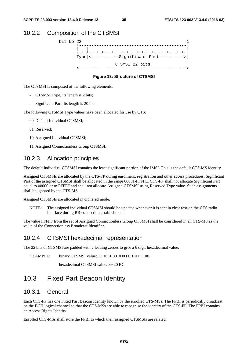#### 10.2.2 Composition of the CTSMSI



#### **Figure 13: Structure of CTSMSI**

The CTSMSI is composed of the following elements:

- CTSMSI Type. Its length is 2 bits;
- Significant Part. Its length is 20 bits.

The following CTSMSI Type values have been allocated for use by CTS:

- 00 Default Individual CTSMSI;
- 01 Reserved;
- 10 Assigned Individual CTSMSI;
- 11 Assigned Connectionless Group CTSMSI.

#### 10.2.3 Allocation principles

The default Individual CTSMSI contains the least significant portion of the IMSI. This is the default CTS-MS identity.

Assigned CTSMSIs are allocated by the CTS-FP during enrolment, registration and other access procedures. Significant Part of the assigned CTSMSI shall be allocated in the range 00001-FFFFE. CTS-FP shall not allocate Significant Part equal to 00000 or to FFFFF and shall not allocate Assigned CTSMSI using Reserved Type value. Such assignments shall be ignored by the CTS-MS.

Assigned CTSMSIs are allocated in ciphered mode.

NOTE: The assigned individual CTSMSI should be updated whenever it is sent in clear text on the CTS radio interface during RR connection establishment.

The value FFFFF from the set of Assigned Connectionless Group CTSMSI shall be considered in all CTS-MS as the value of the Connectionless Broadcast Identifier.

#### 10.2.4 CTSMSI hexadecimal representation

The 22 bits of CTSMSI are padded with 2 leading zeroes to give a 6 digit hexadecimal value.

EXAMPLE: binary CTSMSI value: 11 1001 0010 0000 1011 1100

hexadecimal CTSMSI value: 39 20 BC.

### 10.3 Fixed Part Beacon Identity

#### 10.3.1 General

Each CTS-FP has one Fixed Part Beacon Identity known by the enrolled CTS-MSs. The FPBI is periodically broadcast on the BCH logical channel so that the CTS-MSs are able to recognise the identity of the CTS-FP. The FPBI contains an Access Rights Identity.

Enrolled CTS-MSs shall store the FPBI to which their assigned CTSMSIs are related.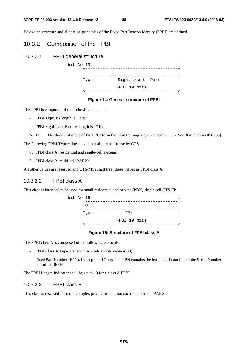#### **3GPP TS 23.003 version 13.4.0 Release 13 36 ETSI TS 123 003 V13.4.0 (2016-03)**

Below the structure and allocation principles of the Fixed Part Beacon Identity (FPBI) are defined.

### 10.3.2 Composition of the FPBI

10.3.2.1 FPBI general structure



#### **Figure 14: General structure of FPBI**

The FPBI is composed of the following elements:

- FPBI Type. Its length is 2 bits;
- FPBI Significant Part. Its length is 17 bits.

NOTE: The three LSBs bits of the FPBI form the 3-bit training sequence code (TSC). See 3GPP TS 45.056 [35].

The following FPBI Type values have been allocated for use by CTS:

00 FPBI class A: residential and single-cell systems;

01 FPBI class B: multi-cell PABXs.

All other values are reserved and CTS-MSs shall treat these values as FPBI class A.

#### 10.3.2.2 FPBI class A

This class is intended to be used for small residential and private (PBX) single cell CTS-FP.



#### **Figure 15: Structure of FPBI class A**

The FPBI class A is composed of the following elements:

- FPBI Class A Type. Its length is 2 bits and its value is 00;
- Fixed Part Number (FPN). Its length is 17 bits. The FPN contains the least significant bits of the Serial Number part of the IFPEI.

The FPBI Length Indicator shall be set to 19 for a class A FPBI.

#### 10.3.2.3 FPBI class B

This class is reserved for more complex private installation such as multi-cell PABXs.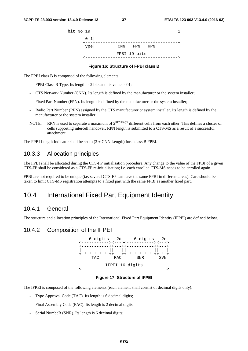

#### **Figure 16: Structure of FPBI class B**

The FPBI class B is composed of the following elements:

- FPBI Class B Type. Its length is 2 bits and its value is 01;
- CTS Network Number (CNN). Its length is defined by the manufacturer or the system installer;
- Fixed Part Number (FPN). Its length is defined by the manufacturer or the system installer;
- Radio Part Number (RPN) assigned by the CTS manufacturer or system installer. Its length is defined by the manufacturer or the system installer.
- NOTE: RPN is used to separate a maximum of  $2^{RPN \text{ length}}$  different cells from each other. This defines a cluster of cells supporting intercell handover. RPN length is submitted to a CTS-MS as a result of a successful attachment.

The FPBI Length Indicator shall be set to  $(2 + CNN$  Length) for a class B FPBI.

### 10.3.3 Allocation principles

The FPBI shall be allocated during the CTS-FP initialisation procedure. Any change to the value of the FPBI of a given CTS-FP shall be considered as a CTS-FP re-initialisation; i.e. each enrolled CTS-MS needs to be enrolled again.

FPBI are not required to be unique (i.e. several CTS-FP can have the same FPBI in different areas). Care should be taken to limit CTS-MS registration attempts to a fixed part with the same FPBI as another fixed part.

## 10.4 International Fixed Part Equipment Identity

#### 10.4.1 General

The structure and allocation principles of the International Fixed Part Equipment Identity (IFPEI) are defined below.

#### 10.4.2 Composition of the IFPEI



#### **Figure 17: Structure of IFPEI**

The IFPEI is composed of the following elements (each element shall consist of decimal digits only):

- Type Approval Code (TAC). Its length is 6 decimal digits;
- Final Assembly Code (FAC). Its length is 2 decimal digits;
- Serial NumbeR (SNR). Its length is 6 decimal digits;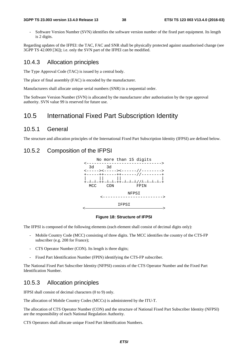#### **3GPP TS 23.003 version 13.4.0 Release 13 38 ETSI TS 123 003 V13.4.0 (2016-03)**

- Software Version Number (SVN) identifies the software version number of the fixed part equipment. Its length is 2 digits.

Regarding updates of the IFPEI: the TAC, FAC and SNR shall be physically protected against unauthorised change (see 3GPP TS 42.009 [36]); i.e. only the SVN part of the IFPEI can be modified.

### 10.4.3 Allocation principles

The Type Approval Code (TAC) is issued by a central body.

The place of final assembly (FAC) is encoded by the manufacturer.

Manufacturers shall allocate unique serial numbers (SNR) in a sequential order.

The Software Version Number (SVN) is allocated by the manufacturer after authorisation by the type approval authority. SVN value 99 is reserved for future use.

# 10.5 International Fixed Part Subscription Identity

### 10.5.1 General

The structure and allocation principles of the International Fixed Part Subscription Identity (IFPSI) are defined below.

### 10.5.2 Composition of the IFPSI



#### **Figure 18: Structure of IFPSI**

The IFPSI is composed of the following elements (each element shall consist of decimal digits only):

- Mobile Country Code (MCC) consisting of three digits. The MCC identifies the country of the CTS-FP subscriber (e.g. 208 for France);
- CTS Operator Number (CON). Its length is three digits;
- Fixed Part Identification Number (FPIN) identifying the CTS-FP subscriber.

The National Fixed Part Subscriber Identity (NFPSI) consists of the CTS Operator Number and the Fixed Part Identification Number.

### 10.5.3 Allocation principles

IFPSI shall consist of decimal characters (0 to 9) only.

The allocation of Mobile Country Codes (MCCs) is administered by the ITU-T.

The allocation of CTS Operator Number (CON) and the structure of National Fixed Part Subscriber Identity (NFPSI) are the responsibility of each National Regulation Authority.

CTS Operators shall allocate unique Fixed Part Identification Numbers.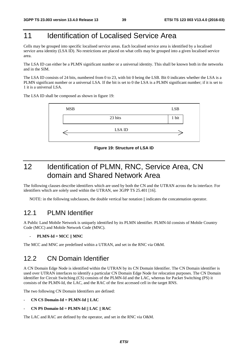# 11 **Identification of Localised Service Area**

Cells may be grouped into specific localised service areas. Each localised service area is identified by a localised service area identity (LSA ID). No restrictions are placed on what cells may be grouped into a given localised service area.

The LSA ID can either be a PLMN significant number or a universal identity. This shall be known both in the networks and in the SIM.

The LSA ID consists of 24 bits, numbered from 0 to 23, with bit 0 being the LSB. Bit 0 indicates whether the LSA is a PLMN significant number or a universal LSA. If the bit is set to 0 the LSA is a PLMN significant number; if it is set to 1 it is a universal LSA.

The LSA ID shall be composed as shown in figure 19:



**Figure 19: Structure of LSA ID** 

# 12 Identification of PLMN, RNC, Service Area, CN domain and Shared Network Area

The following clauses describe identifiers which are used by both the CN and the UTRAN across the Iu interface. For identifiers which are solely used within the UTRAN, see 3GPP TS 25.401 [16].

NOTE: in the following subclauses, the double vertical bar notation  $\|$  indicates the concatenation operator.

### 12.1 PLMN Identifier

A Public Land Mobile Network is uniquely identified by its PLMN identifier. PLMN-Id consists of Mobile Country Code (MCC) and Mobile Network Code (MNC).

#### - **PLMN-Id = MCC || MNC**

The MCC and MNC are predefined within a UTRAN, and set in the RNC via O&M.

## 12.2 CN Domain Identifier

A CN Domain Edge Node is identified within the UTRAN by its CN Domain Identifier. The CN Domain identifier is used over UTRAN interfaces to identify a particular CN Domain Edge Node for relocation purposes. The CN Domain identifier for Circuit Switching (CS) consists of the PLMN-Id and the LAC, whereas for Packet Switching (PS) it consists of the PLMN-Id, the LAC, and the RAC of the first accessed cell in the target RNS.

The two following CN Domain Identifiers are defined:

- **CN CS Domain-Id = PLMN-Id || LAC**
- **CN PS Domain-Id = PLMN-Id || LAC || RAC**

The LAC and RAC are defined by the operator, and set in the RNC via O&M.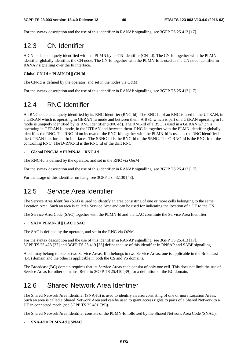For the syntax description and the use of this identifier in RANAP signalling, see 3GPP TS 25.413 [17].

# 12.3 CN Identifier

A CN node is uniquely identified within a PLMN by its CN Identifier (CN-Id). The CN-Id together with the PLMN identifier globally identifies the CN node. The CN-Id together with the PLMN-Id is used as the CN node identifier in RANAP signalling over the Iu interface.

#### **Global CN-Id = PLMN-Id || CN-Id**

The CN-Id is defined by the operator, and set in the nodes via O&M.

For the syntax description and the use of this identifier in RANAP signalling, see 3GPP TS 25.413 [17].

# 12.4 RNC Identifier

An RNC node is uniquely identified by its RNC Identifier (RNC-Id). The RNC-Id of an RNC is used in the UTRAN, in a GERAN which is operating in GERAN Iu mode and between them. A BSC which is part of a GERAN operating in Iu mode is uniquely identified by its RNC Identifier (RNC-Id). The RNC-Id of a BSC is used in a GERAN which is operating in GERAN Iu mode, in the UTRAN and between them. RNC-Id together with the PLMN identifier globally identifies the RNC. The RNC-Id on its own or the RNC-Id together with the PLMN-Id is used as the RNC identifier in the UTRAN Iub, Iur and Iu interfaces. The SRNC-Id is the RNC-Id of the SRNC. The C-RNC-Id is the RNC-Id of the controlling RNC. The D-RNC-Id is the RNC Id of the drift RNC.

#### - **Global RNC-Id = PLMN-Id || RNC-Id**

The RNC-Id is defined by the operator, and set in the RNC via O&M

For the syntax description and the use of this identifier in RANAP signalling, see 3GPP TS 25.413 [17].

For the usage of this identifier on Iur-g, see 3GPP TS 43.130 [43].

# 12.5 Service Area Identifier

The Service Area Identifier (SAI) is used to identify an area consisting of one or more cells belonging to the same Location Area. Such an area is called a Service Area and can be used for indicating the location of a UE to the CN.

The Service Area Code (SAC) together with the PLMN-Id and the LAC constitute the Service Area Identifier.

#### - **SAI = PLMN-Id || LAC || SAC**

The SAC is defined by the operator, and set in the RNC via O&M.

For the syntax description and the use of this identifier in RANAP signalling, see 3GPP TS 25.413 [17]. 3GPP TS 25.423 [37] and 3GPP TS 25.419 [38] define the use of this identifier in RNSAP and SABP signalling.

A cell may belong to one or two Service Areas. If it belongs to two Service Areas, one is applicable in the Broadcast (BC) domain and the other is applicable in both the CS and PS domains.

The Broadcast (BC) domain requires that its Service Areas each consist of only one cell. This does not limit the use of Service Areas for other domains. Refer to 3GPP TS 25.410 [39] for a definition of the BC domain.

# 12.6 Shared Network Area Identifier

The Shared Network Area Identifier (SNA-Id) is used to identify an area consisting of one or more Location Areas. Such an area is called a Shared Network Area and can be used to grant access rights to parts of a Shared Network to a UE in connected mode (see 3GPP TS 25.401 [39]).

The Shared Network Area Identifier consists of the PLMN-Id followed by the Shared Network Area Code (SNAC).

#### - **SNA-Id = PLMN-Id || SNAC**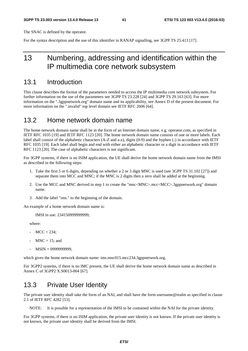The SNAC is defined by the operator.

For the syntax description and the use of this identifier in RANAP signalling, see 3GPP TS 25.413 [17].

# 13 Numbering, addressing and identification within the IP multimedia core network subsystem

### 13.1 Introduction

This clause describes the format of the parameters needed to access the IP multimedia core network subsystem. For further information on the use of the parameters see 3GPP TS 23.228 [24] and 3GPP TS 29.163 [63]. For more information on the ".3gppnetwork.org" domain name and its applicability, see Annex D of the present document. For more information on the ".invalid" top level domain see IETF RFC 2606 [64].

### 13.2 Home network domain name

The home network domain name shall be in the form of an Internet domain name, e.g. operator.com, as specified in IETF RFC 1035 [19] and IETF RFC 1123 [20]. The home network domain name consists of one or more labels. Each label shall consist of the alphabetic characters (A-Z and a-z), digits (0-9) and the hyphen (-) in accordance with IETF RFC 1035 [19]. Each label shall begin and end with either an alphabetic character or a digit in accordance with IETF RFC 1123 [20]. The case of alphabetic characters is not significant.

For 3GPP systems, if there is no ISIM application, the UE shall derive the home network domain name from the IMSI as described in the following steps:

- 1. Take the first 5 or 6 digits, depending on whether a 2 or 3 digit MNC is used (see 3GPP TS 31.102 [27]) and separate them into MCC and MNC; if the MNC is 2 digits then a zero shall be added at the beginning.
- 2. Use the MCC and MNC derived in step 1 to create the "mnc<MNC>.mcc<MCC>.3gppnetwork.org" domain name.
- 3. Add the label "ims." to the beginning of the domain.

An example of a home network domain name is:

IMSI in use: 234150999999999;

where:

- $MCC = 234$ ;
- $MNC = 15$ ; and
- MSIN = 0999999999,

which gives the home network domain name: ims.mnc015.mcc234.3gppnetwork.org.

For 3GPP2 systems, if there is no IMC present, the UE shall derive the home network domain name as described in Annex C of 3GPP2 X.S0013-004 [67].

## 13.3 Private User Identity

The private user identity shall take the form of an NAI, and shall have the form username@realm as specified in clause 2.1 of IETF RFC 4282 [53].

NOTE: It is possible for a representation of the IMSI to be contained within the NAI for the private identity.

For 3GPP systems, if there is no ISIM application, the private user identity is not known. If the private user identity is not known, the private user identity shall be derived from the IMSI.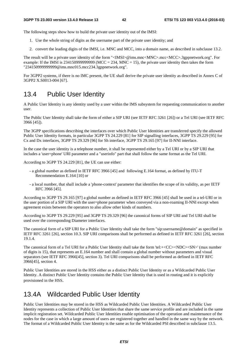The following steps show how to build the private user identity out of the IMSI:

- 1. Use the whole string of digits as the username part of the private user identity; and
- 2. convert the leading digits of the IMSI, i.e. MNC and MCC, into a domain name, as described in subclause 13.2.

The result will be a private user identity of the form "<IMSI>@ims.mnc<MNC>.mcc<MCC>.3gppnetwork.org". For example: If the IMSI is 2341509999999999 (MCC = 234, MNC = 15), the private user identity then takes the form "234150999999999@ims.mnc015.mcc234.3gppnetwork.org".

For 3GPP2 systems, if there is no IMC present, the UE shall derive the private user identity as described in Annex C of 3GPP2 X.S0013-004 [67].

## 13.4 Public User Identity

A Public User Identity is any identity used by a user within the IMS subsystem for requesting communication to another user.

The Public User Identity shall take the form of either a SIP URI (see IETF RFC 3261 [26]) or a Tel URI (see IETF RFC 3966 [45]).

The 3GPP specifications describing the interfaces over which Public User Identities are transferred specify the allowed Public User Identity formats, in particular 3GPP TS 24.229 [81] for SIP signalling interfaces, 3GPP TS 29.229 [95] for Cx and Dx interfaces, 3GPP TS 29.329 [96] for Sh interface, 3GPP TS 29.165 [97] for II-NNI interface.

In the case the user identity is a telephone number, it shall be represented either by a Tel URI or by a SIP URI that includes a 'user=phone' URI parameter and a "userinfo" part that shall follow the same format as the Tel URI.

According to 3GPP TS 24.229 [81], the UE can use either:

- a global number as defined in IETF RFC 3966 [45] and following E.164 format, as defined by ITU-T Recommendation E.164 [10] or
- a local number, that shall include a 'phone-context' parameter that identifies the scope of its validity, as per IETF RFC 3966 [45].

According to 3GPP TS 29.165 [97] a global number as defined in IETF RFC 3966 [45] shall be used in a tel-URI or in the user portion of a SIP URI with the user=phone parameter when conveyed via a non-roaming II-NNI except when agreement exists between the operators to also allow other kinds of numbers.

According to 3GPP TS 29.229 [95] and 3GPP TS 29.329 [96] the canonical forms of SIP URI and Tel URI shall be used over the corresponding Diameter interfaces.

The canonical form of a SIP URI for a Public User Identity shall take the form "sip:username@domain" as specified in IETF RFC 3261 [26], section 10.3. SIP URI comparisons shall be performed as defined in IETF RFC 3261 [26], section 19.1.4.

The canonical form of a Tel URI for a Public User Identity shall take the form 'tel:+<CC><NDC><SN>' (max number of digits is 15), that represents an E.164 number and shall contain a global number without parameters and visual separators (see IETF RFC 3966[45], section 3). Tel URI comparisons shall be performed as defined in IETF RFC 3966[45], section 4.

Public User Identities are stored in the HSS either as a distinct Public User Identity or as a Wildcarded Public User Identity. A distinct Public User Identity contains the Public User Identity that is used in routing and it is explicitly provisioned in the HSS.

## 13.4A Wildcarded Public User Identity

Public User Identities may be stored in the HSS as Wildcarded Public User Identities. A Wildcarded Public User Identity represents a collection of Public User Identities that share the same service profile and are included in the same implicit registration set. Wildcarded Public User Identities enable optimisation of the operation and maintenance of the nodes for the case in which a large amount of users are registered together and handled in the same way by the network. The format of a Wildcarded Public User Identity is the same as for the Wildcarded PSI described in subclause 13.5.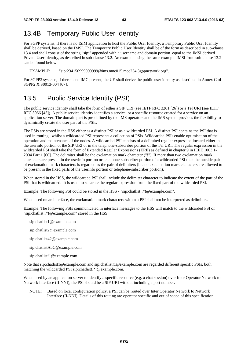# 13.4B Temporary Public User Identity

For 3GPP systems, if there is no ISIM application to host the Public User Identity, a Temporary Public User Identity shall be derived, based on the IMSI. The Temporary Public User Identity shall be of the form as described in sub-clause 13.4 and shall consist of the string "sip:" appended with a username and domain portion equal to the IMSI derived Private User Identity, as described in sub-clause 13.2. An example using the same example IMSI from sub-clause 13.2 can be found below:

EXAMPLE: "sip:234150999999999@ims.mnc015.mcc234.3gppnetwork.org".

For 3GPP2 systems, if there is no IMC present, the UE shall derive the public user identity as described in Annex C of 3GPP2 X.S0013-004 [67].

# 13.5 Public Service Identity (PSI)

The public service identity shall take the form of either a SIP URI (see IETF RFC 3261 [26]) or a Tel URI (see IETF RFC 3966 [45]). A public service identity identifies a service, or a specific resource created for a service on an application server. The domain part is pre-defined by the IMS operators and the IMS system provides the flexibility to dynamically create the user part of the PSIs.

The PSIs are stored in the HSS either as a distinct PSI or as a wildcarded PSI. A distinct PSI contains the PSI that is used in routing , whilst a wildcarded PSI represents a collection of PSIs. Wildcarded PSIs enable optimisation of the operation and maintenance of the nodes. A wildcarded PSI consists of a delimited regular expression located either in the userinfo portion of the SIP URI or in the telephone-subscriber portion of the Tel URI. The regular expression in the wildcarded PSI shall take the form of Extended Regular Expressions (ERE) as defined in chapter 9 in IEEE 1003.1- 2004 Part 1 [60]. The delimiter shall be the exclamation mark character ("!"). If more than two exclamation mark characters are present in the userinfo portion or telephone-subscriber portion of a wildcarded PSI then the outside pair of exclamation mark characters is regarded as the pair of delimiters (i.e. no exclamation mark characters are allowed to be present in the fixed parts of the userinfo portion or telephone-subscriber portion).

When stored in the HSS, the wildcarded PSI shall include the delimiter character to indicate the extent of the part of the PSI that is wildcarded. It is used to separate the regular expression from the fixed part of the wildcarded PSI.

Example: The following PSI could be stored in the HSS - "sip:chatlist!.\*!@example.com".

When used on an interface, the exclamation mark characters within a PSI shall not be interpreted as delimiter..

Example: The following PSIs communicated in interface messages to the HSS will match to the wildcarded PSI of "sip:chatlist!.\*!@example.com" stored in the HSS:

- sip:chatlist1@example.com
- sip:chatlist2@example.com
- sip:chatlist42@example.com
- sip:chatlistAbC@example.com
- sip:chatlist!1@example.com

Note that sip:chatlist1@example.com and sip:chatlist!1@example.com are regarded different specific PSIs, both matching the wildcarded PSI sip:chatlist!.\*!@example.com.

When used by an application server to identify a specific resource (e.g. a chat session) over Inter Operator Network to Network Interface (II-NNI), the PSI should be a SIP URI without including a port number.

NOTE: Based on local configuration policy, a PSI can be routed over Inter Operator Network to Network Interface (II-NNI). Details of this routing are operator specific and out of scope of this specification.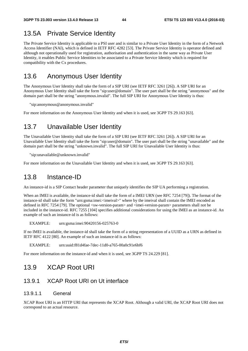# 13.5A Private Service Identity

The Private Service Identity is applicable to a PSI user and is similar to a Private User Identity in the form of a Network Access Identifier (NAI), which is defined in IETF RFC 4282 [53]. The Private Service Identity is operator defined and although not operationally used for registration, authorisation and authentication in the same way as Private User Identity, it enables Public Service Identities to be associated to a Private Service Identity which is required for compatibility with the Cx procedures.

# 13.6 Anonymous User Identity

The Anonymous User Identity shall take the form of a SIP URI (see IETF RFC 3261 [26]). A SIP URI for an Anonymous User Identity shall take the form "sip:user@domain". The user part shall be the string "anonymous" and the domain part shall be the string "anonymous.invalid". The full SIP URI for Anonymous User Identity is thus:

"sip:anonymous@anonymous.invalid"

For more information on the Anonymous User Identity and when it is used, see 3GPP TS 29.163 [63].

# 13.7 Unavailable User Identity

The Unavailable User Identity shall take the form of a SIP URI (see IETF RFC 3261 [26]). A SIP URI for an Unavailable User Identity shall take the form "sip:user@domain". The user part shall be the string "unavailable" and the domain part shall be the string "unknown.invalid". The full SIP URI for Unavailable User Identity is thus:

"sip:unavailable@unknown.invalid"

For more information on the Unavailable User Identity and when it is used, see 3GPP TS 29.163 [63].

## 13.8 Instance-ID

An instance-id is a SIP Contact header parameter that uniquely identifies the SIP UA performing a registration.

When an IMEI is available, the instance-id shall take the form of a IMEI URN (see RFC 7254 [79]). The format of the instance-id shall take the form "urn:gsma:imei:<imeival>" where by the imeival shall contain the IMEI encoded as defined in RFC 7254 [79]. The optional <sw-version-param> and <imei-version-param> parameters shall not be included in the instance-id. RFC 7255 [104] specifies additional considerations for using the IMEI as an instance-id. An example of such an instance-id is as follows:

EXAMPLE: urn:gsma:imei:90420156-025763-0

If no IMEI is available, the instance-id shall take the form of a string representation of a UUID as a URN as defined in IETF RFC 4122 [80]. An example of such an instance-id is as follows:

EXAMPLE: urn:uuid:f81d4fae-7dec-11d0-a765-00a0c91e6bf6

For more information on the instance-id and when it is used, see 3GPP TS 24.229 [81].

### 13.9 XCAP Root URI

### 13.9.1 XCAP Root URI on Ut interface

#### 13.9.1.1 General

XCAP Root URI is an HTTP URI that represents the XCAP Root. Although a valid URI, the XCAP Root URI does not correspond to an actual resource.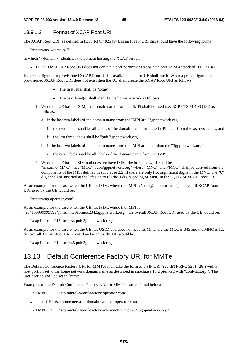#### 13.9.1.2 Format of XCAP Root URI

The XCAP Root URI, as defined in IETF RFC 4825 [94], is an HTTP URI that should have the following format:

"http://xcap.<domain>"

in which "<domain>" identifies the domain hosting the XCAP server.

NOTE 1: The XCAP Root URI does not contain a port portion or an abs path portion of a standard HTTP URI.

If a preconfigured or provisioned XCAP Root URI is available then the UE shall use it. When a preconfigured or provisioned XCAP Root URI does not exist then the UE shall create the XCAP Root URI as follows:

- The first label shall be "xcap".
- The next label(s) shall identify the home network as follows:
- 1. When the UE has an ISIM, the domain name from the IMPI shall be used (see 3GPP TS 31.103 [93]) as follows:
	- a. if the last two labels of the domain name from the IMPI are "3gppnetwork.org":
		- i. the next labels shall be all labels of the domain name from the IMPI apart from the last two labels; and
		- ii. the last three labels shall be "pub.3gppnetwork.org";
	- b. if the last two labels of the domain name from the IMPI are other than the "3gppnetwork.org":
		- i. the next labels shall be all labels of the domain name from the IMPI;
- 2. When the UE has a USIM and does not have ISIM, the home network shall be "ims.mnc<MNC>.mcc<MCC>.pub.3gppnetwork.org" where <MNC> and <MCC> shall be derived from the components of the IMSI defined in subclause 2.2. If there are only two significant digits in the MNC, one "0" digit shall be inserted at the left side to fill the 3 digits coding of MNC in the FQDN of XCAP Root URI.

As an example for the case when the UE has ISIM, where the IMPI is "user@operator.com", the overall XCAP Root URI used by the UE would be:

"http://xcap.operator.com".

As an example for the case when the UE has ISIM, where the IMPI is "234150999999999@ims.mnc015.mcc234.3gppnetwork.org", the overall XCAP Root URI used by the UE would be:

"xcap.ims.mnc015.mcc234.pub.3gppnetwork.org".

As an example for the case when the UE has USIM and does not have ISIM, where the MCC is 345 and the MNC is 12, the overall XCAP Root URI created and used by the UE would be:

"xcap.ims.mnc012.mcc345.pub.3gppnetwork.org"

# 13.10 Default Conference Factory URI for MMTel

The Default Conference Factory URI for MMTel shall take the form of a SIP URI (see IETF RFC 3261 [26]) with a host portion set to the home network domain name as described in subclause 13.2 prefixed with "conf-factory.". The user portion shall be set to "mmtel".

Examples of the Default Conference Factory URI for MMTel can be found below:

EXAMPLE 1: "sip:mmtel@conf-factory.operator.com"

when the UE has a home network domain name of operator.com.

EXAMPLE 2: "sip:mmtel@conf-factory.ims.mnc015.mcc234.3gppnetwork.org"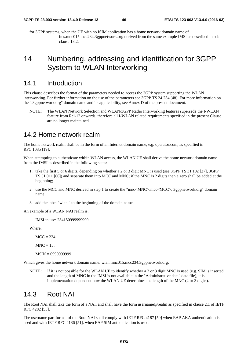for 3GPP systems, when the UE with no ISIM application has a home network domain name of ims.mnc015.mcc234.3gppnetwork.org derived from the same example IMSI as described in subclause 13.2.

# 14 Numbering, addressing and identification for 3GPP System to WLAN Interworking

### 14.1 Introduction

This clause describes the format of the parameters needed to access the 3GPP system supporting the WLAN interworking. For further information on the use of the parameters see 3GPP TS 24.234 [48]. For more information on the ".3gppnetwork.org" domain name and its applicability, see Annex D of the present document.

NOTE: The WLAN Network Selection and WLAN/3GPP Radio Interworking features supersede the I-WLAN feature from Rel-12 onwards, therefore all I-WLAN related requirements specified in the present Clause are no longer maintained.

### 14.2 Home network realm

The home network realm shall be in the form of an Internet domain name, e.g. operator.com, as specified in RFC 1035 [19].

When attempting to authenticate within WLAN access, the WLAN UE shall derive the home network domain name from the IMSI as described in the following steps:

- 1. take the first 5 or 6 digits, depending on whether a 2 or 3 digit MNC is used (see 3GPP TS 31.102 [27], 3GPP TS 51.011 [66]) and separate them into MCC and MNC; if the MNC is 2 digits then a zero shall be added at the beginning;
- 2. use the MCC and MNC derived in step 1 to create the "mnc<MNC>.mcc<MCC>. 3gppnetwork.org" domain name;
- 3. add the label "wlan." to the beginning of the domain name.

An example of a WLAN NAI realm is:

IMSI in use: 234150999999999;

Where:

 $MCC = 234$ ;

 $MNC = 15$ ;

MSIN = 0999999999

Which gives the home network domain name: wlan.mnc015.mcc234.3gppnetwork.org.

NOTE: If it is not possible for the WLAN UE to identify whether a 2 or 3 digit MNC is used (e.g. SIM is inserted and the length of MNC in the IMSI is not available in the "Administrative data" data file), it is implementation dependent how the WLAN UE determines the length of the MNC (2 or 3 digits).

### 14.3 Root NAI

The Root NAI shall take the form of a NAI, and shall have the form username@realm as specified in clause 2.1 of IETF RFC 4282 [53].

The username part format of the Root NAI shall comply with IETF RFC 4187 [50] when EAP AKA authentication is used and with IETF RFC 4186 [51], when EAP SIM authentication is used.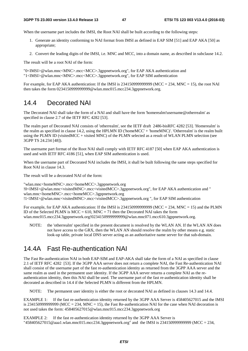When the username part includes the IMSI, the Root NAI shall be built according to the following steps:

- 1. Generate an identity conforming to NAI format from IMSI as defined in EAP SIM [51] and EAP AKA [50] as appropriate;
- 2. Convert the leading digits of the IMSI, i.e. MNC and MCC, into a domain name, as described in subclause 14.2.

The result will be a root NAI of the form:

"0<IMSI>@wlan.mnc<MNC>.mcc<MCC>.3gppnetwork.org", for EAP AKA authentication and "1<IMSI>@wlan.mnc<MNC>.mcc<MCC>.3gppnetwork.org", for EAP SIM authentication

For example, for EAP AKA authentication: If the IMSI is 2341509999999999 (MCC = 234, MNC = 15), the root NAI then takes the form 0234150999999999@wlan.mnc015.mcc234.3gppnetwork.org.

## 14.4 Decorated NAI

The Decorated NAI shall take the form of a NAI and shall have the form 'homerealm!username@otherrealm' as specified in clause 2.7 of the IETF RFC 4282 [53].

The realm part of Decorated NAI consists of 'otherrealm', see the IETF draft 2486-bisRFC 4282 [53]. 'Homerealm' is the realm as specified in clause 14.2, using the HPLMN ID ('homeMCC' + 'homeMNC)'. 'Otherrealm' is the realm built using the PLMN ID (visitedMCC + visited MNC) of the PLMN selected as a result of WLAN PLMN selection (see 3GPP TS 24.234 [48]).

The username part format of the Root NAI shall comply with IETF RFC 4187 [50] when EAP AKA authentication is used and with IETF RFC 4186 [51], when EAP SIM authentication is used.

When the username part of Decorated NAI includes the IMSI, it shall be built following the same steps specified for Root NAI in clause 14.3.

The result will be a decorated NAI of the form:

"wlan.mnc<homeMNC>.mcc<homeMCC>.3gppnetwork.org !0<IMSI>@wlan.mnc<visitedMNC>.mcc<visitedMCC>.3gppnetwork.org", for EAP AKA authentication and " wlan.mnc<homeMNC>.mcc<homeMCC>.3gppnetwork.org !1<IMSI>@wlan.mnc<visitedMNC>.mcc<visitedMCC>.3gppnetwork.org ", for EAP SIM authentication

For example, for EAP AKA authentication: If the IMSI is 23415099999999999 (MCC = 234, MNC = 15) and the PLMN ID of the Selected PLMN is  $MCC = 610$ ,  $MNC = 71$  then the Decorated NAI takes the form wlan.mnc015.mcc234.3gppnetwork.org!0234150999999999@wlan.mnc071.mcc610.3gppnetwork.org.

NOTE: the 'otherrealm' specified in the present document is resolved by the WLAN AN. If the WLAN AN does not have access to the GRX, then the WLAN AN should resolve the realm by other means e.g. static look-up table, private local DNS server acting as an authoritative name server for that sub-domain.

# 14.4A Fast Re-authentication NAI

The Fast Re-authentication NAI in both EAP-SIM and EAP-AKA shall take the form of a NAI as specified in clause 2.1 of IETF RFC 4282 [53]. If the 3GPP AAA server does not return a complete NAI, the Fast Re-authentication NAI shall consist of the username part of the fast re-authentication identity as returned from the 3GPP AAA server and the same realm as used in the permanent user identity. If the 3GPP AAA server returns a complete NAI as the reauthentication identity, then this NAI shall be used. The username part of the fast re-authentication identity shall be decorated as described in 14.4 if the Selected PLMN is different from the HPLMN.

NOTE: The permanent user identity is either the root or decorated NAI as defined in clauses 14.3 and 14.4.

EXAMPLE 1: If the fast re-authentication identity returned by the 3GPP AAA Server is 458405627015 and the IMSI is 2341509999999999 (MCC = 234, MNC = 15), the Fast Re-authentication NAI for the case when NAI decoration is not used takes the form: 458405627015@wlan.mnc015.mcc234.3gppnetwork.org

EXAMPLE 2: If the fast re-authentication identity returned by the 3GPP AAA Server is "458405627015@aaa1.wlan.mnc015.mcc234.3gppnetwork.org" and the IMSI is 234150999999999 (MCC = 234,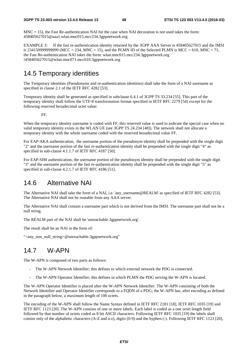$MNC = 15$ ), the Fast Re-authentication NAI for the case when NAI decoration is not used takes the form: 458405627015@aaa1.wlan.mnc015.mcc234.3gppnetwork.org

EXAMPLE 3: If the fast re-authentication identity returned by the 3GPP AAA Server is 458405627015 and the IMSI is 23415099999999999 (MCC = 234, MNC = 15), and the PLMN ID of the Selected PLMN is MCC = 610, MNC = 71, the Fast Re-authentication NAI takes the form: wlan.mnc015.mcc234.3gppnetwork.org !458405627015@wlan.mnc071.mcc610.3gppnetwork.org

# 14.5 Temporary identities

The Temporary identities (Pseudonyms and re-authentication identities) shall take the form of a NAI username as specified in clause 2.1 of the IETF RFC 4282 [53].

Temporary identity shall be generated as specified in subclause 6.4.1 of 3GPP TS 33.234 [55]. This part of the temporary identity shall follow the UTF-8 transformation format specified in IETF RFC 2279 [54] except for the following reserved hexadecimal octet value:

FF.

When the temporary identity username is coded with FF, this reserved value is used to indicate the special case when no valid temporary identity exists in the WLAN UE (see 3GPP TS 24.234 [48]). The network shall not allocate a temporary identity with the whole username coded with the reserved hexadecimal value FF.

For EAP-AKA authentication, the username portion of the pseudonym identity shall be prepended with the single digit "2" and the username portion of the fast re-authentication identity shall be prepended with the single digit "4" as specified in sub-clause 4.1.1.7 of IETF RFC 4187 [50].

For EAP-SIM authentication, the username portion of the pseudonym identity shall be prepended with the single digit "3" and the username portion of the fast re-authentication identity shall be prepended with the single digit "5" as specified in sub-clause 4.2.1.7 of IETF RFC 4186 [51].

# 14.6 Alternative NAI

The Alternative NAI shall take the form of a NAI, i.e. 'any username@REALM' as specified of IETF RFC 4282 [53]. The Alternative NAI shall not be routable from any AAA server.

The Alternative NAI shall contain a username part which is not derived from the IMSI. The username part shall not be a null string.

The REALM part of the NAI shall be 'unreachable.3gppnetwork.org'.

The result shall be an NAI in the form of:

"<any\_non\_null\_string>@unreachable.3gppnetwork.org"

# 14.7 W-APN

The W-APN is composed of two parts as follows:

- The W-APN Network Identifier; this defines to which external network the PDG is connected.
- The W-APN Operator Identifier; this defines in which PLMN the PDG serving the W-APN is located.

The W-APN Operator Identifier is placed after the W-APN Network Identifier. The W-APN consisting of both the Network Identifier and Operator Identifier corresponds to a FQDN of a PDG; the W-APN has, after encoding as defined in the paragraph below, a maximum length of 100 octets.

The encoding of the W-APN shall follow the Name Syntax defined in IETF RFC 2181 [18], IETF RFC 1035 [19] and IETF RFC 1123 [20]. The W-APN consists of one or more labels. Each label is coded as a one octet length field followed by that number of octets coded as 8 bit ASCII characters. Following IETF RFC 1035 [19] the labels shall consist only of the alphabetic characters (A-Z and a-z), digits (0-9) and the hyphen (-). Following IETF RFC 1123 [20],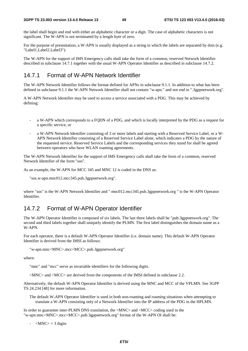the label shall begin and end with either an alphabetic character or a digit. The case of alphabetic characters is not significant. The W-APN is not terminated by a length byte of zero.

For the purpose of presentation, a W-APN is usually displayed as a string in which the labels are separated by dots (e.g. "Label1.Label2.Label3").

The W-APN for the support of IMS Emergency calls shall take the form of a common, reserved Network Identifier described in subclause 14.7.1 together with the usual W-APN Operator Identifier as described in subclause 14.7.2.

### 14.7.1 Format of W-APN Network Identifier

The W-APN Network Identifier follows the format defined for APNs in subclause 9.1.1. In addition to what has been defined in subclause 9.1.1 the W-APN Network Identifier shall not contain "w-apn." and not end in ".3gppnetwork.org".

A W-APN Network Identifier may be used to access a service associated with a PDG. This may be achieved by defining:

- a W-APN which corresponds to a FQDN of a PDG, and which is locally interpreted by the PDG as a request for a specific service, or
- a W-APN Network Identifier consisting of 3 or more labels and starting with a Reserved Service Label, or a W-APN Network Identifier consisting of a Reserved Service Label alone, which indicates a PDG by the nature of the requested service. Reserved Service Labels and the corresponding services they stand for shall be agreed between operators who have WLAN roaming agreements.

The W-APN Network Identifier for the support of IMS Emergency calls shall take the form of a common, reserved Network Identifier of the form "sos".

As an example, the W-APN for MCC 345 and MNC 12 is coded in the DNS as:

"sos.w-apn.mnc012.mcc345.pub.3gppnetwork.org".

where "sos" is the W-APN Network Identifier and " mnc012.mcc345.pub.3gppnetwork.org " is the W-APN Operator Identifier.

### 14.7.2 Format of W-APN Operator Identifier

The W-APN Operator Identifier is composed of six labels. The last three labels shall be "pub.3gppnetwork.org". The second and third labels together shall uniquely identify the PLMN. The first label distinguishes the domain name as a W-APN.

For each operator, there is a default W-APN Operator Identifier (i.e. domain name). This default W-APN Operator Identifier is derived from the IMSI as follows:

"w-apn.mnc<MNC>.mcc<MCC>.pub.3gppnetwork.org"

where:

"mnc" and "mcc" serve as invariable identifiers for the following digits.

 $\langle$ MNC $\rangle$  and  $\langle$ MCC $\rangle$  are derived from the components of the IMSI defined in subclause 2.2.

Alternatively, the default W-APN Operator Identifier is derived using the MNC and MCC of the VPLMN. See 3GPP TS 24.234 [48] for more information.

The default W-APN Operator Identifier is used in both non-roaming and roaming situations when attempting to translate a W-APN consisting only of a Network Identifier into the IP address of the PDG in the HPLMN.

In order to guarantee inter-PLMN DNS translation, the <MNC> and <MCC> coding used in the "w-apn.mnc<MNC>.mcc<MCC>.pub.3gppnetwork.org" format of the W-APN OI shall be:

 $-MNC$  = 3 digits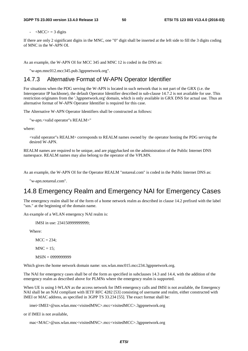$\langle MCC \rangle = 3$  digits

If there are only 2 significant digits in the MNC, one "0" digit shall be inserted at the left side to fill the 3 digits coding of MNC in the W-APN OI.

As an example, the W-APN OI for MCC 345 and MNC 12 is coded in the DNS as:

"w-apn.mnc012.mcc345.pub.3gppnetwork.org".

### 14.7.3 Alternative Format of W-APN Operator Identifier

For situations when the PDG serving the W-APN is located in such network that is not part of the GRX (i.e. the Interoperator IP backbone), the default Operator Identifier described in sub-clause 14.7.2 is not available for use. This restriction originates from the '.3gppnetwork.org' domain, which is only available in GRX DNS for actual use. Thus an alternative format of W-APN Operator Identifier is required for this case.

The Alternative W-APN Operator Identifiers shall be constructed as follows:

"w-apn.<valid operator"s REALM>"

where:

<valid operator"s REALM> corresponds to REALM names owned by the operator hosting the PDG serving the desired W-APN.

REALM names are required to be unique, and are piggybacked on the administration of the Public Internet DNS namespace. REALM names may also belong to the operator of the VPLMN.

As an example, the W-APN OI for the Operator REALM "notareal.com" is coded in the Public Internet DNS as:

"w-apn.notareal.com".

# 14.8 Emergency Realm and Emergency NAI for Emergency Cases

The emergency realm shall be of the form of a home network realm as described in clause 14.2 prefixed with the label "sos." at the beginning of the domain name.

An example of a WLAN emergency NAI realm is:

IMSI in use: 234150999999999;

Where:

 $MCC = 234$ :

 $MNC = 15$ :

MSIN = 0999999999

Which gives the home network domain name: sos.wlan.mnc015.mcc234.3gppnetwork.org.

The NAI for emergency cases shall be of the form as specified in subclauses 14.3 and 14.4, with the addition of the emergency realm as described above for PLMNs where the emergency realm is supported.

When UE is using I-WLAN as the access network for IMS emergency calls and IMSI is not available, the Emergency NAI shall be an NAI compliant with IETF RFC 4282 [53] consisting of username and realm, either constructed with IMEI or MAC address, as specified in 3GPP TS 33.234 [55]. The exact format shall be:

imei<IMEI>@sos.wlan.mnc<visitedMNC>.mcc<visitedMCC>.3gppnetwork.org

or if IMEI is not available,

mac<MAC>@sos.wlan.mnc<visitedMNC>.mcc<visitedMCC>.3gppnetwork.org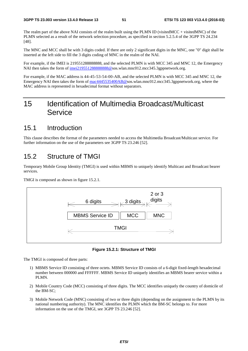The realm part of the above NAI consists of the realm built using the PLMN ID (visitedMCC + visitedMNC) of the PLMN selected as a result of the network selection procedure, as specified in section 5.2.5.4 of the 3GPP TS 24.234 [48].

The MNC and MCC shall be with 3 digits coded. If there are only 2 significant digits in the MNC, one "0" digit shall be inserted at the left side to fill the 3 digits coding of MNC in the realm of the NAI.

For example, if the IMEI is 219551288888888, and the selected PLMN is with MCC 345 and MNC 12, the Emergency NAI then takes the form of imei21955128888888888@sos.wlan.mnc012.mcc345.3gppnetwork.org.

For example, if the MAC address is 44-45-53-54-00-AB, and the selected PLMN is with MCC 345 and MNC 12, the Emergency NAI then takes the form of [mac4445535400AB@s](mailto:mac4445535400AB@sos.invalid)os.wlan.mnc012.mcc345.3gppnetwork.org, where the MAC address is represented in hexadecimal format without separators.

# 15 Identification of Multimedia Broadcast/Multicast **Service**

### 15.1 Introduction

This clause describes the format of the parameters needed to access the Multimedia Broadcast/Multicast service. For further information on the use of the parameters see 3GPP TS 23.246 [52].

# 15.2 Structure of TMGI

Temporary Mobile Group Identity (TMGI) is used within MBMS to uniquely identify Multicast and Broadcast bearer services.

TMGI is composed as shown in figure 15.2.1.



**Figure 15.2.1: Structure of TMGI** 

The TMGI is composed of three parts:

- 1) MBMS Service ID consisting of three octets. MBMS Service ID consists of a 6-digit fixed-length hexadecimal number between 000000 and FFFFFF. MBMS Service ID uniquely identifies an MBMS bearer service within a PLMN.
- 2) Mobile Country Code (MCC) consisting of three digits. The MCC identifies uniquely the country of domicile of the BM-SC;
- 3) Mobile Network Code (MNC) consisting of two or three digits (depending on the assignment to the PLMN by its national numbering authority). The MNC identifies the PLMN which the BM-SC belongs to. For more information on the use of the TMGI, see 3GPP TS 23.246 [52].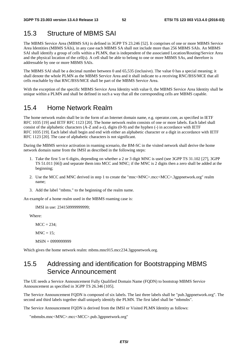# 15.3 Structure of MBMS SAI

The MBMS Service Area (MBMS SA) is defined in 3GPP TS 23.246 [52]. It comprises of one or more MBMS Service Area Identities (MBMS SAIs), in any case each MBMS SA shall not include more than 256 MBMS SAIs. An MBMS SAI shall identify a group of cells within a PLMN, that is independent of the associated Location/Routing/Service Area and the physical location of the cell(s). A cell shall be able to belong to one or more MBMS SAs, and therefore is addressable by one or more MBMS SAIs.

The MBMS SAI shall be a decimal number between 0 and 65,535 (inclusive). The value 0 has a special meaning; it shall denote the whole PLMN as the MBMS Service Area and it shall indicate to a receiving RNC/BSS/MCE that all cells reachable by that RNC/BSS/MCE shall be part of the MBMS Service Area.

With the exception of the specific MBMS Service Area Identity with value 0, the MBMS Service Area Identity shall be unique within a PLMN and shall be defined in such a way that all the corresponding cells are MBMS capable.

## 15.4 Home Network Realm

The home network realm shall be in the form of an Internet domain name, e.g. operator.com, as specified in IETF RFC 1035 [19] and IETF RFC 1123 [20]. The home network realm consists of one or more labels. Each label shall consist of the alphabetic characters (A-Z and a-z), digits (0-9) and the hyphen (-) in accordance with IETF RFC 1035 [19]. Each label shall begin and end with either an alphabetic character or a digit in accordance with IETF RFC 1123 [20]. The case of alphabetic characters is not significant.

During the MBMS service activation in roaming scenario, the BM-SC in the visited network shall derive the home network domain name from the IMSI as described in the following steps:

- 1. Take the first 5 or 6 digits, depending on whether a 2 or 3 digit MNC is used (see 3GPP TS 31.102 [27], 3GPP TS 51.011 [66]) and separate them into MCC and MNC; if the MNC is 2 digits then a zero shall be added at the beginning;
- 2. Use the MCC and MNC derived in step 1 to create the "mnc<MNC>.mcc<MCC>.3gppnetwork.org" realm name;
- 3. Add the label "mbms." to the beginning of the realm name.

An example of a home realm used in the MBMS roaming case is:

IMSI in use: 234150999999999;

Where:

 $MCC = 234$ ;

 $MNC = 15$ ;

MSIN = 0999999999

Which gives the home network realm: mbms.mnc015.mcc234.3gppnetwork.org.

# 15.5 Addressing and identification for Bootstrapping MBMS Service Announcement

The UE needs a Service Announcement Fully Qualified Domain Name (FQDN) to bootstrap MBMS Service Announcement as specified in 3GPP TS 26.346 [105].

The Service Announcement FQDN is composed of six labels. The last three labels shall be "pub.3gppnetwork.org". The second and third labels together shall uniquely identify the PLMN. The first label shall be "mbmsbs".

The Service Announcement FQDN is derived from the IMSI or Visited PLMN Identity as follows:

"mbmsbs.mnc<MNC>.mcc<MCC>.pub.3gppnetwork.org"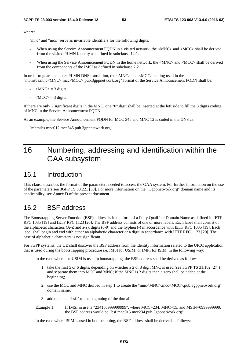where:

"mnc" and "mcc" serve as invariable identifiers for the following digits.

- When using the Service Announcement FODN in a visited network, the <MNC> and <MCC> shall be derived from the visited PLMN Identity as defined in subclause 12.1.
- When using the Service Announcement FODN in the home network, the <MNC> and <MCC> shall be derived from the components of the IMSI as defined in subclause 2.2.

In order to guarantee inter-PLMN DNS translation, the  $\langle$ MNC $\rangle$  and  $\langle$ MCC $\rangle$  coding used in the "mbmsbs.mnc<MNC>.mcc<MCC>.pub.3gppnetwork.org" format of the Service Announcement FQDN shall be:

- $-MNC$  = 3 digits
- $\langle MCC \rangle = 3$  digits

If there are only 2 significant digits in the MNC, one "0" digit shall be inserted at the left side to fill the 3 digits coding of MNC in the Service Announcement FQDN.

As an example, the Service Announcement FQDN for MCC 345 and MNC 12 is coded in the DNS as:

"mbmsbs.mnc012.mcc345.pub.3gppnetwork.org".

# 16 Numbering, addressing and identification within the GAA subsystem

### 16.1 Introduction

This clause describes the format of the parameters needed to access the GAA system. For further information on the use of the parameters see 3GPP TS 33.221 [58]. For more information on the ".3gppnetwork.org" domain name and its applicability, see Annex D of the present document.

### 16.2 BSF address

The Bootstrapping Server Function (BSF) address is in the form of a Fully Qualified Domain Name as defined in IETF RFC 1035 [19] and IETF RFC 1123 [20]. The BSF address consists of one or more labels. Each label shall consist of the alphabetic characters (A-Z and a-z), digits (0-9) and the hyphen (-) in accordance with IETF RFC 1035 [19]. Each label shall begin and end with either an alphabetic character or a digit in accordance with IETF RFC 1123 [20]. The case of alphabetic characters is not significant.

For 3GPP systems, the UE shall discover the BSF address from the identity information related to the UICC application that is used during the bootstrapping procedure i.e. IMSI for USIM, or IMPI for ISIM, in the following way:

- In the case where the USIM is used in bootstrapping, the BSF address shall be derived as follows:
	- 1. take the first 5 or 6 digits, depending on whether a 2 or 3 digit MNC is used (see 3GPP TS 31.102 [27]) and separate them into MCC and MNC; if the MNC is 2 digits then a zero shall be added at the beginning;
	- 2. use the MCC and MNC derived in step 1 to create the "mnc<MNC>.mcc<MCC>.pub.3gppnetwork.org" domain name;
	- 3. add the label "bsf." to the beginning of the domain.
	- Example 1: If IMSI in use is "234150999999999", where MCC=234, MNC=15, and MSIN=0999999999, the BSF address would be "bsf.mnc015.mcc234.pub.3gppnetwork.org".
- In the case where ISIM is used in bootstrapping, the BSF address shall be derived as follows: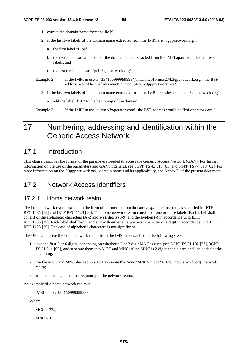- 1. extract the domain name from the IMPI;
- 2. if the last two labels of the domain name extracted from the IMPI are "3gppnetwork.org":
	- a. the first label is "bsf";
	- b. the next labels are all labels of the domain name extracted from the IMPI apart from the last two labels; and
	- c. the last three labels are "pub.3gppnetwork.org";
- Example 2: If the IMPI in use is "2341509999999999@ims.mnc015.mcc234.3gppnetwork.org", the BSF address would be "bsf.ims.mnc015.mcc234.pub.3gppnetwork.org".
	- 3. if the last two labels of the domain name extracted from the IMPI are other than the "3gppnetwork.org":
		- a. add the label "bsf." to the beginning of the domain.

Example 3: If the IMPI in use is "user@operator.com", the BSF address would be "bsf.operator.com ".

# 17 Numbering, addressing and identification within the Generic Access Network

### 17.1 Introduction

This clause describes the format of the parameters needed to access the Generic Access Network (GAN). For further information on the use of the parameters and GAN in general, see 3GPP TS 43.318 [61] and 3GPP TS 44.318 [62]. For more information on the ".3gppnetwork.org" domain name and its applicability, see Annex D of the present document.

## 17.2 Network Access Identifiers

#### 17.2.1 Home network realm

The home network realm shall be in the form of an Internet domain name, e.g. operator.com, as specified in IETF RFC 1035 [19] and IETF RFC 1123 [20]. The home network realm consists of one or more labels. Each label shall consist of the alphabetic characters (A-Z and a-z), digits (0-9) and the hyphen (-) in accordance with IETF RFC 1035 [19]. Each label shall begin and end with either an alphabetic character or a digit in accordance with IETF RFC 1123 [20]. The case of alphabetic characters is not significant.

The UE shall derive the home network realm from the IMSI as described in the following steps:

- 1. take the first 5 or 6 digits, depending on whether a 2 or 3 digit MNC is used (see 3GPP TS 31.102 [27], 3GPP TS 51.011 [66]) and separate them into MCC and MNC; if the MNC is 2 digits then a zero shall be added at the beginning;
- 2. use the MCC and MNC derived in step 1 to create the "mnc<MNC>.mcc<MCC>.3gppnetwork.org" network realm;
- 3. add the label "gan." to the beginning of the network realm.

An example of a home network realm is:

IMSI in use: 234150999999999;

Where:

 $MCC = 234$ :

 $MNC = 15$ :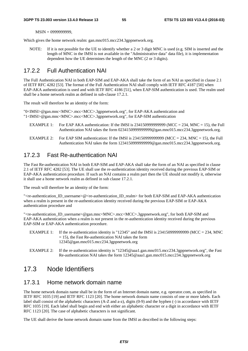MSIN = 0999999999,

Which gives the home network realm: gan.mnc015.mcc234.3gppnetwork.org.

NOTE: If it is not possible for the UE to identify whether a 2 or 3 digit MNC is used (e.g. SIM is inserted and the length of MNC in the IMSI is not available in the "Administrative data" data file), it is implementation dependent how the UE determines the length of the MNC (2 or 3 digits).

### 17.2.2 Full Authentication NAI

The Full Authentication NAI in both EAP-SIM and EAP-AKA shall take the form of an NAI as specified in clause 2.1 of IETF RFC 4282 [53]. The format of the Full Authentication NAI shall comply with IETF RFC 4187 [50] when EAP-AKA authentication is used and with IETF RFC 4186 [51], when EAP-SIM authentication is used. The realm used shall be a home network realm as defined in sub-clause 17.2.1.

The result will therefore be an identity of the form:

"0<IMSI>@gan.mnc<MNC>.mcc<MCC>.3gppnetwork.org", for EAP-AKA authentication and "1<IMSI>@gan.mnc<MNC>.mcc<MCC>.3gppnetwork.org", for EAP-SIM authentication

- EXAMPLE 1: For EAP AKA authentication: If the IMSI is 2341509999999999 (MCC = 234, MNC = 15), the Full Authentication NAI takes the form 0234150999999999@gan.mnc015.mcc234.3gppnetwork.org.
- EXAMPLE 2: For EAP SIM authentication: If the IMSI is  $2341509999999999$  (MCC = 234, MNC = 15), the Full Authentication NAI takes the form 1234150999999999@gan.mnc015.mcc234.3gppnetwork.org.

### 17.2.3 Fast Re-authentication NAI

The Fast Re-authentication NAI in both EAP-SIM and EAP-AKA shall take the form of an NAI as specified in clause 2.1 of IETF RFC 4282 [53]. The UE shall use the re-authentication identity received during the previous EAP-SIM or EAP-AKA authentication procedure. If such an NAI contains a realm part then the UE should not modify it, otherwise it shall use a home network realm as defined in sub clause 17.2.1.

The result will therefore be an identity of the form:

"<re-authentication\_ID\_username>@<re-authentication\_ID\_realm> for both EAP-SIM and EAP-AKA authentication when a realm is present in the re-authentication identity received during the previous EAP-SIM or EAP-AKA authentication procedure and

"<re-authentication\_ID\_username>@gan.mnc<MNC>.mcc<MCC>.3gppnetwork.org", for both EAP-SIM and EAP-AKA authentication when a realm is *not* present in the re-authentication identity received during the previous EAP-SIM or EAP-AKA authentication procedure.

- EXAMPLE 1: If the re-authentication identity is "12345" and the IMSI is 2341509999999999 (MCC = 234, MNC  $= 15$ ), the Fast Re-authentication NAI takes the form 12345@gan.mnc015.mcc234.3gppnetwork.org
- EXAMPLE 2: If the re-authentication identity is "12345@aaa1.gan.mnc015.mcc234.3gppnetwork.org", the Fast Re-authentication NAI takes the form 12345@aaa1.gan.mnc015.mcc234.3gppnetwork.org

## 17.3 Node Identifiers

### 17.3.1 Home network domain name

The home network domain name shall be in the form of an Internet domain name, e.g. operator.com, as specified in IETF RFC 1035 [19] and IETF RFC 1123 [20]. The home network domain name consists of one or more labels. Each label shall consist of the alphabetic characters (A-Z and a-z), digits (0-9) and the hyphen (-) in accordance with IETF RFC 1035 [19]. Each label shall begin and end with either an alphabetic character or a digit in accordance with IETF RFC 1123 [20]. The case of alphabetic characters is not significant.

The UE shall derive the home network domain name from the IMSI as described in the following steps: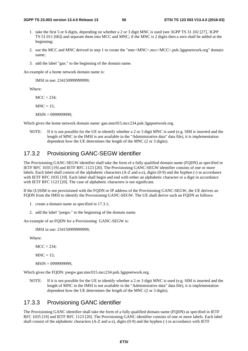- 1. take the first 5 or 6 digits, depending on whether a 2 or 3 digit MNC is used (see 3GPP TS 31.102 [27], 3GPP TS 51.011 [66]) and separate them into MCC and MNC; if the MNC is 2 digits then a zero shall be added at the beginning;
- 2. use the MCC and MNC derived in step 1 to create the "mnc<MNC>.mcc<MCC>.pub.3gppnetwork.org" domain name;
- 3. add the label "gan." to the beginning of the domain name.

An example of a home network domain name is:

IMSI in use: 234150999999999;

Where:

 $MCC = 234$ ;

 $MNC = 15$ ;

MSIN = 0999999999,

Which gives the home network domain name: gan.mnc015.mcc234.pub.3gppnetwork.org.

NOTE: If it is not possible for the UE to identify whether a 2 or 3 digit MNC is used (e.g. SIM is inserted and the length of MNC in the IMSI is not available in the "Administrative data" data file), it is implementation dependent how the UE determines the length of the MNC (2 or 3 digits).

### 17.3.2 Provisioning GANC-SEGW identifier

The Provisioning GANC-SEGW identifier shall take the form of a fully qualified domain name (FQDN) as specified in IETF RFC 1035 [19] and IETF RFC 1123 [20]. The Provisioning GANC-SEGW identifier consists of one or more labels. Each label shall consist of the alphabetic characters (A-Z and a-z), digits (0-9) and the hyphen (-) in accordance with IETF RFC 1035 [19]. Each label shall begin and end with either an alphabetic character or a digit in accordance with IETF RFC 1123 [20]. The case of alphabetic characters is not significant.

If the (U)SIM is not provisioned with the FQDN or IP address of the Provisioning GANC-SEGW, the UE derives an FQDN from the IMSI to identify the Provisioning GANC-SEGW. The UE shall derive such an FQDN as follows:

- 1. create a domain name as specified in 17.3.1;
- 2. add the label "psegw." to the beginning of the domain name.

An example of an FQDN for a Provisioning GANC-SEGW is:

IMSI in use: 234150999999999;

Where:

 $MCC = 234$ ;

 $MNC = 15$ :

MSIN = 0999999999,

Which gives the FQDN: psegw.gan.mnc015.mcc234.pub.3gppnetwork.org.

NOTE: If it is not possible for the UE to identify whether a 2 or 3 digit MNC is used (e.g. SIM is inserted and the length of MNC in the IMSI is not available in the "Administrative data" data file), it is implementation dependent how the UE determines the length of the MNC (2 or 3 digits).

### 17.3.3 Provisioning GANC identifier

The Provisioning GANC identifier shall take the form of a fully qualified domain name (FQDN) as specified in IETF RFC 1035 [19] and IETF RFC 1123 [20]. The Provisioning GANC identifier consists of one or more labels. Each label shall consist of the alphabetic characters (A-Z and a-z), digits (0-9) and the hyphen (-) in accordance with IETF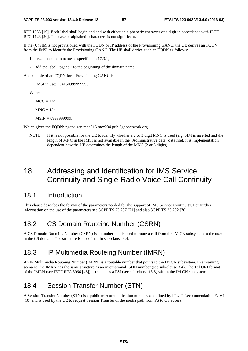RFC 1035 [19]. Each label shall begin and end with either an alphabetic character or a digit in accordance with IETF RFC 1123 [20]. The case of alphabetic characters is not significant.

If the (U)SIM is not provisioned with the FQDN or IP address of the Provisioning GANC, the UE derives an FQDN from the IMSI to identify the Provisioning GANC. The UE shall derive such an FQDN as follows:

- 1. create a domain name as specified in 17.3.1;
- 2. add the label "pganc." to the beginning of the domain name.

An example of an FQDN for a Provisioning GANC is:

IMSI in use: 234150999999999;

Where:

 $MCC = 234$ ;

 $MNC = 15$ ;

MSIN = 0999999999,

Which gives the FQDN: pganc.gan.mnc015.mcc234.pub.3gppnetwork.org.

NOTE: If it is not possible for the UE to identify whether a 2 or 3 digit MNC is used (e.g. SIM is inserted and the length of MNC in the IMSI is not available in the "Administrative data" data file), it is implementation dependent how the UE determines the length of the MNC (2 or 3 digits).

# 18 Addressing and Identification for IMS Service Continuity and Single-Radio Voice Call Continuity

### 18.1 Introduction

This clause describes the format of the parameters needed for the support of IMS Service Continuity. For further information on the use of the parameters see 3GPP TS 23.237 [71] and also 3GPP TS 23.292 [70].

## 18.2 CS Domain Routeing Number (CSRN)

A CS Domain Routeing Number (CSRN) is a number that is used to route a call from the IM CN subsystem to the user in the CS domain. The structure is as defined in sub-clause 3.4.

## 18.3 IP Multimedia Routeing Number (IMRN)

An IP Multimedia Routeing Number (IMRN) is a routable number that points to the IM CN subsystem. In a roaming scenario, the IMRN has the same structure as an international ISDN number (see sub-clause 3.4). The Tel URI format of the IMRN (see IETF RFC 3966 [45]) is treated as a PSI (see sub-clause 13.5) within the IM CN subsystem.

## 18.4 Session Transfer Number (STN)

A Session Transfer Number (STN) is a public telecommunication number, as defined by ITU-T Recommendation E.164 [10] and is used by the UE to request Session Transfer of the media path from PS to CS access.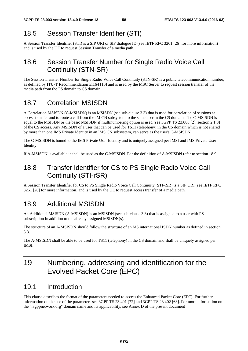# 18.5 Session Transfer Identifier (STI)

A Session Transfer Identifier (STI) is a SIP URI or SIP dialogue ID (see IETF RFC 3261 [26] for more information) and is used by the UE to request Session Transfer of a media path.

# 18.6 Session Transfer Number for Single Radio Voice Call Continuity (STN-SR)

The Session Transfer Number for Single Radio Voice Call Continuity (STN-SR) is a public telecommunication number, as defined by ITU-T Recommendation E.164 [10] and is used by the MSC Server to request session transfer of the media path from the PS domain to CS domain.

# 18.7 Correlation MSISDN

A Correlation MSISDN (C-MSISDN) is an MSISDN (see sub-clause 3.3) that is used for correlation of sessions at access transfer and to route a call from the IM CN subsystem to the same user in the CS domain. The C-MSISDN is equal to the MSISDN or the basic MSISDN if multinumbering option is used (see 3GPP TS 23.008 [2], section 2.1.3) of the CS access. Any MSISDN of a user that can be used for TS11 (telephony) in the CS domain which is not shared by more than one IMS Private Identity in an IMS CN subsystem, can serve as the user's C-MSISDN.

The C-MSISDN is bound to the IMS Private User Identity and is uniquely assigned per IMSI and IMS Private User Identity.

If A-MSISDN is available it shall be used as the C-MSISDN. For the definition of A-MSISDN refer to section 18.9.

# 18.8 Transfer Identifier for CS to PS Single Radio Voice Call Continuity (STI-rSR)

A Session Transfer Identifier for CS to PS Single Radio Voice Call Continuity (STI-rSR) is a SIP URI (see IETF RFC 3261 [26] for more information) and is used by the UE to request access transfer of a media path.

# 18.9 Additional MSISDN

An Additional MSISDN (A-MSISDN) is an MSISDN (see sub-clause 3.3) that is assigned to a user with PS subscription in addition to the already assigned MSISDN(s).

The structure of an A-MSISDN should follow the structure of an MS international ISDN number as defined in section 3.3.

The A-MSISDN shall be able to be used for TS11 (telephony) in the CS domain and shall be uniquely assigned per IMSI.

# 19 Numbering, addressing and identification for the Evolved Packet Core (EPC)

# 19.1 Introduction

This clause describes the format of the parameters needed to access the Enhanced Packet Core (EPC). For further information on the use of the parameters see 3GPP TS 23.401 [72] and 3GPP TS 23.402 [68]. For more information on the ".3gppnetwork.org" domain name and its applicability, see Annex D of the present document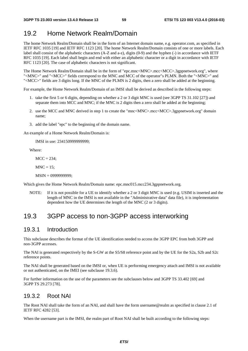# 19.2 Home Network Realm/Domain

The home Network Realm/Domain shall be in the form of an Internet domain name, e.g. operator.com, as specified in IETF RFC 1035 [19] and IETF RFC 1123 [20]. The home Network Realm/Domain consists of one or more labels. Each label shall consist of the alphabetic characters (A-Z and a-z), digits (0-9) and the hyphen (-) in accordance with IETF RFC 1035 [19]. Each label shall begin and end with either an alphabetic character or a digit in accordance with IETF RFC 1123 [20]. The case of alphabetic characters is not significant.

The Home Network Realm/Domain shall be in the form of "epc.mnc<MNC>.mcc<MCC>.3gppnetwork.org", where "<MNC>" and "<MCC>" fields correspond to the MNC and MCC of the operator"s PLMN. Both the "<MNC>" and "<MCC>" fields are 3 digits long. If the MNC of the PLMN is 2 digits, then a zero shall be added at the beginning.

For example, the Home Network Realm/Domain of an IMSI shall be derived as described in the following steps:

- 1. take the first 5 or 6 digits, depending on whether a 2 or 3 digit MNC is used (see 3GPP TS 31.102 [27]) and separate them into MCC and MNC; if the MNC is 2 digits then a zero shall be added at the beginning;
- 2. use the MCC and MNC derived in step 1 to create the "mnc<MNC>.mcc<MCC>.3gppnetwork.org" domain name;
- 3. add the label "epc" to the beginning of the domain name.

An example of a Home Network Realm/Domain is:

IMSI in use: 234150999999999;

Where:

 $MCC = 234$ :

 $MNC = 15$ :

MSIN = 0999999999;

Which gives the Home Network Realm/Domain name: epc.mnc015.mcc234.3gppnetwork.org.

NOTE: If it is not possible for a UE to identify whether a 2 or 3 digit MNC is used (e.g. USIM is inserted and the length of MNC in the IMSI is not available in the "Administrative data" data file), it is implementation dependent how the UE determines the length of the MNC (2 or 3 digits).

# 19.3 3GPP access to non-3GPP access interworking

### 19.3.1 Introduction

This subclause describes the format of the UE identification needed to access the 3GPP EPC from both 3GPP and non-3GPP accesses.

The NAI is generated respectively by the S-GW at the S5/S8 reference point and by the UE for the S2a, S2b and S2c reference points.

The NAI shall be generated based on the IMSI or, when UE is performing emergency attach and IMSI is not available or not authenticated, on the IMEI (see subclause 19.3.6).

For further information on the use of the parameters see the subclauses below and 3GPP TS 33.402 [69] and 3GPP TS 29.273 [78].

### 19.3.2 Root NAI

The Root NAI shall take the form of an NAI, and shall have the form username@realm as specified in clause 2.1 of IETF RFC 4282 [53].

When the username part is the IMSI, the realm part of Root NAI shall be built according to the following steps: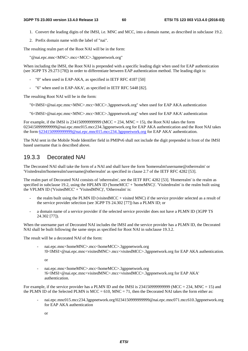- 1. Convert the leading digits of the IMSI, i.e. MNC and MCC, into a domain name, as described in subclause 19.2.
- 2. Prefix domain name with the label of "nai".

The resulting realm part of the Root NAI will be in the form:

"@nai.epc.mnc<MNC>.mcc<MCC>.3gppnetwork.org"

When including the IMSI, the Root NAI is prepended with a specific leading digit when used for EAP authentication (see 3GPP TS 29.273 [78]) in order to differentiate between EAP authentication method. The leading digit is:

- "0" when used in EAP-AKA, as specified in IETF RFC 4187 [50]
- "6" when used in EAP-AKA', as specified in IETF RFC 5448 [82].

The resulting Root NAI will be in the form:

"0<IMSI>@nai.epc.mnc<MNC>.mcc<MCC>.3gppnetwork.org" when used for EAP AKA authentication

"6<IMSI>@nai.epc.mnc<MNC>.mcc<MCC>.3gppnetwork.org" when used for EAP AKA' authentication

For example, if the IMSI is  $234150999999999$  (MCC = 234, MNC = 15), the Root NAI takes the form 0234150999999999@nai.epc.mnc015.mcc234.3gppnetwork.org for EAP AKA authentication and the Root NAI takes the form [6234150999999999@nai.epc.mnc015.mcc234.3gppnetwork.org](mailto:0234150999999999@epc.mnc015.mcc234.3gppnetwork.org) for EAP AKA' authentication.

The NAI sent in the Mobile Node Identifier field in PMIPv6 shall not include the digit prepended in front of the IMSI based username that is described above.

### 19.3.3 Decorated NAI

The Decorated NAI shall take the form of a NAI and shall have the form 'homerealm!username@otherrealm' or 'Visitedrealm!homerealm!username@otherrealm' as specified in clause 2.7 of the IETF RFC 4282 [53].

The realm part of Decorated NAI consists of 'otherrealm', see the IETF RFC 4282 [53]. 'Homerealm' is the realm as specified in subclause 19.2, using the HPLMN ID ('homeMCC' + 'homeMNC)'. 'Visitedrealm' is the realm built using the VPLMN ID ('VisitedMCC' + 'VisitedMNC)', 'Otherrealm' is:

- the realm built using the PLMN ID (visited MCC + visited MNC) if the service provider selected as a result of the service provider selection (see 3GPP TS 24.302 [77]) has a PLMN ID; or
- a domain name of a service provider if the selected service provider does not have a PLMN ID (3GPP TS 24.302 [77]).

When the username part of Decorated NAI includes the IMSI and the service provider has a PLMN ID, the Decorated NAI shall be built following the same steps as specified for Root NAI in subclause 19.3.2.

The result will be a decorated NAI of the form:

- nai.epc.mnc<homeMNC>.mcc<homeMCC>.3gppnetwork.org !0<IMSI>@nai.epc.mnc<visitedMNC>.mcc<visitedMCC>.3gppnetwork.org for EAP AKA authentication.
	- or
- nai.epc.mnc<homeMNC>.mcc<homeMCC>.3gppnetwork.org !6<IMSI>@nai.epc.mnc<visitedMNC>.mcc<visitedMCC>.3gppnetwork.org for EAP AKA' authentication.

For example, if the service provider has a PLMN ID and the IMSI is  $234150999999999$  (MCC = 234, MNC = 15) and the PLMN ID of the Selected PLMN is MCC = 610, MNC = 71, then the Decorated NAI takes the form either as:

- nai.epc.mnc015.mcc234.3gppnetwork.org!0234150999999999@nai.epc.mnc071.mcc610.3gppnetwork.org for EAP AKA authentication
	- or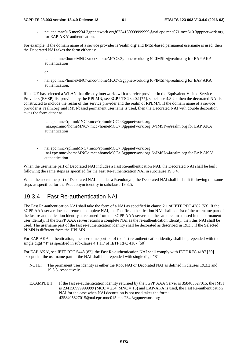#### **3GPP TS 23.003 version 13.4.0 Release 13 61 ETSI TS 123 003 V13.4.0 (2016-03)**

- nai.epc.mnc015.mcc234.3gppnetwork.org!6234150999999999@nai.epc.mnc071.mcc610.3gppnetwork.org for EAP AKA' authentication.

For example, if the domain name of a service provider is 'realm.org' and IMSI-based permanent username is used, then the Decorated NAI takes the form either as:

- nai.epc.mnc<homeMNC>.mcc<homeMCC>.3gppnetwork.org !0<IMSI>@realm.org for EAP AKA authentication
	- or
- nai.epc.mnc<homeMNC>.mcc<homeMCC>.3gppnetwork.org !6<IMSI>@realm.org for EAP AKA' authentication.

If the UE has selected a WLAN that directly interworks with a service provider in the Equivalent Visited Service Providers (EVSP) list provided by the RPLMN, see 3GPP TS 23.402 [77], subclause 4.8.2b, then the decorated NAI is constructed to include the realm of this service provider and the realm of RPLMN. If the domain name of a service provider is 'realm.org' and IMSI-based permanent username is used, then the Decorated NAI with double decoration takes the form either as:

- nai.epc.mnc<rplmnMNC>.mcc<rplmnMCC>.3gppnetwork.org !nai.epc.mnc<homeMNC>.mcc<homeMCC>.3gppnetwork.org!0<IMSI>@realm.org for EAP AKA authentication

or

- nai.epc.mnc<rplmnMNC>.mcc<rplmnMCC>.3gppnetwork.org !nai.epc.mnc<homeMNC>.mcc<homeMCC>.3gppnetwork.org!6<IMSI>@realm.org for EAP AKA' authentication.

When the username part of Decorated NAI includes a Fast Re-authentication NAI, the Decorated NAI shall be built following the same steps as specified for the Fast Re-authentication NAI in subclause 19.3.4.

When the username part of Decorated NAI includes a Pseudonym, the Decorated NAI shall be built following the same steps as specified for the Pseudonym identity in subclause 19.3.5.

### 19.3.4 Fast Re-authentication NAI

The Fast Re-authentication NAI shall take the form of a NAI as specified in clause 2.1 of IETF RFC 4282 [53]. If the 3GPP AAA server does not return a complete NAI, the Fast Re-authentication NAI shall consist of the username part of the fast re-authentication identity as returned from the 3GPP AAA server and the same realm as used in the permanent user identity. If the 3GPP AAA server returns a complete NAI as the re-authentication identity, then this NAI shall be used. The username part of the fast re-authentication identity shall be decorated as described in 19.3.3 if the Selected PLMN is different from the HPLMN.

For EAP-AKA authentication, the username portion of the fast re-authentication identity shall be prepended with the single digit "4" as specified in sub-clause 4.1.1.7 of IETF RFC 4187 [50].

For EAP AKA', see IETF RFC 5448 [82], the Fast Re-authentication NAI shall comply with IETF RFC 4187 [50] except that the username part of the NAI shall be prepended with single digit "8".

- NOTE: The permanent user identity is either the Root NAI or Decorated NAI as defined in clauses 19.3.2 and 19.3.3, respectively.
- EXAMPLE 1: If the fast re-authentication identity returned by the 3GPP AAA Server is 358405627015, the IMSI is 2341509999999999999 (MCC = 234, MNC = 15) and EAP-AKA is used, the Fast Re-authentication NAI for the case when NAI decoration is not used takes the form: 4358405627015@nai.epc.mnc015.mcc234.3gppnetwork.org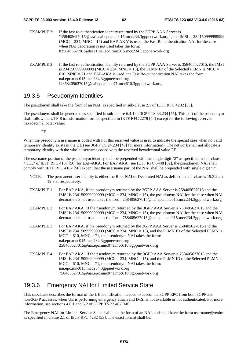- EXAMPLE 2: If the fast re-authentication identity returned by the 3GPP AAA Server is "358405627015@aaa1.nai.epc.mnc015.mcc234.3gppnetwork.org" , the IMSI is 234150999999999  $(MCC = 234, MNC = 15)$  and EAP-AKA' is used, the Fast Re-authentication NAI for the case when NAI decoration is not used takes the form: 8358405627015@aaa1.nai.epc.mnc015.mcc234.3gppnetwork.org
- EXAMPLE 3: If the fast re-authentication identity returned by the 3GPP AAA Server is 358405627015, the IMSI is 2341509999999999999 (MCC = 234, MNC = 15), the PLMN ID of the Selected PLMN is MCC = 610, MNC = 71 and EAP-AKA is used, the Fast Re-authentication NAI takes the form: nai.epc.mnc015.mcc234.3gppnetwork.org !4358405627015@nai.epc.mnc071.mcc610.3gppnetwork.org.

### 19.3.5 Pseudonym Identities

The pseudonym shall take the form of an NAI, as specified in sub-clause 2.1 of IETF RFC 4282 [53].

The pseudonym shall be generated as specified in sub-clause 6.4.1 of 3GPP TS 33.234 [55]. This part of the pseudonym shall follow the UTF-8 transformation format specified in IETF RFC 2279 [54] except for the following reserved hexadecimal octet value:

FF

When the pseudonym username is coded with FF, this reserved value is used to indicate the special case when no valid temporary identity exists in the UE (see 3GPP TS 24.234 [48] for more information). The network shall not allocate a temporary identity with the whole username coded with the reserved hexadecimal value FF.

The username portion of the pseudonym identity shall be prepended with the single digit "2" as specified in sub-clause 4.1.1.7 of IETF RFC 4187 [50] for EAP-AKA. For EAP AKA', see IETF RFC 5448 [82], the pseudonym NAI shall comply with IETF RFC 4187 [50] except that the username part of the NAI shall be prepended with single digit "7".

- NOTE: The permanent user identity is either the Root NAI or Decorated NAI as defined in sub-clauses 19.3.2 and 19.3.3, respectively.
- EXAMPLE 1: For EAP AKA, if the pseudonym returned by the 3GPP AAA Server is 258405627015 and the IMSI is 234150999999999 (MCC = 234, MNC = 15), the pseudonym NAI for the case when NAI decoration is not used takes the form: 258405627015@nai.epc.mnc015.mcc234.3gppnetwork.org
- EXAMPLE 2: For EAP AKA', if the pseudonym returned by the 3GPP AAA Server is 758405627015 and the IMSI is 2341509999999999 (MCC = 234, MNC = 15), the pseudonym NAI for the case when NAI decoration is not used takes the form: 758405627015@nai.epc.mnc015.mcc234.3gppnetwork.org
- EXAMPLE 3: For EAP AKA, if the pseudonym returned by the 3GPP AAA Server is 258405627015 and the IMSI is 23415099999999999 (MCC = 234, MNC = 15), and the PLMN ID of the Selected PLMN is  $MCC = 610$ ,  $MNC = 71$ , the pseudonym NAI takes the form: nai.epc.mnc015.mcc234.3gppnetwork.org! 258405627015@nai.epc.mnc071.mcc610.3gppnetwork.org
- EXAMPLE 4: For EAP AKA', if the pseudonym returned by the 3GPP AAA Server is 758405627015 and the IMSI is 2341509999999999 (MCC = 234, MNC = 15), and the PLMN ID of the Selected PLMN is  $MCC = 610$ ,  $MNC = 71$ , the pseudonym NAI takes the form: nai.epc.mnc015.mcc234.3gppnetwork.org! 758405627015@nai.epc.mnc071.mcc610.3gppnetwork.org

### 19.3.6 Emergency NAI for Limited Service State

This subclause describes the format of the UE identification needed to access the 3GPP EPC from both 3GPP and non-3GPP accesses, when UE is performing emergency attach and IMSI is not available or not authenticated. For more information, see sections 4.6.1 and 5.2 of 3GPP TS 23.402 [68].

The Emergency NAI for Limited Service State shall take the form of an NAI, and shall have the form username@realm as specified in clause 2.1 of IETF RFC 4282 [53]. The exact format shall be: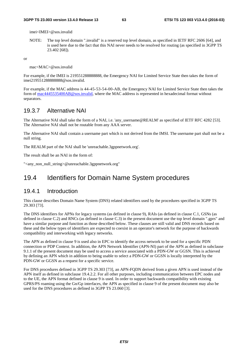#### **3GPP TS 23.003 version 13.4.0 Release 13 63 ETSI TS 123 003 V13.4.0 (2016-03)**

imei<IMEI>@sos.invalid

NOTE: The top level domain ".invalid" is a reserved top level domain, as specified in IETF RFC 2606 [64], and is used here due to the fact that this NAI never needs to be resolved for routing (as specified in 3GPP TS 23.402 [68]).

or

mac<MAC>@sos.invalid

For example, if the IMEI is 219551288888888, the Emergency NAI for Limited Service State then takes the form of imei219551288888888@sos.invalid.

For example, if the MAC address is 44-45-53-54-00-AB, the Emergency NAI for Limited Service State then takes the form of [mac4445535400AB@sos.invalid,](mailto:mac4445535400AB@sos.invalid) where the MAC address is represented in hexadecimal format without separators.

### 19.3.7 Alternative NAI

The Alternative NAI shall take the form of a NAI, i.e. 'any\_username@REALM' as specified of IETF RFC 4282 [53]. The Alternative NAI shall not be routable from any AAA server.

The Alternative NAI shall contain a username part which is not derived from the IMSI. The username part shall not be a null string.

The REALM part of the NAI shall be 'unreachable.3gppnetwork.org'.

The result shall be an NAI in the form of:

"<any\_non\_null\_string>@unreachable.3gppnetwork.org"

## 19.4 Identifiers for Domain Name System procedures

### 19.4.1 Introduction

This clause describes Domain Name System (DNS) related identifiers used by the procedures specified in 3GPP TS 29.303 [73].

The DNS identifiers for APNs for legacy systems (as defined in clause 9), RAIs (as defined in clause C.1, GSNs (as defined in clause C.2) and RNCs (as defined in clause C.3) in the present document use the top level domain ".gprs" and have a similar purpose and function as those described below. These clauses are still valid and DNS records based on these and the below types of identifiers are expected to coexist in an operator's network for the purpose of backwards compatibility and interworking with legacy networks.

The APN as defined in clause 9 is used also in EPC to identify the access network to be used for a specific PDN connection or PDP Context. In addition, the APN Network Identifier (APN-NI) part of the APN as defined in subclause 9.1.1 of the present document may be used to access a service associated with a PDN-GW or GGSN. This is achieved by defining an APN which in addition to being usable to select a PDN-GW or GGSN is locally interpreted by the PDN-GW or GGSN as a request for a specific service.

For DNS procedures defined in 3GPP TS 29.303 [73], an APN-FQDN derived from a given APN is used instead of the APN itself as defined in subclause 19.4.2.2. For all other purposes, including communication between EPC nodes and to the UE, the APN format defined in clause 9 is used. In order to support backwards compatibility with existing GPRS/PS roaming using the Gn/Gp interfaces, the APN as specified in clause 9 of the present document may also be used for the DNS procedures as defined in 3GPP TS 23.060 [3].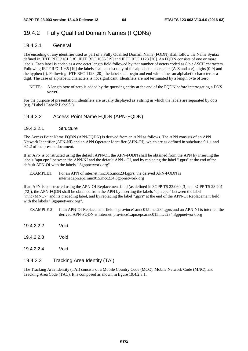### 19.4.2 Fully Qualified Domain Names (FQDNs)

#### 19.4.2.1 General

The encoding of any identifier used as part of a Fully Qualifed Domain Name (FQDN) shall follow the Name Syntax defined in IETF RFC 2181 [18], IETF RFC 1035 [19] and IETF RFC 1123 [20]. An FQDN consists of one or more labels. Each label is coded as a one octet length field followed by that number of octets coded as 8 bit ASCII characters. Following IETF RFC 1035 [19] the labels shall consist only of the alphabetic characters (A-Z and a-z), digits (0-9) and the hyphen (-). Following IETF RFC 1123 [20], the label shall begin and end with either an alphabetic character or a digit. The case of alphabetic characters is not significant. Identifiers are not terminated by a length byte of zero.

NOTE: A length byte of zero is added by the querying entity at the end of the FQDN before interrogating a DNS server.

For the purpose of presentation, identifiers are usually displayed as a string in which the labels are separated by dots (e.g. "Label1.Label2.Label3").

#### 19.4.2.2 Access Point Name FQDN (APN-FQDN)

#### 19.4.2.2.1 Structure

The Access Point Name FQDN (APN-FQDN) is derived from an APN as follows. The APN consists of an APN Network Identifier (APN-NI) and an APN Operator Identifier (APN-OI), which are as defined in subclause 9.1.1 and 9.1.2 of the present document.

If an APN is constructed using the default APN-OI, the APN-FQDN shall be obtained from the APN by inserting the labels "apn.epc." between the APN-NI and the default APN - OI, and by replacing the label ".gprs" at the end of the default APN-OI with the labels ".3gppnetwork.org".

EXAMPLE1: For an APN of internet.mnc015.mcc234.gprs, the derived APN-FODN is internet.apn.epc.mnc015.mcc234.3gppnetwork.org

If an APN is constructed using the APN-OI Replacement field (as defined in 3GPP TS 23.060 [3] and 3GPP TS 23.401 [72]), the APN-FQDN shall be obtained from the APN by inserting the labels "apn.epc." between the label "mnc<MNC>" and its preceding label, and by replacing the label ".gprs" at the end of the APN-OI Replacement field with the labels ".3gppnetwork.org".

- EXAMPLE 2: If an APN-OI Replacement field is province1.mnc015.mcc234.gprs and an APN-NI is internet, the derived APN-FQDN is internet. province1.apn.epc.mnc015.mcc234.3gppnetwork.org
- 19.4.2.2.2 Void
- 19.4.2.2.3 Void
- 19.4.2.2.4 Void

#### 19.4.2.3 Tracking Area Identity (TAI)

The Tracking Area Identity (TAI) consists of a Mobile Country Code (MCC), Mobile Network Code (MNC), and Tracking Area Code (TAC). It is composed as shown in figure 19.4.2.3.1.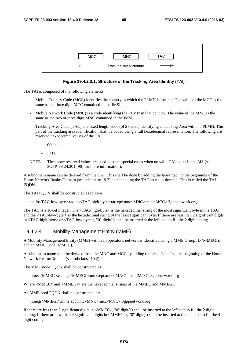| <b>MCC</b> | <b>MNC</b>                    | TAC |
|------------|-------------------------------|-----|
|            | <b>Tracking Area Identity</b> |     |

#### **Figure 19.4.2.3.1: Structure of the Tracking Area Identity (TAI)**

The TAI is composed of the following elements:

- Mobile Country Code (MCC) identifies the country in which the PLMN is located. The value of the MCC is the same as the three digit MCC contained in the IMSI;
- Mobile Network Code (MNC) is a code identifying the PLMN in that country. The value of the MNC is the same as the two or three digit MNC contained in the IMSI;
- Tracking Area Code (TAC) is a fixed length code (of 2 octets) identifying a Tracking Area within a PLMN. This part of the tracking area identification shall be coded using a full hexadecimal representation. The following are reserved hexadecimal values of the TAC:
	- 0000, and
	- FFFE.
- NOTE: The above reserved values are used in some special cases when no valid TAI exists in the MS (see 3GPP TS 24.301 [90] for more information).

A subdomain name can be derived from the TAI. This shall be done by adding the label "tac" to the beginning of the Home Network Realm/Domain (see subclause 19.2) and encoding the TAC as a sub-domain. This is called the TAI FQDN..

The TAI FQDN shall be constructed as follows:

tac-lb<TAC-low-byte>.tac-hb<TAC-high-byte>.tac.epc.mnc<MNC>.mcc<MCC>.3gppnetwork.org

The TAC is a 16-bit integer. The <TAC-high-byte> is the hexadecimal string of the most significant byte in the TAC and the  $\langle TAC$ -low-byte  $>$  is the hexadecimal string of the least significant byte. If there are less than 2 significant digits in <TAC-high-byte> or <TAC-low-byte >, "0" digit(s) shall be inserted at the left side to fill the 2 digit coding.

#### 19.4.2.4 Mobility Management Entity (MME)

A Mobility Management Entity (MME) within an operator's network is identified using a MME Group ID (MMEGI), and an MME Code (MMEC).

A subdomain name shall be derived from the MNC and MCC by adding the label "mme" to the beginning of the Home Network Realm/Domain (see subclause 19.2).

The MME node FODN shall be constructed as:

mmec<MMEC>.mmegi<MMEGI>.mme.epc.mnc<MNC>.mcc<MCC>.3gppnetwork.org

Where <MMEC> and <MMEGI> are the hexadecimal strings of the MMEC and MMEGI.

An MME pool FQDN shall be constructed as:

mmegi<MMEGI>.mme.epc.mnc<MNC>.mcc<MCC>.3gppnetwork.org

If there are less than 2 significant digits in  $\langle$ MMEC $\rangle$ , "0" digit(s) shall be inserted at the left side to fill the 2 digit coding. If there are less than 4 significant digits in <MMEGI>, "0" digit(s) shall be inserted at the left side to fill the 4 digit coding.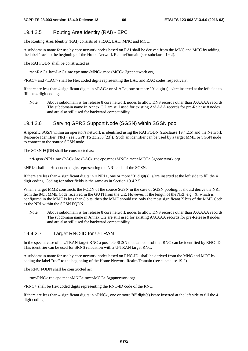#### 19.4.2.5 Routing Area Identity (RAI) - EPC

The Routing Area Identity (RAI) consists of a RAC, LAC, MNC and MCC.

A subdomain name for use by core network nodes based on RAI shall be derived from the MNC and MCC by adding the label "rac" to the beginning of the Home Network Realm/Domain (see subclause 19.2).

The RAI FODN shall be constructed as:

rac<RAC>.lac<LAC>.rac.epc.mnc<MNC>.mcc<MCC>.3gppnetwork.org

<RAC> and <LAC> shall be Hex coded digits representing the LAC and RAC codes respectively.

If there are less than 4 significant digits in <RAC> or <LAC>, one or more "0" digit(s) is/are inserted at the left side to fill the 4 digit coding.

Note: Above subdomain is for release 8 core network nodes to allow DNS records other than A/AAAA records. The subdomain name in Annex C.2 are still used for existing A/AAAA records for pre-Release 8 nodes and are also still used for backward compatibility.

#### 19.4.2.6 Serving GPRS Support Node (SGSN) within SGSN pool

A specific SGSN within an operator's network is identified using the RAI FQDN (subclause 19.4.2.5) and the Network Resource Identifier (NRI) (see 3GPP TS 23.236 [23]). Such an identifier can be used by a target MME or SGSN node to connect to the source SGSN node.

The SGSN FQDN shall be constructed as:

nri-sgsn<NRI>.rac<RAC>.lac<LAC>.rac.epc.mnc<MNC>.mcc<MCC>.3gppnetwork.org

<NRI> shall be Hex coded digits representing the NRI code of the SGSN.

If there are less than 4 significant digits in < NRI>, one or more "0" digit(s) is/are inserted at the left side to fill the 4 digit coding. Coding for other fields is the same as in Section 19.4.2.5.

When a target MME constructs the FODN of the source SGSN in the case of SGSN pooling, it should derive the NRI from the 8-bit MME Code received in the GUTI from the UE. However, if the length of the NRI, e.g., X, which is configured in the MME is less than 8 bits, then the MME should use only the most significant X bits of the MME Code as the NRI within the SGSN FQDN.

Note: Above subdomain is for release 8 core network nodes to allow DNS records other than A/AAAA records. The subdomain name in Annex C.2 are still used for existing A/AAAA records for pre-Release 8 nodes and are also still used for backward compatibility. .

#### 19.4.2.7 Target RNC-ID for U-TRAN

In the special case of a UTRAN target RNC a possible SGSN that can control that RNC can be identified by RNC-ID. This identifier can be used for SRNS relocation with a U-TRAN target RNC.

A subdomain name for use by core network nodes based on RNC-ID shall be derived from the MNC and MCC by adding the label "rnc" to the beginning of the Home Network Realm/Domain (see subclause 19.2).

The RNC FQDN shall be constructed as:

rnc<RNC>.rnc.epc.mnc<MNC>.mcc<MCC>.3gppnetwork.org

<RNC> shall be Hex coded digits representing the RNC-ID code of the RNC.

If there are less than 4 significant digits in  $\langle RNC \rangle$ , one or more "0" digit(s) is/are inserted at the left side to fill the 4 digit coding.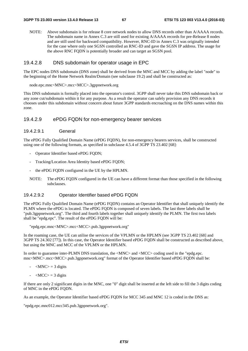NOTE: Above subdomain is for release 8 core network nodes to allow DNS records other than A/AAAA records. The subdomain name in Annex C.3 are still used for existing A/AAAA records for pre-Release 8 nodes and are still used for backward compatibility. However, RNC-ID in Annex C.3 was originally intended for the case where only one SGSN controlled an RNC-ID and gave the SGSN IP address. The usage for the above RNC FQDN is potentially broader and can target an SGSN pool.

#### 19.4.2.8 DNS subdomain for operator usage in EPC

The EPC nodes DNS subdomain (DNS zone) shall be derived from the MNC and MCC by adding the label "node" to the beginning of the Home Network Realm/Domain (see subclause 19.2) and shall be constructed as:

node.epc.mnc<MNC>.mcc<MCC>.3gppnetwork.org

This DNS subdomain is formally placed into the operator's control. 3GPP shall never take this DNS subdomain back or any zone cut/subdomain within it for any purpose. As a result the operator can safely provision any DNS records it chooses under this subdomain without concern about future 3GPP standards encroaching on the DNS names within this zone.

#### 19.4.2.9 ePDG FQDN for non-emergency bearer services

#### 19.4.2.9.1 General

The ePDG Fully Qualified Domain Name (ePDG FQDN), for non-emergency bearers services, shall be constructed using one of the following formats, as specified in subclause 4.5.4 of 3GPP TS 23.402 [68]:

- Operator Identifier based ePDG FODN:
- Tracking/Location Area Identity based ePDG FQDN;
- the ePDG FQDN configured in the UE by the HPLMN.
- NOTE: The ePDG FQDN configured in the UE can have a different format than those specified in the following subclauses.

#### 19.4.2.9.2 Operator Identifier based ePDG FQDN

The ePDG Fully Qualified Domain Name (ePDG FQDN) contains an Operator Identifier that shall uniquely identify the PLMN where the ePDG is located. The ePDG FQDN is composed of seven labels. The last three labels shall be "pub.3gppnetwork.org". The third and fourth labels together shall uniquely identify the PLMN. The first two labels shall be "epdg.epc". The result of the ePDG FQDN will be:

"epdg.epc.mnc<MNC>.mcc<MCC>.pub.3gppnetwork.org"

In the roaming case, the UE can utilise the services of the VPLMN or the HPLMN (see 3GPP TS 23.402 [68] and 3GPP TS 24.302 [77]). In this case, the Operator Identifier based ePDG FQDN shall be constructed as described above, but using the MNC and MCC of the VPLMN or the HPLMN.

In order to guarantee inter-PLMN DNS translation, the  $\langle MNC \rangle$  and  $\langle MCC \rangle$  coding used in the "epdg.epc. mnc<MNC>.mcc<MCC>.pub.3gppnetwork.org" format of the Operator Identifier based ePDG FQDN shall be:

- $-MNC$  = 3 digits
- $\langle MCC \rangle = 3$  digits

If there are only 2 significant digits in the MNC, one "0" digit shall be inserted at the left side to fill the 3 digits coding of MNC in the ePDG FQDN.

As an example, the Operator Identifier based ePDG FODN for MCC 345 and MNC 12 is coded in the DNS as:

"epdg.epc.mnc012.mcc345.pub.3gppnetwork.org".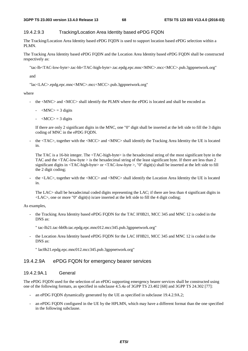#### 19.4.2.9.3 Tracking/Location Area Identity based ePDG FQDN

The Tracking/Location Area Identity based ePDG FQDN is used to support location based ePDG selection within a PLMN.

The Tracking Area Identity based ePDG FQDN and the Location Area Identity based ePDG FQDN shall be constructed respectively as:

"tac-lb<TAC-low-byte>.tac-hb<TAC-high-byte>.tac.epdg.epc.mnc<MNC>.mcc<MCC>.pub.3gppnetwork.org"

and

"lac<LAC>.epdg.epc.mnc<MNC>.mcc<MCC>.pub.3gppnetwork.org"

where

- the <MNC> and <MCC> shall identify the PLMN where the ePDG is located and shall be encoded as
	- $-MNC$  = 3 digits
	- $-MCC$  = 3 digits

 If there are only 2 significant digits in the MNC, one "0" digit shall be inserted at the left side to fill the 3 digits coding of MNC in the ePDG FQDN.

- the <TAC>, together with the <MCC> and <MNC> shall identify the Tracking Area Identity the UE is located in.

The TAC is a 16-bit integer. The <TAC-high-byte> is the hexadecimal string of the most significant byte in the TAC and the <TAC-low-byte > is the hexadecimal string of the least significant byte. If there are less than 2 significant digits in  $\langle \text{TAC-high-byte} \rangle$  or  $\langle \text{TAC-low-byte} \rangle$ , "0" digit(s) shall be inserted at the left side to fill the 2 digit coding;

the <LAC>, together with the <MCC> and <MNC> shall identify the Location Area Identity the UE is located in.

The LAC> shall be hexadecimal coded digits representing the LAC; if there are less than 4 significant digits in  $\langle$ LAC $>$ , one or more "0" digit(s) is/are inserted at the left side to fill the 4 digit coding;

As examples,

- the Tracking Area Identity based ePDG FQDN for the TAC H'0B21, MCC 345 and MNC 12 is coded in the DNS as:
	- " tac-lb21.tac-hb0b.tac.epdg.epc.mnc012.mcc345.pub.3gppnetwork.org"
- the Location Area Identity based ePDG FODN for the LAC H'0B21, MCC 345 and MNC 12 is coded in the DNS as:
	- " lac0b21.epdg.epc.mnc012.mcc345.pub.3gppnetwork.org"

#### 19.4.2.9A ePDG FQDN for emergency bearer services

#### 19.4.2.9A.1 General

The ePDG FQDN used for the selection of an ePDG supporting emergency bearer services shall be constructed using one of the following formats, as specified in subclause 4.5.4a of 3GPP TS 23.402 [68] and 3GPP TS 24.302 [77]:

- an ePDG FODN dynamically generated by the UE as specified in subclause 19.4.2.9A.2;
- an ePDG FQDN configured in the UE by the HPLMN, which may have a different format than the one specified in the following subclause.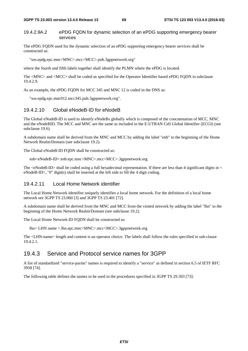#### 19.4.2.9A.2 ePDG FQDN for dynamic selection of an ePDG supporting emergency bearer services

The ePDG FQDN used for the dynamic selection of an ePDG supporting emergency bearer services shall be constructed as:

"sos.epdg.epc.mnc<MNC>.mcc<MCC>.pub.3gppnetwork.org"

where the fourth and fifth labels together shall identify the PLMN where the ePDG is located.

The <MNC> and <MCC> shall be coded as specified for the Operator Identifier based ePDG FQDN in subclause 19.4.2.9.

As an example, the ePDG FODN for MCC 345 and MNC 12 is coded in the DNS as:

"sos.epdg.epc.mnc012.mcc345.pub.3gppnetwork.org".

#### 19.4.2.10 Global eNodeB-ID for eNodeB

The Global eNodeB-ID is used to identify eNodeBs globally which is composed of the concatenation of MCC, MNC and the eNodeBID. The MCC and MNC are the same as included in the E-UTRAN Cell Global Identifier (ECGI) (see subclause 19.6).

A subdomain name shall be derived from the MNC and MCC by adding the label "enb" to the beginning of the Home Network Realm/Domain (see subclause 19.2).

The Global eNodeB-ID FODN shall be constructed as:

enb<eNodeB-ID>.enb.epc.mnc<MNC>.mcc<MCC>.3gppnetwork.org

The <eNodeB-ID> shall be coded using a full hexadecimal representation. If there are less than 4 significant digits in < eNodeB-ID>, "0" digit(s) shall be inserted at the left side to fill the 4 digit coding.

#### 19.4.2.11 Local Home Network identifier

The Local Home Network identifier uniquely identifies a local home network. For the definition of a local home network see 3GPP TS 23.060 [3] and 3GPP TS 23.401 [72].

A subdomain name shall be derived from the MNC and MCC from the visited network by adding the label "lhn" to the beginning of the Home Network Realm/Domain (see subclause 19.2).

The Local Home Network-ID FQDN shall be constructed as:

lhn< LHN name >.lhn.epc.mnc<MNC>.mcc<MCC>.3gppnetwork.org

The <LHN-name> length and content is an operator choice. The labels shall follow the rules specified in sub-clause 19.4.2.1.

### 19.4.3 Service and Protocol service names for 3GPP

A list of standardized "service-parms" names is required to identify a "service" as defined in section 6.5 of IETF RFC 3958 [74].

The following table defines the names to be used in the procedures specified in 3GPP TS 29.303 [73]: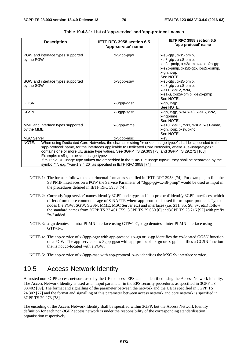| <b>Description</b>                                                                                                                                                                                                                                                                                                                                                                                                                                                                                                                                                                                            | IETF RFC 3958 section 6.5<br>'app-service' name | IETF RFC 3958 section 6.5<br>'app-protocol' name                                                                                                      |  |  |  |
|---------------------------------------------------------------------------------------------------------------------------------------------------------------------------------------------------------------------------------------------------------------------------------------------------------------------------------------------------------------------------------------------------------------------------------------------------------------------------------------------------------------------------------------------------------------------------------------------------------------|-------------------------------------------------|-------------------------------------------------------------------------------------------------------------------------------------------------------|--|--|--|
| PGW and interface types supported<br>by the PGW                                                                                                                                                                                                                                                                                                                                                                                                                                                                                                                                                               | x-3gpp-pgw                                      | x-s5-gtp, x-s5-pmip,<br>x-s8-gtp, x-s8-pmip,<br>x-s2a-pmip, x-s2a-mipv4, x-s2a-gtp,<br>x-s2b-pmip, x-s2b-gtp, x-s2c-dsmip,<br>x-gn, x-gp<br>See NOTE. |  |  |  |
| SGW and interface types supported<br>by the SGW                                                                                                                                                                                                                                                                                                                                                                                                                                                                                                                                                               | x-3gpp-sgw                                      | x-s5-gtp, x-s5-pmip,<br>x-s8-gtp, x-s8-pmip,<br>x-s11, x-s12, x-s4,<br>x-s1-u, x-s2a-pmip, x-s2b-pmip<br>See NOTE.                                    |  |  |  |
| <b>GGSN</b>                                                                                                                                                                                                                                                                                                                                                                                                                                                                                                                                                                                                   | x-3gpp-ggsn                                     | x-gn, x-gp<br>See NOTE.                                                                                                                               |  |  |  |
| <b>SGSN</b>                                                                                                                                                                                                                                                                                                                                                                                                                                                                                                                                                                                                   | x-3gpp-sgsn                                     | x-gn, x-gp, x-s4, x-s3, x-s16, x-sv,<br>x-ngprime<br>See NOTE.                                                                                        |  |  |  |
| MME and interface types supported<br>by the MME                                                                                                                                                                                                                                                                                                                                                                                                                                                                                                                                                               | x-3gpp-mme                                      | x-s10, x-s11, x-s3, x-s6a, x-s1-mme,<br>x-gn, x-gp, x-sv, x-nq<br>See NOTE.                                                                           |  |  |  |
| <b>MSC Server</b>                                                                                                                                                                                                                                                                                                                                                                                                                                                                                                                                                                                             | x-3gpp-msc                                      | $X-SV$                                                                                                                                                |  |  |  |
| NOTE:<br>When using Dedicated Core Networks, the character string "+ue- <ue type="" usage="">" shall be appended to the<br/>'app-protocol' name, for the interfaces applicable to Dedicated Core Networks, where <ue-usage-type>"<br/>contains one or more UE usage type values. See 3GPP TS 29.303 [73] and 3GPP TS 29.272 [108].<br/>Example: x-s5-gtp+ue-<ue type="" usage=""><br/>If multiple UE usage type values are embedded in the "+ue-<ue type="" usage="">", they shall be separated by the<br/>symbol ".", e.g. "+ue-1.3.4.20" as specified in IETF RFC 3958 [74].</ue></ue></ue-usage-type></ue> |                                                 |                                                                                                                                                       |  |  |  |

#### **Table 19.4.3.1: List of 'app-service' and 'app-protocol' names**

- NOTE 1: The formats follow the experimental format as specified in IETF RFC 3958 [74]. For example, to find the S8 PMIP interfaces on a PGW the Service Parameter of "3gpp-pgw:x-s8-pmip" would be used as input in the procedures defined in IETF RFC 3958 [74].
- NOTE 2: Currently 'app-service' names identify 3GPP node type and 'app-protocol' identify 3GPP interfaces, which differs from more common usage of S-NAPTR where app-protocol is used for transport protocol. Type of nodes (i.e PGW, SGW, SGSN, MME, MSC Server etc) and interfaces (i.e. S11, S5, S8, Sv, etc.) follow the standard names from 3GPP TS 23.401 [72] ,3GPP TS 29.060 [6] and3GPP TS 23.216 [92] with prefix "x-" added.
- NOTE 3: x-gn denotes an intra-PLMN interface using GTPv1-C, x-gp denotes a inter-PLMN interface using GTPv1-C.
- NOTE 4: The app-service of x-3gpp-pgw with app-protocols x-gn or x-gp identifies the co-located GGSN function on a PGW. The app-service of x-3gpp-ggsn with app-protocols x-gn or x-gp identifies a GGSN function that is not co-located with a PGW.
- NOTE 5: The app-service of x-3gpp-msc with app-protocol x-sv identifies the MSC Sv interface service.

## 19.5 Access Network Identity

A trusted non-3GPP access network used by the UE to access EPS can be identified using the Access Network Identity. The Access Network Identity is used as an input parameter in the EPS security procedures as specified in 3GPP TS 33.402 [69]. The format and signalling of the parameter between the network and the UE is specified in 3GPP TS 24.302 [77] and the format and signalling of this parameter between access network and core network is specified in 3GPP TS 29.273 [78].

The encoding of the Access Network Identity shall be specified within 3GPP, but the Access Network Identity definition for each non-3GPP access network is under the responsibility of the corresponding standardisation organisation respectively.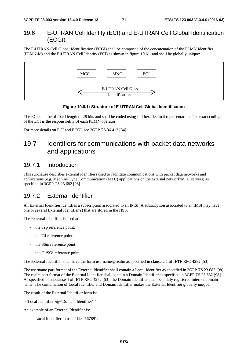### 19.6 E-UTRAN Cell Identity (ECI) and E-UTRAN Cell Global Identification (ECGI)

The E-UTRAN Cell Global Identification (ECGI) shall be composed of the concatenation of the PLMN Identifier (PLMN-Id) and the E-UTRAN Cell Identity (ECI) as shown in figure 19.6.1 and shall be globally unique:





The ECI shall be of fixed length of 28 bits and shall be coded using full hexadecimal representation. The exact coding of the ECI is the responsibility of each PLMN operator.

For more details on ECI and ECGI, see 3GPP TS 36.413 [84].

# 19.7 Identifiers for communications with packet data networks and applications

### 19.7.1 Introduction

This subclause describes external identifiers used to facilitate communications with packet data networks and applications (e.g. Machine Type Communication (MTC) applications on the external network/MTC servers) as specified in 3GPP TS 23.682 [98].

### 19.7.2 External Identifier

An External Identifier identifies a subscription associated to an IMSI. A subscription associated to an IMSI may have one or several External Identifier(s) that are stored in the HSS.

The External Identifier is used at:

- the Tsp reference point:
- the T4 reference point;
- the S6m reference point;
- the Gi/SGi reference point;

The External Identifier shall have the form username@realm as specified in clause 2.1 of IETF RFC 4282 [53].

The username part format of the External Identifier shall contain a Local Identifier as specified in 3GPP TS 23.682 [98]. The realm part format of the External Identifier shall contain a Domain Identifier as specified in 3GPP TS 23.682 [98]. As specified in subclause 4 of IETF RFC 4282 [53], the Domain Identifier shall be a duly registered Internet domain name. The combination of Local Identifier and Domain Identifier makes the External Identifier globally unique.

The result of the External Identifier form is:

"<Local Identifier>@<Domain Identifier>"

An example of an External Identifier is:

Local Identifier in use: "123456789";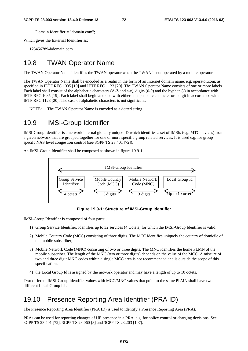Domain Identifier = "domain.com";

Which gives the External Identifier as:

123456789@domain.com

### 19.8 TWAN Operator Name

The TWAN Operator Name identifies the TWAN operator when the TWAN is not operated by a mobile operator.

The TWAN Operator Name shall be encoded as a realm in the form of an Internet domain name, e.g. operator.com, as specified in IETF RFC 1035 [19] and IETF RFC 1123 [20]. The TWAN Operator Name consists of one or more labels. Each label shall consist of the alphabetic characters (A-Z and a-z), digits (0-9) and the hyphen (-) in accordance with IETF RFC 1035 [19]. Each label shall begin and end with either an alphabetic character or a digit in accordance with IETF RFC 1123 [20]. The case of alphabetic characters is not significant.

NOTE: The TWAN Operator Name is encoded as a dotted string.

## 19.9 IMSI-Group Identifier

IMSI-Group Identifier is a network internal globally unique ID which identifies a set of IMSIs (e.g. MTC devices) from a given network that are grouped together for one or more specific group related services. It is used e.g. for group specifc NAS level congestion control (see 3GPP TS 23.401 [72]).

An IMSI-Group Identifier shall be composed as shown in figure 19.9-1.



**Figure 19.9-1: Structure of IMSI-Group Identifier** 

IMSI-Group Identifier is composed of four parts:

- 1) Group Service Identifier, identifies up to 32 services (4 Octets) for which the IMSI-Group Identifier is valid.
- 2) Mobile Country Code (MCC) consisting of three digits. The MCC identifies uniquely the country of domicile of the mobile subscriber;
- 3) Mobile Network Code (MNC) consisting of two or three digits. The MNC identifies the home PLMN of the mobile subscriber. The length of the MNC (two or three digits) depends on the value of the MCC. A mixture of two and three digit MNC codes within a single MCC area is not recommended and is outside the scope of this specification.
- 4) the Local Group Id is assigned by the network operator and may have a length of up to 10 octets.

Two different IMSI-Group Identifier values with MCC/MNC values that point to the same PLMN shall have two different Local Group Ids.

## 19.10 Presence Reporting Area Identifier (PRA ID)

The Presence Reporting Area Identifier (PRA ID) is used to identify a Presence Reporting Area (PRA).

PRAs can be used for reporting changes of UE presence in a PRA, e.g. for policy control or charging decisions. See 3GPP TS 23.401 [72], 3GPP TS 23.060 [3] and 3GPP TS 23.203 [107].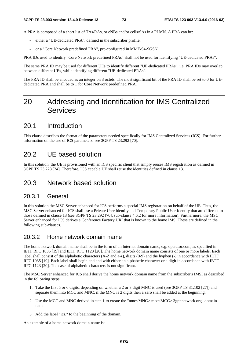A PRA is composed of a short list of TAs/RAs, or eNBs and/or cells/SAs in a PLMN. A PRA can be:

- either a "UE-dedicated PRA", defined in the subscriber profile;
- or a "Core Network predefined PRA", pre-configured in MME/S4-SGSN.

PRA IDs used to identify "Core Network predefined PRAs" shall not be used for identifying "UE-dedicated PRAs".

The same PRA ID may be used for different UEs to identify different "UE-dedicated PRAs", i.e. PRA IDs may overlap between different UEs, while identifying different "UE-dedicated PRAs".

The PRA ID shall be encoded as an integer on 3 octets. The most significant bit of the PRA ID shall be set to 0 for UEdedicated PRA and shall be to 1 for Core Network predefined PRA.

## 20 Addressing and Identification for IMS Centralized **Services**

### 20.1 Introduction

This clause describes the format of the parameters needed specifically for IMS Centralized Services (ICS). For further information on the use of ICS parameters, see 3GPP TS 23.292 [70].

### 20.2 UE based solution

In this solution, the UE is provisioned with an ICS specific client that simply reuses IMS registration as defined in 3GPP TS 23.228 [24]. Therefore, ICS capable UE shall reuse the identities defined in clause 13.

### 20.3 Network based solution

#### 20.3.1 General

In this solution the MSC Server enhanced for ICS performs a special IMS registration on behalf of the UE. Thus, the MSC Server enhanced for ICS shall use a Private User Identity and Temporary Public User Identity that are different to those defined in clause 13 (see 3GPP TS 23.292 [70], sub-clause 4.6.2 for more information). Furthermore, the MSC Server enhanced for ICS derives a Conference Factory URI that is known to the home IMS. These are defined in the following sub-clauses.

### 20.3.2 Home network domain name

The home network domain name shall be in the form of an Internet domain name, e.g. operator.com, as specified in IETF RFC 1035 [19] and IETF RFC 1123 [20]. The home network domain name consists of one or more labels. Each label shall consist of the alphabetic characters (A-Z and a-z), digits (0-9) and the hyphen (-) in accordance with IETF RFC 1035 [19]. Each label shall begin and end with either an alphabetic character or a digit in accordance with IETF RFC 1123 [20]. The case of alphabetic characters is not significant.

The MSC Server enhanced for ICS shall derive the home network domain name from the subscriber's IMSI as described in the following steps:

- 1. Take the first 5 or 6 digits, depending on whether a 2 or 3 digit MNC is used (see 3GPP TS 31.102 [27]) and separate them into MCC and MNC; if the MNC is 2 digits then a zero shall be added at the beginning.
- 2. Use the MCC and MNC derived in step 1 to create the "mnc<MNC>.mcc<MCC>.3gppnetwork.org" domain name.
- 3. Add the label "ics." to the beginning of the domain.

An example of a home network domain name is: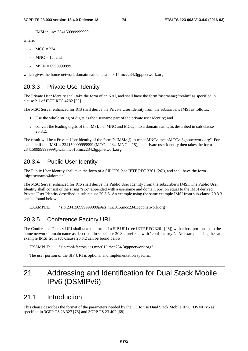IMSI in use: 234150999999999;

where:

- $MCC = 234$ :
- $MNC = 15$ ; and
- MSIN = 0999999999,

which gives the home network domain name: ics.mnc015.mcc234.3gppnetwork.org

### 20.3.3 Private User Identity

The Private User Identity shall take the form of an NAI, and shall have the form "username@realm" as specified in clause 2.1 of IETF RFC 4282 [53].

The MSC Server enhanced for ICS shall derive the Private User Identity from the subscriber's IMSI as follows:

- 1. Use the whole string of digits as the username part of the private user identity; and
- 2. convert the leading digits of the IMSI, i.e. MNC and MCC, into a domain name, as described in sub-clause 20.3.2.

The result will be a Private User Identity of the form "<IMSI>@ics.mnc<MNC>.mcc<MCC>.3gppnetwork.org". For example if the IMSI is 2341509999999999 (MCC = 234, MNC = 15), the private user identity then takes the form 234150999999999@ics.mnc015.mcc234.3gppnetwork.org

### 20.3.4 Public User Identity

The Public User Identity shall take the form of a SIP URI (see IETF RFC 3261 [26]), and shall have the form "sip:username@domain".

The MSC Server enhanced for ICS shall derive the Public User Identity from the subscriber's IMSI. The Public User Identity shall consist of the string "sip:" appended with a username and domain portion equal to the IMSI derived Private User Identity described in sub-clause 20.3.3. An example using the same example IMSI from sub-clause 20.3.3 can be found below:

EXAMPLE: "sip:234150999999999@ics.mnc015.mcc234.3gppnetwork.org".

### 20.3.5 Conference Factory URI

The Conference Factory URI shall take the form of a SIP URI (see IETF RFC 3261 [26]) with a host portion set to the home network domain name as described in subclause 20.3.2 prefixed with "conf-factory.". An example using the same example IMSI from sub-clause 20.3.2 can be found below:

EXAMPLE: "sip:conf-factory.ics.mnc015.mcc234.3gppnetwork.org".

The user portion of the SIP URI is optional and implementation specific.

# 21 Addressing and Identification for Dual Stack Mobile IPv6 (DSMIPv6)

### 21.1 Introduction

This clause describes the format of the parameters needed by the UE to use Dual Stack Mobile IPv6 (DSMIPv6 as specified in 3GPP TS 23.327 [76] and 3GPP TS 23.402 [68].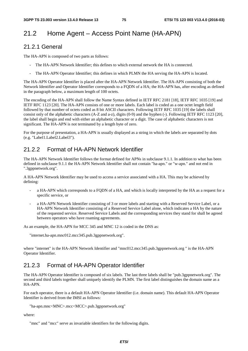## 21.2 Home Agent – Access Point Name (HA-APN)

### 21.2.1 General

The HA-APN is composed of two parts as follows:

- The HA-APN Network Identifier; this defines to which external network the HA is connected.
- The HA-APN Operator Identifier; this defines in which PLMN the HA serving the HA-APN is located.

The HA-APN Operator Identifier is placed after the HA-APN Network Identifier. The HA-APN consisting of both the Network Identifier and Operator Identifier corresponds to a FQDN of a HA; the HA-APN has, after encoding as defined in the paragraph below, a maximum length of 100 octets.

The encoding of the HA-APN shall follow the Name Syntax defined in IETF RFC 2181 [18], IETF RFC 1035 [19] and IETF RFC 1123 [20]. The HA-APN consists of one or more labels. Each label is coded as a one octet length field followed by that number of octets coded as 8 bit ASCII characters. Following IETF RFC 1035 [19] the labels shall consist only of the alphabetic characters (A-Z and a-z), digits (0-9) and the hyphen (-). Following IETF RFC 1123 [20], the label shall begin and end with either an alphabetic character or a digit. The case of alphabetic characters is not significant. The HA-APN is not terminated by a length byte of zero.

For the purpose of presentation, a HA-APN is usually displayed as a string in which the labels are separated by dots (e.g. "Label1.Label2.Label3").

### 21.2.2 Format of HA-APN Network Identifier

The HA-APN Network Identifier follows the format defined for APNs in subclause 9.1.1. In addition to what has been defined in subclause 9.1.1 the HA-APN Network Identifier shall not contain "ha-apn." or "w-apn." and not end in ".3gppnetwork.org".

A HA-APN Network Identifier may be used to access a service associated with a HA. This may be achieved by defining:

- a HA-APN which corresponds to a FQDN of a HA, and which is locally interpreted by the HA as a request for a specific service, or
- a HA-APN Network Identifier consisting of 3 or more labels and starting with a Reserved Service Label, or a HA-APN Network Identifier consisting of a Reserved Service Label alone, which indicates a HA by the nature of the requested service. Reserved Service Labels and the corresponding services they stand for shall be agreed between operators who have roaming agreements.

As an example, the HA-APN for MCC 345 and MNC 12 is coded in the DNS as:

"internet.ha-apn.mnc012.mcc345.pub.3gppnetwork.org".

where "internet" is the HA-APN Network Identifier and "mnc012.mcc345.pub.3gppnetwork.org " is the HA-APN Operator Identifier.

### 21.2.3 Format of HA-APN Operator Identifier

The HA-APN Operator Identifier is composed of six labels. The last three labels shall be "pub.3gppnetwork.org". The second and third labels together shall uniquely identify the PLMN. The first label distinguishes the domain name as a HA-APN.

For each operator, there is a default HA-APN Operator Identifier (i.e. domain name). This default HA-APN Operator Identifier is derived from the IMSI as follows:

"ha-apn.mnc<MNC>.mcc<MCC>.pub.3gppnetwork.org"

where:

"mnc" and "mcc" serve as invariable identifiers for the following digits.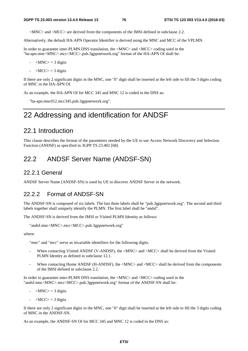<MNC> and <MCC> are derived from the components of the IMSI defined in subclause 2.2.

Alternatively, the default HA-APN Operator Identifier is derived using the MNC and MCC of the VPLMN.

In order to guarantee inter-PLMN DNS translation, the <MNC> and <MCC> coding used in the "ha-apn.mnc<MNC>.mcc<MCC>.pub.3gppnetwork.org" format of the HA-APN OI shall be:

- $-MNC$  = 3 digits
- $-MCC$  = 3 digits

If there are only 2 significant digits in the MNC, one "0" digit shall be inserted at the left side to fill the 3 digits coding of MNC in the HA-APN OI.

As an example, the HA-APN OI for MCC 345 and MNC 12 is coded in the DNS as:

"ha-apn.mnc012.mcc345.pub.3gppnetwork.org".

## 22 Addressing and identification for ANDSF

### 22.1 Introduction

This clause describes the format of the parameters needed by the UE to use Access Network Discovery and Selection Function (ANDSF) as specified in 3GPP TS 23.402 [68].

### 22.2 ANDSF Server Name (ANDSF-SN)

#### 22.2.1 General

ANDSF Server Name (ANDSF-SN) is used by UE to discover ANDSF Server in the network.

### 22.2.2 Format of ANDSF-SN

The ANDSF-SN is composed of six labels. The last three labels shall be "pub.3gppnetwork.org". The second and third labels together shall uniquely identify the PLMN. The first label shall be "andsf".

The ANDSF-SN is derived from the IMSI or Visited PLMN Identity as follows:

```
"andsf.mnc<MNC>.mcc<MCC>.pub.3gppnetwork.org"
```
where:

"mnc" and "mcc" serve as invariable identifiers for the following digits.

- When contacting Visited ANDSF (V-ANDSF), the <MNC> and <MCC> shall be derived from the Visited PLMN Identity as defined in subclause 12.1.
- When contacting Home ANDSF (H-ANDSF), the <MNC> and <MCC> shall be derived from the components of the IMSI defined in subclause 2.2.

In order to guarantee inter-PLMN DNS translation, the <MNC> and <MCC> coding used in the "andsf.mnc<MNC>.mcc<MCC>.pub.3gppnetwork.org" format of the ANDSF-SN shall be:

- $-MNC$  = 3 digits
- $\langle MCC \rangle = 3$  digits

If there are only 2 significant digits in the MNC, one "0" digit shall be inserted at the left side to fill the 3 digits coding of MNC in the ANDSF-SN.

As an example, the ANDSF-SN OI for MCC 345 and MNC 12 is coded in the DNS as: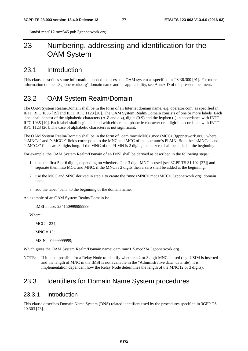"andsf.mnc012.mcc345.pub.3gppnetwork.org".

## 23 Numbering, addressing and identification for the OAM System

### 23.1 Introduction

This clause describes some information needed to access the OAM system as specified in TS 36.300 [91]. For more information on the ".3gppnetwork.org" domain name and its applicability, see Annex D of the present document.

### 23.2 OAM System Realm/Domain

The OAM System Realm/Domain shall be in the form of an Internet domain name, e.g. operator.com, as specified in IETF RFC 1035 [19] and IETF RFC 1123 [20]. The OAM System Realm/Domain consists of one or more labels. Each label shall consist of the alphabetic characters (A-Z and a-z), digits (0-9) and the hyphen (-) in accordance with IETF RFC 1035 [19]. Each label shall begin and end with either an alphabetic character or a digit in accordance with IETF RFC 1123 [20]. The case of alphabetic characters is not significant.

The OAM System Realm/Domain shall be in the form of "oam.mnc<MNC>.mcc<MCC>.3gppnetwork.org", where "<MNC>" and "<MCC>" fields correspond to the MNC and MCC of the operator"s PLMN. Both the "<MNC>" and "<MCC>" fields are 3 digits long. If the MNC of the PLMN is 2 digits, then a zero shall be added at the beginning.

For example, the OAM System Realm/Domain of an IMSI shall be derived as described in the following steps:

- 1. take the first 5 or 6 digits, depending on whether a 2 or 3 digit MNC is used (see 3GPP TS 31.102 [27]) and separate them into MCC and MNC; if the MNC is 2 digits then a zero shall be added at the beginning;
- 2. use the MCC and MNC derived in step 1 to create the "mnc<MNC>.mcc<MCC>.3gppnetwork.org" domain name;
- 3. add the label "oam" to the beginning of the domain name.

An example of an OAM System Realm/Domain is:

IMSI in use: 234150999999999;

Where:

 $MCC = 234$ :

 $MNC = 15$ ;

MSIN = 0999999999;

Which gives the OAM System Realm/Domain name: oam.mnc015.mcc234.3gppnetwork.org.

NOTE: If it is not possible for a Relay Node to identify whether a 2 or 3 digit MNC is used (e.g. USIM is inserted and the length of MNC in the IMSI is not available in the "Administrative data" data file), it is implementation dependent how the Relay Node determines the length of the MNC (2 or 3 digits).

### 23.3 Identifiers for Domain Name System procedures

### 23.3.1 Introduction

This clause describes Domain Name System (DNS) related identifiers used by the procedures specified in 3GPP TS 29.303 [73].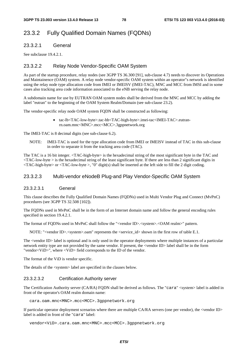### 23.3.2 Fully Qualified Domain Names (FQDNs)

#### 23.3.2.1 General

See subclause 19.4.2.1.

#### 23.3.2.2 Relay Node Vendor-Specific OAM System

As part of the startup procedure, relay nodes (see 3GPP TS 36.300 [91], sub-clause 4.7) needs to discover its Operations and Maintainence (OAM) system. A relay node vendor-specific OAM system within an operator"s network is identified using the relay node type allocation code from IMEI or IMEISV (IMEI-TAC), MNC and MCC from IMSI and in some cases also tracking area code information associated to the eNB serving the relay node.

A subdomain name for use by EUTRAN OAM system nodes shall be derived from the MNC and MCC by adding the label "eutran" to the beginning of the OAM System Realm/Domain (see sub-clause 23.2).

The vendor-specific relay node OAM system FQDN shall be constructed as following:

• tac-lb<TAC-low-byte>.tac-hb<TAC-high-byte>.imei-tac<IMEI-TAC>.eutranrn.oam.mnc<MNC>.mcc<MCC>.3gppnetwork.org

The IMEI-TAC is 8 decimal digits (see sub-clause 6.2).

NOTE: IMEI-TAC is used for the type allocation code from IMEI or IMEISV instead of TAC in this sub-clause in order to separate it from the tracking area code (TAC).

The TAC is a 16 bit integer. <TAC-high-byte> is the hexadecimal string of the most significant byte in the TAC and  $\langle$ TAC-low-byte  $>$  is the hexadecimal string of the least significant byte. If there are less than 2 significant digits in <TAC-high-byte> or <TAC-low-byte >, "0" digit(s) shall be inserted at the left side to fill the 2 digit coding.

#### 23.3.2.3 Multi-vendor eNodeB Plug-and Play Vendor-Specific OAM System

#### 23.3.2.3.1 General

This clause describes the Fully Qualified Domain Names (FQDNs) used in Multi Vendor Plug and Connect (MvPnC) procedures (see 3GPP TS 32.508 [102]).

The FQDNs used in MvPnC shall be in the form of an Internet domain name and follow the general encoding rules specified in section 19.4.2.1.

The format of FQDNs used in MvPnC shall follow the "<vendor ID>.<system>.<OAM realm>" pattern.

NOTE: "<vendor ID>. <system>.oam" represents the <service\_id> shown in the first row of table E.1.

The <vendor ID> label is optional and is only used in the operator deployments where multiple instances of a particular network entity type are not provided by the same vendor. If present, the <vendor ID> label shall be in the form "vendor<ViD>", where <ViD> field corresponds to the ID of the vendor.

The format of the ViD is vendor specific.

The details of the <system> label are specified in the clauses below.

#### 23.3.2.3.2 Certification Authority server

The Certification Authority server (CA/RA) FQDN shall be derived as follows. The "cara" <system> label is added in front of the operator's OAM realm domain name:

cara.oam.mnc<MNC>.mcc<MCC>.3gppnetwork.org

If particular operator deployment scenarios where there are multiple CA/RA servers (one per vendor), the <vendor ID> label is added in front of the "cara" label:

vendor<ViD>.cara.oam.mnc<MNC>.mcc<MCC>.3gppnetwork.org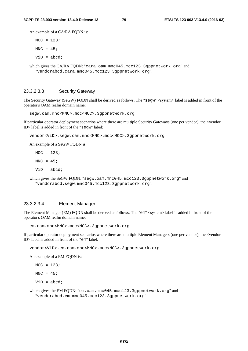An example of a CA/RA FQDN is:

 $MCC = 123;$  $MNC = 45;$ 

 $ViD = abcd;$ 

which gives the CA/RA FQDN: "cara.oam.mnc045.mcc123.3gppnetwork.org" and "vendorabcd.cara.mnc045.mcc123.3gppnetwork.org".

#### 23.3.2.3.3 Security Gateway

The Security Gateway (SeGW) FQDN shall be derived as follows. The "segw" <system> label is added in front of the operator's OAM realm domain name:

segw.oam.mnc<MNC>.mcc<MCC>.3gppnetwork.org

If particular operator deployment scenarios where there are multiple Security Gateways (one per vendor), the <vendor ID> label is added in front of the "segw" label:

vendor<ViD>.segw.oam.mnc<MNC>.mcc<MCC>.3gppnetwork.org

An example of a SeGW FQDN is:

 $MCC = 123;$  $MNC = 45;$  $ViD = abcd;$ 

which gives the SeGW FODN: "seqw.oam.mnc045.mcc123.3qppnetwork.org" and "vendorabcd.segw.mnc045.mcc123.3gppnetwork.org".

#### 23.3.2.3.4 Element Manager

The Element Manager (EM) FQDN shall be derived as follows. The "em" <system> label is added in front of the operator's OAM realm domain name:

em.oam.mnc<MNC>.mcc<MCC>.3gppnetwork.org

If particular operator deployment scenarios where there are multiple Element Managers (one per vendor), the <vendor ID> label is added in front of the "em" label:

vendor<ViD>.em.oam.mnc<MNC>.mcc<MCC>.3gppnetwork.org

An example of a EM FQDN is:

 $MCC = 123;$  $MNC = 45;$  $ViD = abcd;$ 

which gives the EM FQDN: "em.oam.mnc045.mcc123.3gppnetwork.org" and "vendorabcd.em.mnc045.mcc123.3gppnetwork.org".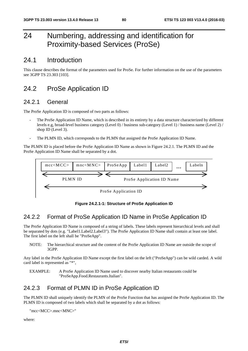## 24 Numbering, addressing and identification for Proximity-based Services (ProSe)

### 24.1 Introduction

This clause describes the format of the parameters used for ProSe. For further information on the use of the parameters see 3GPP TS 23.303 [103].

## 24.2 ProSe Application ID

### 24.2.1 General

The ProSe Application ID is composed of two parts as follows:

- The ProSe Application ID Name, which is described in its entirety by a data structure characterized by different levels e.g, broad-level business category (Level 0) / business sub-category (Level 1) / business name (Level 2) / shop ID (Level 3).
- The PLMN ID, which corresponds to the PLMN that assigned the ProSe Application ID Name.

The PLMN ID is placed before the ProSe Application ID Name as shown in Figure 24.2.1. The PLMN ID and the ProSe Application ID Name shall be separated by a dot.



**Figure 24.2.1-1: Structure of ProSe Application ID** 

## 24.2.2 Format of ProSe Application ID Name in ProSe Application ID

The ProSe Application ID Name is composed of a string of labels. These labels represent hierarchical levels and shall be separated by dots (e.g. "Label1.Label2.Label3"). The ProSe Application ID Name shall contain at least one label. The first label on the left shall be "ProSeApp".

NOTE: The hierarchical structure and the content of the ProSe Application ID Name are outside the scope of 3GPP.

Any label in the ProSe Application ID Name except the first label on the left ("ProSeApp") can be wild carded. A wild card label is represented as "\*",

EXAMPLE: A ProSe Application ID Name used to discover nearby Italian restaurants could be "ProSeApp.Food.Restaurants.Italian".

## 24.2.3 Format of PLMN ID in ProSe Application ID

The PLMN ID shall uniquely identify the PLMN of the ProSe Function that has assigned the ProSe Application ID. The PLMN ID is composed of two labels which shall be separated by a dot as follows:

```
"mcc<MCC>.mnc<MNC>"
```
where: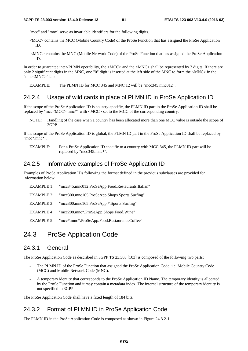"mcc" and "mnc" serve as invariable identifiers for the following digits.

- <MCC> contains the MCC (Mobile Country Code) of the ProSe Function that has assigned the ProSe Application ID.
- <MNC> contains the MNC (Mobile Network Code) of the ProSe Function that has assigned the ProSe Application ID.

In order to guarantee inter-PLMN operability, the <MCC> and the <MNC> shall be represented by 3 digits. If there are only 2 significant digits in the MNC, one "0" digit is inserted at the left side of the MNC to form the  $\langle$ MNC $\rangle$  in the "mnc<MNC>" label.

EXAMPLE: The PLMN ID for MCC 345 and MNC 12 will be "mcc345.mnc012".

#### 24.2.4 Usage of wild cards in place of PLMN ID in ProSe Application ID

If the scope of the ProSe Application ID is country-specific, the PLMN ID part in the ProSe Application ID shall be replaced by "mcc<MCC>.mnc\*" with <MCC> set to the MCC of the corresponding country.

NOTE: Handling of the case when a country has been allocated more than one MCC value is outside the scope of 3GPP.

If the scope of the ProSe Application ID is global, the PLMN ID part in the ProSe Application ID shall be replaced by "mcc\*.mnc\*".

EXAMPLE: For a ProSe Application ID specific to a country with MCC 345, the PLMN ID part will be replaced by "mcc345.mnc\*".

### 24.2.5 Informative examples of ProSe Application ID

Examples of ProSe Application IDs following the format defined in the previous subclauses are provided for information below.

| EXAMPLE 1: | "mcc345.mnc012.ProSeApp.Food.Restaurants.Italian"    |
|------------|------------------------------------------------------|
| EXAMPLE 2: | "mcc300.mnc165.ProSeApp.Shops.Sports.Surfing"        |
|            | EXAMPLE 3: "mcc300.mnc165.ProSeApp.*.Sports.Surfing" |
| EXAMPLE 4: | "mcc208.mnc*.ProSeApp.Shops.Food.Wine"               |
|            |                                                      |

EXAMPLE 5: "mcc\*.mnc\*.ProSeApp.Food.Restaurants.Coffee"

### 24.3 ProSe Application Code

#### 24.3.1 General

The ProSe Application Code as described in 3GPP TS 23.303 [103] is composed of the following two parts:

- The PLMN ID of the ProSe Function that assigned the ProSe Application Code, i.e. Mobile Country Code (MCC) and Mobile Network Code (MNC).
- A temporary identity that corresponds to the ProSe Application ID Name. The temporary identity is allocated by the ProSe Function and it may contain a metadata index. The internal structure of the temporary identity is not specified in 3GPP.

The ProSe Application Code shall have a fixed length of 184 bits.

### 24.3.2 Format of PLMN ID in ProSe Application Code

The PLMN ID in the ProSe Application Code is composed as shown in Figure 24.3.2-1: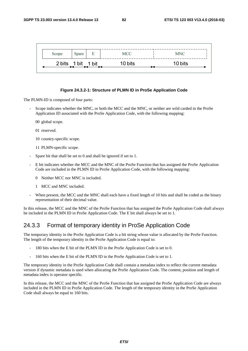| Scope | Spare              | E | MCC     | <b>MNC</b> |
|-------|--------------------|---|---------|------------|
|       | 2 bits 1 bit 1 bit |   | 10 bits | 10 bits    |

#### **Figure 24.3.2-1: Structure of PLMN ID in ProSe Application Code**

The PLMN-ID is composed of four parts:

- Scope indicates whether the MNC, or both the MCC and the MNC, or neither are wild carded in the ProSe Application ID associated with the ProSe Application Code, with the following mapping:
	- 00 global scope.
	- 01 reserved.
	- 10 country-specific scope.
	- 11 PLMN-specific scope.
- Spare bit that shall be set to 0 and shall be ignored if set to 1.
- E bit indicates whether the MCC and the MNC of the ProSe Function that has assigned the ProSe Application Code are included in the PLMN ID in ProSe Application Code, with the following mapping:
	- 0 Neither MCC nor MNC is included.
	- 1 MCC and MNC included.
- When present, the MCC and the MNC shall each have a fixed length of 10 bits and shall be coded as the binary representation of their decimal value.

In this release, the MCC and the MNC of the ProSe Function that has assigned the ProSe Application Code shall always be included in the PLMN ID in ProSe Application Code. The E bit shall always be set to 1.

### 24.3.3 Format of temporary identity in ProSe Application Code

The temporary identity in the ProSe Application Code is a bit string whose value is allocated by the ProSe Function. The length of the temporary identity in the ProSe Application Code is equal to:

- 180 bits when the E bit of the PLMN ID in the ProSe Application Code is set to 0.
- 160 bits when the E bit of the PLMN ID in the ProSe Application Code is set to 1.

The temporary identity in the ProSe Application Code shall contain a metadata index to reflect the current metadata version if dynamic metadata is used when allocating the ProSe Application Code. The content, position and length of metadata index is operator specific.

In this release, the MCC and the MNC of the ProSe Function that has assigned the ProSe Application Code are always included in the PLMN ID in ProSe Application Code. The length of the temporary identity in the ProSe Application Code shall always be equal to 160 bits.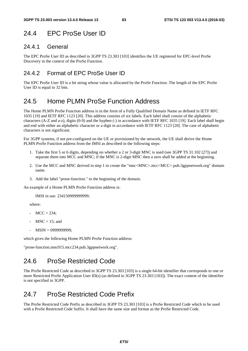## 24.4 EPC ProSe User ID

### 24.4.1 General

The EPC ProSe User ID as described in 3GPP TS 23.303 [103] identifies the UE registered for EPC-level ProSe Discovery in the context of the ProSe Function.

### 24.4.2 Format of EPC ProSe User ID

The EPC ProSe User ID is a bit string whose value is allocated by the ProSe Function. The length of the EPC ProSe User ID is equal to 32 bits.

## 24.5 Home PLMN ProSe Function Address

The Home PLMN ProSe Function address is in the form of a Fully Qualified Domain Name as defined in IETF RFC 1035 [19] and IETF RFC 1123 [20]. This address consists of six labels. Each label shall consist of the alphabetic characters (A-Z and a-z), digits (0-9) and the hyphen (-) in accordance with IETF RFC 1035 [19]. Each label shall begin and end with either an alphabetic character or a digit in accordance with IETF RFC 1123 [20]. The case of alphabetic characters is not significant.

For 3GPP systems, if not pre-configured on the UE or provisioned by the network, the UE shall derive the Home PLMN ProSe Function address from the IMSI as described in the following steps:

- 1. Take the first 5 or 6 digits, depending on whether a 2 or 3-digit MNC is used (see 3GPP TS 31.102 [27]) and separate them into MCC and MNC; if the MNC is 2-digit MNC then a zero shall be added at the beginning.
- 2. Use the MCC and MNC derived in step 1 to create the "mnc<MNC>.mcc<MCC>.pub.3gppnetwork.org" domain name.
- 3. Add the label "prose-function." to the beginning of the domain.

An example of a Home PLMN ProSe Function address is:

IMSI in use: 234150999999999;

where:

- $MCC = 234$ :
- $MNC = 15$ ; and
- MSIN = 0999999999,

which gives the following Home PLMN ProSe Function address:

"prose-function.mnc015.mcc234.pub.3gppnetwork.org".

## 24.6 ProSe Restricted Code

The ProSe Restricted Code as described in 3GPP TS 23.303 [103] is a single 64-bit identifier that corresponds to one or more Restricted ProSe Application User ID(s) (as defined in 3GPP TS 23.303 [103]). The exact content of the identifier is not specified in 3GPP.

## 24.7 ProSe Restricted Code Prefix

The ProSe Restricted Code Prefix as described in 3GPP TS 23.303 [103] is a ProSe Restricted Code which to be used with a ProSe Restricted Code Suffix. It shall have the same size and format as the ProSe Restricted Code.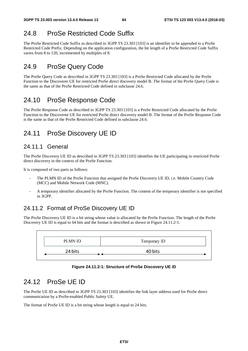## 24.8 ProSe Restricted Code Suffix

The ProSe Restricted Code Suffix as described in 3GPP TS 23.303 [103] is an identifier to be appended to a ProSe Restricted Code Prefix. Depending on the application configuration, the bit length of a ProSe Restricted Code Suffix varies from 8 to 120, incremented by multiples of 8.

## 24.9 ProSe Query Code

The ProSe Query Code as described in 3GPP TS 23.303 [103] is a ProSe Restricted Code allocated by the ProSe Function to the Discoverer UE for restricted ProSe direct discovery model B. The format of the ProSe Query Code is the same as that of the ProSe Restricted Code defined in subclause 24.6.

## 24.10 ProSe Response Code

The ProSe Response Code as described in 3GPP TS 23.303 [103] is a ProSe Restricted Code allocated by the ProSe Function to the Discoveree UE for restricted ProSe direct discovery model B. The format of the ProSe Response Code is the same as that of the ProSe Restricted Code defined in subclause 24.6.

## 24.11 ProSe Discovery UE ID

### 24.11.1 General

The ProSe Discovery UE ID as described in 3GPP TS 23.303 [103] identifies the UE participating in restricted ProSe direct discovery in the context of the ProSe Function.

It is composed of two parts as follows:

- The PLMN ID of the ProSe Function that assigned the ProSe Discovery UE ID, i.e. Mobile Country Code (MCC) and Mobile Network Code (MNC).
- A temporary identifier allocated by the ProSe Function. The content of the temporary identifier is not specified in 3GPP.

### 24.11.2 Format of ProSe Discovery UE ID

The ProSe Discovery UE ID is a bit string whose value is allocated by the ProSe Function. The length of the ProSe Discovery UE ID is equal to 64 bits and the format is described as shown in Figure 24.11.2-1.



#### **Figure 24.11.2-1: Structure of ProSe Discovery UE ID**

## 24.12 ProSe UE ID

The ProSe UE ID as described in 3GPP TS 23.303 [103] identifies the link layer address used for ProSe direct communication by a ProSe-enabled Public Safety UE.

The format of ProSe UE ID is a bit string whose length is equal to 24 bits.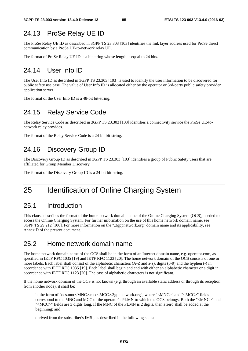## 24.13 ProSe Relay UE ID

The ProSe Relay UE ID as described in 3GPP TS 23.303 [103] identifies the link layer address used for ProSe direct communication by a ProSe UE-to-network relay UE.

The format of ProSe Relay UE ID is a bit string whose length is equal to 24 bits.

## 24.14 User Info ID

The User Info ID as described in 3GPP TS 23.303 [103] is used to identify the user information to be discovered for public safety use case. The value of User Info ID is allocated either by the operator or 3rd-party public safety provider application server.

The format of the User Info ID is a 48-bit bit-string.

## 24.15 Relay Service Code

The Relay Service Code as described in 3GPP TS 23.303 [103] identifies a connectivity service the ProSe UE-tonetwork relay provides.

The format of the Relay Service Code is a 24-bit bit-string.

## 24.16 Discovery Group ID

The Discovery Group ID as described in 3GPP TS 23.303 [103] identifies a group of Public Safety users that are affiliated for Group Member Discovery.

The format of the Discovery Group ID is a 24-bit bit-string.

## 25 Identification of Online Charging System

### 25.1 Introduction

This clause describes the format of the home network domain name of the Online Charging System (OCS), needed to access the Online Charging System. For further information on the use of this home network domain name, see 3GPP TS 29.212 [106]. For more information on the ".3gppnetwork.org" domain name and its applicability, see Annex D of the present document.

### 25.2 Home network domain name

The home network domain name of the OCS shall be in the form of an Internet domain name, e.g. operator.com, as specified in IETF RFC 1035 [19] and IETF RFC 1123 [20]. The home network domain of the OCS consists of one or more labels. Each label shall consist of the alphabetic characters (A-Z and a-z), digits (0-9) and the hyphen (-) in accordance with IETF RFC 1035 [19]. Each label shall begin and end with either an alphabetic character or a digit in accordance with IETF RFC 1123 [20]. The case of alphabetic characters is not significant.

If the home network domain of the OCS is not known (e.g. through an available static address or through its reception from another node), it shall be:

- in the form of "ocs.mnc<MNC>.mcc<MCC>.3gppnetwork.org", where "<MNC>" and "<MCC>" fields correspond to the MNC and MCC of the operator"s PLMN to which the OCS belongs. Both the "<MNC>" and "<MCC>" fields are 3 digits long. If the MNC of the PLMN is 2 digits, then a zero shall be added at the beginning; and
- derived from the subscriber's IMSI, as described in the following steps: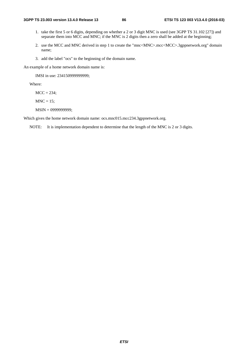- 1. take the first 5 or 6 digits, depending on whether a 2 or 3 digit MNC is used (see 3GPP TS 31.102 [27]) and separate them into MCC and MNC; if the MNC is 2 digits then a zero shall be added at the beginning;
- 2. use the MCC and MNC derived in step 1 to create the "mnc<MNC>.mcc<MCC>.3gppnetwork.org" domain name;
- 3. add the label "ocs" to the beginning of the domain name.

An example of a home network domain name is:

IMSI in use: 234150999999999;

Where:

 $MCC = 234$ ;

 $MNC = 15$ ;

MSIN = 0999999999;

Which gives the home network domain name: ocs.mnc015.mcc234.3gppnetwork.org.

NOTE: It is implementation dependent to determine that the length of the MNC is 2 or 3 digits.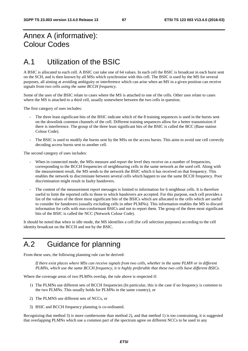## Annex A (informative): Colour Codes

## A.1 Utilization of the BSIC

A BSIC is allocated to each cell. A BSIC can take one of 64 values. In each cell the BSIC is broadcast in each burst sent on the SCH, and is then known by all MSs which synchronise with this cell. The BSIC is used by the MS for several purposes, all aiming at avoiding ambiguity or interference which can arise when an MS in a given position can receive signals from two cells *using the same BCCH frequency*.

Some of the uses of the BSIC relate to cases where the MS is attached to one of the cells. Other uses relate to cases where the MS is attached to a third cell, usually somewhere between the two cells in question.

The first category of uses includes:

- The three least significant bits of the BSIC indicate which of the 8 training sequences is used in the bursts sent on the downlink common channels of the cell. Different training sequences allow for a better transmission if there is interference. The group of the three least significant bits of the BSIC is called the BCC (Base station Colour Code).
- The BSIC is used to modify the bursts sent by the MSs on the access bursts. This aims to avoid one cell correctly decoding access bursts sent to another cell.

The second category of uses includes:

- When in connected mode, the MSs measure and report the level they receive on a number of frequencies, corresponding to the BCCH frequencies of neighbouring cells in the same network as the used cell. Along with the measurement result, the MS sends to the network the BSIC which it has received on that frequency. This enables the network to discriminate between several cells which happen to use the same BCCH frequency. Poor discrimination might result in faulty handovers.
- The content of the measurement report messages is limited to information for 6 neighbour cells. It is therefore useful to limit the reported cells to those to which handovers are accepted. For this purpose, each cell provides a list of the values of the three most significant bits of the BSICs which are allocated to the cells which are useful to consider for handovers (usually excluding cells in other PLMNs). This information enables the MS to discard information for cells with non-conformant BSICs and not to report them. The group of the three most significant bits of the BSIC is called the NCC (Network Colour Code).

It should be noted that when in idle mode, the MS identifies a cell (for cell selection purposes) according to the cell identity broadcast on the BCCH and *not* by the BSIC.

## A.2 Guidance for planning

From these uses, the following planning rule can be derived:

 *If there exist places where MSs can receive signals from two cells, whether in the same PLMN or in different PLMNs, which use the same BCCH frequency, it is highly preferable that these two cells have different BSICs.* 

Where the coverage areas of two PLMNs overlap, the rule above is respected if:

- 1) The PLMNs use different sets of BCCH frequencies (In particular, this is the case if no frequency is common to the two PLMNs. This usually holds for PLMNs in the same country), or
- 2) The PLMNS use different sets of NCCs, or
- 3) BSIC and BCCH frequency planning is co-ordinated.

Recognizing that method 3) is more cumbersome than method 2), and that method 1) is too constraining, it is suggested that overlapping PLMNs which use a common part of the spectrum agree on different NCCs to be used in any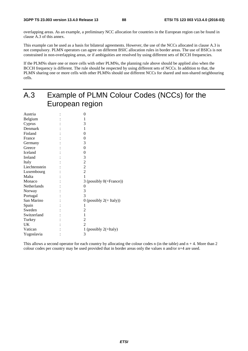overlapping areas. As an example, a preliminary NCC allocation for countries in the European region can be found in clause A.3 of this annex.

This example can be used as a basis for bilateral agreements. However, the use of the NCCs allocated in clause A.3 is not compulsory. PLMN operators can agree on different BSIC allocation rules in border areas. The use of BSICs is not constrained in non-overlapping areas, or if ambiguities are resolved by using different sets of BCCH frequencies.

If the PLMNs share one or more cells with other PLMNs, the planning rule above should be applied also when the BCCH frequency is different. The rule should be respected by using different sets of NCCs. In addition to that, the PLMN sharing one or more cells with other PLMNs should use different NCCs for shared and non-shared neighbouring cells.

| A.3           | Example of PLMN Colour Codes (NCCs) for the |
|---------------|---------------------------------------------|
|               | European region                             |
| Austria       | $\theta$                                    |
| Belgium       | 1                                           |
| Cyprus        | 3                                           |
| Denmark       |                                             |
| Finland       | 0                                           |
| France        | 0                                           |
| Germany       | 3                                           |
| Greece        | $\theta$                                    |
| Iceland       | 0                                           |
| Ireland       | 3                                           |
| Italy         | 2                                           |
| Liechtenstein | $\overline{2}$                              |
| Luxembourg    | $\overline{2}$                              |
| Malta         |                                             |
| Monaco        | 3 (possibly $0$ (=France))                  |
| Netherlands   | 0                                           |
| Norway        | 3                                           |
| Portugal      | 3                                           |
| San Marino    | 0 (possibly $2 (= Italy)$ )                 |
| Spain         |                                             |
| Sweden        | 2                                           |
| Switzerland   | 1                                           |
| Turkey        | $\overline{c}$                              |
| UK            | $\overline{2}$                              |
| Vatican       | 1 (possibly $2(=$ Italy)                    |
| Yugoslavia    | 3                                           |

This allows a second operator for each country by allocating the colour codes n (in the table) and  $n + 4$ . More than 2 colour codes per country may be used provided that in border areas only the values n and/or n+4 are used.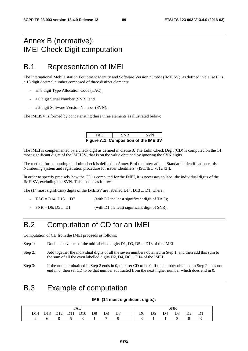## Annex B (normative): IMEI Check Digit computation

## B.1 Representation of IMEI

The International Mobile station Equipment Identity and Software Version number (IMEISV), as defined in clause 6, is a 16 digit decimal number composed of three distinct elements:

- an 8 digit Type Allocation Code (TAC);
- a 6 digit Serial Number (SNR); and
- a 2 digit Software Version Number (SVN).

The IMEISV is formed by concatenating these three elements as illustrated below:

| TAC.                                         | <b>SNR</b> | <b>SVN</b> |  |  |  |  |  |  |  |
|----------------------------------------------|------------|------------|--|--|--|--|--|--|--|
| <b>Figure A.1: Composition of the IMEISV</b> |            |            |  |  |  |  |  |  |  |

The IMEI is complemented by a check digit as defined in clause 3. The Luhn Check Digit (CD) is computed on the 14 most significant digits of the IMEISV, that is on the value obtained by ignoring the SVN digits.

The method for computing the Luhn check is defined in Annex B of the International Standard "Identification cards - Numbering system and registration procedure for issuer identifiers" (ISO/IEC 7812 [3]).

In order to specify precisely how the CD is computed for the IMEI, it is necessary to label the individual digits of the IMEISV, excluding the SVN. This is done as follows:

The (14 most significant) digits of the IMEISV are labelled D14, D13 ... D1, where:

- $TAC = D14$ ,  $D13$  ...  $D7$  (with D7 the least significant digit of TAC);
- $SNR = D6, D5 ... D1$  (with D1 the least significant digit of SNR).

## B.2 Computation of CD for an IMEI

Computation of CD from the IMEI proceeds as follows:

- Step 1: Double the values of the odd labelled digits D1, D3, D5 ... D13 of the IMEI.
- Step 2: Add together the individual digits of all the seven numbers obtained in Step 1, and then add this sum to the sum of all the even labelled digits D2, D4, D6 ... D14 of the IMEI.
- Step 3: If the number obtained in Step 2 ends in 0, then set CD to be 0. If the number obtained in Step 2 does not end in 0, then set CD to be that number subtracted from the next higher number which does end in 0.

## B.3 Example of computation

#### **IMEI (14 most significant digits):**

|  |  |  |  |                              |  |  |  |  |  | SNR |                                                                                           |  |
|--|--|--|--|------------------------------|--|--|--|--|--|-----|-------------------------------------------------------------------------------------------|--|
|  |  |  |  | D14 D13 D12 D11 D10 D9 D8 D7 |  |  |  |  |  |     | D <sub>6</sub> D <sub>5</sub> D <sub>4</sub> D <sub>3</sub> D <sub>2</sub> D <sub>1</sub> |  |
|  |  |  |  | 0 5 3 1 7 9                  |  |  |  |  |  |     |                                                                                           |  |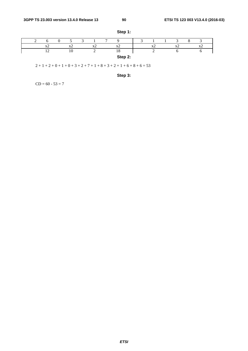|  |   |                |                                         | $\overline{ }$ |                                         | ∽ |          |              |                          |  |
|--|---|----------------|-----------------------------------------|----------------|-----------------------------------------|---|----------|--------------|--------------------------|--|
|  | △ | v<br>$\Lambda$ | $\mathbf{v}$<br>$\overline{\mathbf{A}}$ |                | $\mathbf{v}$<br>$\overline{\mathbf{A}}$ |   | $\Delta$ | $\mathbf{v}$ | $\overline{\phantom{a}}$ |  |
|  |   | 10             |                                         |                | 10                                      |   |          |              |                          |  |
|  |   |                |                                         |                | Step 2:                                 |   |          |              |                          |  |

**Step 1:** 

 $2 + 1 + 2 + 0 + 1 + 0 + 3 + 2 + 7 + 1 + 8 + 3 + 2 + 1 + 6 + 8 + 6 = 53$ 

**Step 3:** 

 $CD = 60 - 53 = 7$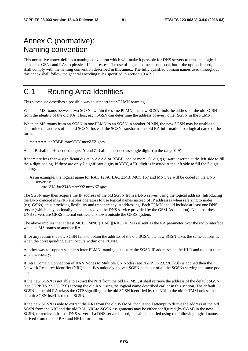## Annex C (normative): Naming convention

This normative annex defines a naming convention which will make it possible for DNS servers to translate logical names for GSNs and RAs to physical IP addresses. The use of logical names is optional, but if the option is used, it shall comply with the naming convention described in this annex. The fully qualified domain names used throughout this annex shall follow the general encoding rules specified in section 19.4.2.1.

## C.1 Routing Area Identities

This subclause describes a possible way to support inter-PLMN roaming.

When an MS roams between two SGSNs within the same PLMN, the new SGSN finds the address of the old SGSN from the identity of the old RA. Thus, each SGSN can determine the address of every other SGSN in the PLMN.

When an MS roams from an SGSN in one PLMN to an SGSN in another PLMN, the new SGSN may be unable to determine the address of the old SGSN. Instead, the SGSN transforms the old RA information to a logical name of the form:

racAAAA.lacBBBB.mncYYY.mccZZZ.gprs

A and B shall be Hex coded digits; Y and Z shall be encoded as single digits (in the range 0-9).

If there are less than 4 significant digits in AAAA or BBBB, one or more "0" digit(s) is/are inserted at the left side to fill the 4 digit coding. If there are only 2 significant digits in YYY, a "0" digit is inserted at the left side to fill the 3 digit coding.

As an example, the logical name for RAC 123A, LAC 234B, MCC 167 and MNC 92 will be coded in the DNS server as:

*rac123A.lac234B.mnc092.mcc167.gprs*.

The SGSN may then acquire the IP address of the old SGSN from a DNS server, using the logical address. Introducing the DNS concept in GPRS enables operators to use logical names instead of IP addresses when referring to nodes (e.g. GSNs), thus providing flexibility and transparency in addressing. Each PLMN should include at least one DNS server (which may optionally be connected via the DNS service provided by the GSM Association). Note that these DNS servers are GPRS internal entities, unknown outside the GPRS system.

The above implies that at least MCC  $\parallel$  MNC  $\parallel$  LAC  $\parallel$  RAC (= RAI) is sent as the RA parameter over the radio interface when an MS roams to another RA.

If for any reason the new SGSN fails to obtain the address of the old SGSN, the new SGSN takes the same actions as when the corresponding event occurs within one PLMN.

Another way to support seamless inter-PLMN roaming is to store the SGSN IP addresses in the HLR and request them when necessary.

If Intra Domain Connection of RAN Nodes to Multiple CN Nodes (see 3GPP TS 23.236 [23]) is applied then the Network Resource Identifier (NRI) identifies uniquely a given SGSN node out of all the SGSNs serving the same pool area.

If the new SGSN is not able to extract the NRI from the old P-TMSI, it shall retrieve the address of the default SGSN (see 3GPP TS 23.236 [23]) serving the old RA, using the logical name described earlier in this section. The default SGSN in the old RA relays the GTP signalling to the old SGSN identified by the NRI in the old P-TMSI unless the default SGSN itself is the old SGSN.

If the new SGSN is able to extract the NRI from the old P-TMSI, then it shall attempt to derive the address of the old SGSN from the NRI and the old RAI. NRI-to-SGSN assignments may be either configured (by O&M) in the new SGSN, or retrieved from a DNS server. If a DNS server is used, it shall be queried using the following logical name, derived from the old RAI and NRI information: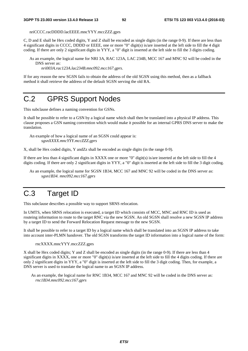nriCCCC.racDDDD.lacEEEE.mncYYY.mccZZZ.gprs

C, D and E shall be Hex coded digits, Y and Z shall be encoded as single digits (in the range 0-9). If there are less than 4 significant digits in CCCC, DDDD or EEEE, one or more "0" digit(s) is/are inserted at the left side to fill the 4 digit coding. If there are only 2 significant digits in YYY, a "0" digit is inserted at the left side to fill the 3 digits coding.

As an example, the logical name for NRI 3A, RAC 123A, LAC 234B, MCC 167 and MNC 92 will be coded in the DNS server as:

*nri003A.rac123A.lac234B.mnc092.mcc167.gprs*.

If for any reason the new SGSN fails to obtain the address of the old SGSN using this method, then as a fallback method it shall retrieve the address of the default SGSN serving the old RA.

## C.2 GPRS Support Nodes

This subclause defines a naming convention for GSNs.

It shall be possible to refer to a GSN by a logical name which shall then be translated into a physical IP address. This clause proposes a GSN naming convention which would make it possible for an internal GPRS DNS server to make the translation.

An example of how a logical name of an SGSN could appear is: *sgsnXXXX.mncYYY.mccZZZ.gprs* 

X, shall be Hex coded digits, Y andZz shall be encoded as single digits (in the range 0-9)*.* 

If there are less than 4 significant digits in XXXX one or more "0" digit(s) is/are inserted at the left side to fill the 4 digits coding. If there are only 2 significant digits in YYY, a "0" digit is inserted at the left side to fill the 3 digit coding.

As an example, the logical name for SGSN 1B34, MCC 167 and MNC 92 will be coded in the DNS server as: *sgsn1B34. mnc092.mcc167.gprs*

## C.3 Target ID

This subclause describes a possible way to support SRNS relocation.

In UMTS, when SRNS relocation is executed, a target ID which consists of MCC, MNC and RNC ID is used as routeing information to route to the target RNC via the new SGSN. An old SGSN shall resolve a new SGSN IP address by a target ID to send the Forward Relocation Request message to the new SGSN.

It shall be possible to refer to a target ID by a logical name which shall be translated into an SGSN IP address to take into account inter-PLMN handover. The old SGSN transforms the target ID information into a logical name of the form:

rncXXXX.mncYYY.mccZZZ.gprs

X shall be Hex coded digits; Y and Z shall be encoded as single digits (in the range 0-9). If there are less than 4 significant digits in XXXX, one or more "0" digit(s) is/are inserted at the left side to fill the 4 digits coding. If there are only 2 significant digits in YYY, a "0" digit is inserted at the left side to fill the 3 digit coding. Then, for example, a DNS server is used to translate the logical name to an SGSN IP address.

As an example, the logical name for RNC 1B34, MCC 167 and MNC 92 will be coded in the DNS server as: *rnc1B34.mnc092.mcc167.gprs*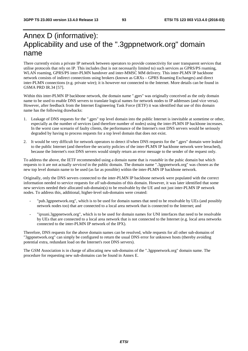## Annex D (informative): Applicability and use of the ".3gppnetwork.org" domain name

There currently exists a private IP network between operators to provide connectivity for user transparent services that utilise protocols that rely on IP. This includes (but is not necessarily limited to) such services as GPRS/PS roaming, WLAN roaming, GPRS/PS inter-PLMN handover and inter-MMSC MM delivery. This inter-PLMN IP backbone network consists of indirect connections using brokers (known as GRXs – GPRS Roaming Exchanges) and direct inter-PLMN connections (e.g. private wire); it is however *not* connected to the Internet. More details can be found in GSMA PRD IR.34 [57].

Within this inter-PLMN IP backbone network, the domain name ".gprs" was originally conceived as the only domain name to be used to enable DNS servers to translate logical names for network nodes to IP addresses (and vice versa). However, after feedback from the Internet Engineering Task Force (IETF) it was identified that use of this domain name has the following drawbacks:

- 1. Leakage of DNS requests for the ".gprs" top level domain into the public Internet is inevitable at sometime or other, especially as the number of services (and therefore number of nodes) using the inter-PLMN IP backbone increases. In the worst case scenario of faulty clients, the performance of the Internet's root DNS servers would be seriously degraded by having to process requests for a top level domain that does not exist.
- 2. It would be very difficult for network operators to detect if/when DNS requests for the ".gprs" domain were leaked to the public Internet (and therefore the security policies of the inter-PLMN IP backbone network were breached), because the Internet's root DNS servers would simply return an error message to the sender of the request only.

To address the above, the IETF recommended using a domain name that is *routable* in the pubic domain but which requests to it are not actually *serviced* in the public domain. The domain name ".3gppnetwork.org" was chosen as the new top level domain name to be used (as far as possible) within the inter-PLMN IP backbone network.

Originally, only the DNS servers connected to the inter-PLMN IP backbone network were populated with the correct information needed to service requests for *all* sub-domains of this domain. However, it was later identified that some new services needed their allocated sub-domain(s) to be resolvable by the UE and not just inter-PLMN IP network nodes. To address this, additional, higher-level sub-domains were created:

- "pub.3gppnetwork.org", which is to be used for domain names that need to be resolvable by UEs (and possibly network nodes too) that are connected to a local area network that is connected to the Internet; and
- "ipxuni.3gppnetwork.org", which is to be used for domain names for UNI interfaces that need to be resolvable by UEs that are connected to a local area network that is not connected to the Internet (e.g. local area networks connected to the inter-PLMN IP network of the IPX).

Therefore, DNS requests for the above domain names can be resolved, while requests for all other sub-domains of "3gppnetwork.org" can simply be configured to return the usual DNS error for unknown hosts (thereby avoiding potential extra, redundant load on the Internet's root DNS servers).

The GSM Association is in charge of allocating new sub-domains of the ".3gppnetwork.org" domain name. The procedure for requesting new sub-domains can be found in Annex E.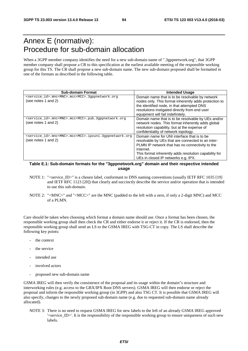## Annex E (normative): Procedure for sub-domain allocation

When a 3GPP member company identifies the need for a new sub-domain name of ".3gppnetwork.org", that 3GPP member company shall propose a CR to this specification at the earliest available meeting of the responsible working group for this TS. The CR shall propose a new sub-domain name. The new sub-domain proposed shall be formatted in one of the formats as described in the following table.

| <b>Sub-domain Format</b>                                                                               | <b>Intended Usage</b>                                                                                                                                                                                                                                            |
|--------------------------------------------------------------------------------------------------------|------------------------------------------------------------------------------------------------------------------------------------------------------------------------------------------------------------------------------------------------------------------|
| <service_id>.mnc<mnc>.mcc<mcc>.3gppnetwork.org<br/>(see notes 1 and 2)</mcc></mnc></service_id>        | Domain name that is to be resolvable by network<br>nodes only. This format inherently adds protection to<br>the identified node, in that attempted DNS<br>resolutions instigated directly from end user<br>equipment will fail indefinitely.                     |
| <service id="">.mnc<mnc>.mcc<mcc>.pub.3qppnetwork.org<br/>(see notes 1 and 2)</mcc></mnc></service>    | Domain name that is to be resolvable by UEs and/or<br>network nodes. This format inherently adds global<br>resolution capability, but at the expense of<br>confidentiality of network topology.                                                                  |
| <service_id>.mnc<mnc>.mcc<mcc>.ipxuni.3qppnetwork.org<br/>(see notes 1 and 2)</mcc></mnc></service_id> | Domain name for UNI interface that is to be<br>resolvable by UEs that are connected to an inter-<br>PLMN IP network that has no connectivity to the<br>Internet.<br>This format inherently adds resolution capability for<br>UEs in closed IP networks e.g. IPX. |

#### **Table E.1: Sub-domain formats for the "3gppnetwork.org" domain and their respective intended usage**

- NOTE 1: "<service ID>" is a chosen label, conformant to DNS naming conventions (usually IETF RFC 1035 [19] and IETF RFC 1123 [20]) that clearly and succinctly describe the service and/or operation that is intended to use this sub-domain.
- NOTE 2: "<MNC>" and "<MCC>" are the MNC (padded to the left with a zero, if only a 2-digit MNC) and MCC of a PLMN.

Care should be taken when choosing which format a domain name should use. Once a format has been chosen, the responsible working group shall then check the CR and either endorse it or reject it. If the CR is endorsed, then the responsible working group shall send an LS to the GSMA IREG with TSG-CT in copy. The LS shall describe the following key points:

- the context
- the service
- intended use
- involved actors
- proposed new sub-domain name

GSMA IREG will then verify the consistence of the proposal and its usage within the domain"s structure and interworking rules (e.g. access to the GRX/IPX Root DNS servers). GSMA IREG will then endorse or reject the proposal and inform the responsible working group (in 3GPP) and also TSG CT. It is possible that GSMA IREG will also specify, changes to the newly proposed sub-domain name (e.g. due to requested sub-domain name already allocated).

NOTE 3: There is no need to request GSMA IREG for new labels to the left of an already GSMA IREG approved '<service\_ID>'. It is the responsibility of the responsible working group to ensure uniqueness of such new labels.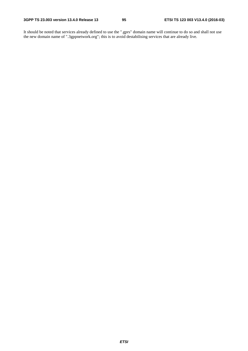It should be noted that services already defined to use the ".gprs" domain name will continue to do so and shall not use the new domain name of ".3gppnetwork.org"; this is to avoid destabilising services that are already live.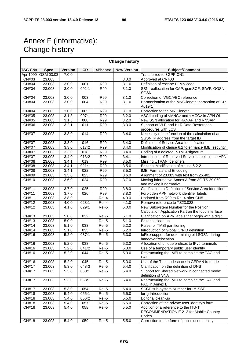## Annex F (informative): Change history

 $\overline{\Gamma}$ 

| <b>Change history</b> |             |                |                    |                 |                    |                                                                                             |  |  |  |  |  |
|-----------------------|-------------|----------------|--------------------|-----------------|--------------------|---------------------------------------------------------------------------------------------|--|--|--|--|--|
| <b>TSG CN#</b>        | <b>Spec</b> | <b>Version</b> | CR                 | <phase></phase> | <b>New Version</b> | Subject/Comment                                                                             |  |  |  |  |  |
| Apr 1999              | GSM 03.03   | 7.0.0          |                    |                 |                    | Transferred to 3GPP CN1                                                                     |  |  |  |  |  |
| CN#03                 | 23.003      |                |                    |                 | 3.0.0              | Approved at CN#03                                                                           |  |  |  |  |  |
| <b>CN#04</b>          | 23.003      | 3.0.0          | 001                | R99             | 3.1.0              | Definition of escape PLMN code                                                              |  |  |  |  |  |
| CN#04                 | 23.003      | 3.0.0          | 002r1              | R99             | 3.1.0              | SSN reallocation for CAP, gsmSCF, SIWF, GGSN,<br>SGSN,                                      |  |  |  |  |  |
| <b>CN#04</b>          | 23.003      | 3.0.0          | 003                | R99             | 3.1.0              | Correction of VGC/VBC reference                                                             |  |  |  |  |  |
| <b>CN#04</b>          | 23.003      | 3.0.0          | 004                | R99             | 3.1.0              | Harmonisation of the MNC-length; correction of CR<br>A019r1                                 |  |  |  |  |  |
| <b>CN#04</b>          | 23.003      | 3.0.0          | 005                | <b>R99</b>      | 3.1.0              | Correction to the MNC length                                                                |  |  |  |  |  |
| CN#05                 | 23.003      | 3.1.3          | $\overline{007}r1$ | R99             | 3.2.0              | ASCII coding of <mnc> and <mcc> in APN OI</mcc></mnc>                                       |  |  |  |  |  |
| <b>CN#05</b>          | 23.003      | 3.1.3          | 008                | R99             | 3.2.0              | New SSN allocation for RANAP and RNSAP                                                      |  |  |  |  |  |
| <b>CN#06</b>          | 23.003      | 3.2.1          | 011                | <b>R99</b>      | 3.3.0              | Support of VLR and HLR Data Restoration<br>procedures with LCS                              |  |  |  |  |  |
| <b>CN#07</b>          | 23.003      | 3.3.0          | 014                | <b>R99</b>      | 3.4.0              | Necessity of the function of the calculation of an<br>SGSN IP address from the target ID    |  |  |  |  |  |
| <b>CN#07</b>          | 23.003      | 3.3.0          | 016                | <b>R99</b>      | 3.4.0              | Definition of Service Area Identification                                                   |  |  |  |  |  |
| <b>CN#07</b>          | 23.003      | 3.3.0          | 017r2              | R99             | 3.4.0              | Modification of clause 6.2 to enhance IMEI security                                         |  |  |  |  |  |
| <b>CN#07</b>          | 23.003      | 3.3.0          | 018                | <b>R99</b>      | 3.4.0              | Coding of a deleted P-TMSI signature                                                        |  |  |  |  |  |
| <b>CN#07</b>          | 23.003      | 3.4.0          | 013r2              | R99             | 3.4.1              | Introduction of Reserved Service Labels in the APN                                          |  |  |  |  |  |
| <b>CN#08</b>          | 23.003      | 3.4.1          | 019                | R99             | 3.5.0              | Missing UTRAN identifiers                                                                   |  |  |  |  |  |
| <b>CN#08</b>          | 23.003      | 3.4.1          | 021r1              | <b>R99</b>      | 3.5.0              | Editorial Modification of clause 6.2.2.                                                     |  |  |  |  |  |
| <b>CN#08</b>          | 23.003      | 3.4.1          | 022                | <b>R99</b>      | 3.5.0              | <b>IMEI Formats and Encoding</b>                                                            |  |  |  |  |  |
| CN#09                 | 23.003      | 3.5.0          | 023                | R99             | 3.6.0              | Alignment of 23.003 with text from 25.401                                                   |  |  |  |  |  |
| CN#10                 | 23.003      | 3.6.0          | 024                | <b>R99</b>      | 3.7.0              | Moving informative Annex A from 3G TS 29.060<br>and making it normative.                    |  |  |  |  |  |
| CN#11                 | 23.003      | 3.7.0          | 025                | R99             | 3.8.0              | Clarification to Definition of Service Area Identifier                                      |  |  |  |  |  |
| CN#11                 | 23.003      | 3.7.0          | 026                | R99             | 3.8.0              | Forbidden APN network identifier labels                                                     |  |  |  |  |  |
| CN#11                 | 23.003      | 3.8.0          |                    | Rel-4           | 4.0.0              | Updated from R99 to Rel-4 after CN#11                                                       |  |  |  |  |  |
| CN#12                 | 23.003      | 4.0.0          | 028r1              | Rel-4           | 4.1.0              | Remove reference to TS23.022                                                                |  |  |  |  |  |
| CN#12                 | 23.003      | 4.1.0          | 029r1              | Rel-5           | 5.0.0              | New Subsystem Number for the Position<br>Calculation Application Part on the lupc interface |  |  |  |  |  |
| CN#13                 | 23.003      | 5.0.0          | 032                | Rel-5           | 5.1.0              | Clarification on APN labels that begin with a digit                                         |  |  |  |  |  |
| CN#13                 | 23.003      | 5.0.0          |                    | Rel-5           | 5.1.0              | Editorial clean up                                                                          |  |  |  |  |  |
| <b>CN#14</b>          | 23.003      | 5.1.0          | 033                | Rel-5           | 5.2.0              | Rules for TMSI partitioning                                                                 |  |  |  |  |  |
| CN#14                 | 23.003      | 5.1.0          | 035                | Rel-5           | 5.2.0              | Introduction of Global CN-ID definition                                                     |  |  |  |  |  |
| CN#16                 | 23.003      | 5.2.0          | 037r1              | Rel-5           | 5.3.0              | luFlex support for determining old SGSN during<br>handover/relocation                       |  |  |  |  |  |
| CN#16                 | 23.003      | 5.2.0          | 038                | Rel-5           | 5.3.0              | Allocation of unique prefixes to IPv6 terminals                                             |  |  |  |  |  |
| CN#16                 | 23.003      | 5.2.0          | 041r2              | Rel-5           | 5.3.0              | Use of a temporary public user identity                                                     |  |  |  |  |  |
| CN#16                 | 23.003      | 5.2.0          | 044                | Rel-5           | 5.3.0              | Restructuring the IMEI to combine the TAC and<br><b>FAC</b>                                 |  |  |  |  |  |
| CN#16                 | 23.003      | 5.2.0          | 045                | Rel-5           | 5.3.0              | Use of the TLLI codespace in GERAN Iu mode                                                  |  |  |  |  |  |
| <b>CN#17</b>          | 23.003      | 5.3.0          | 048r3              | Rel-5           | 5.4.0              | Clarification on the definition of DNS                                                      |  |  |  |  |  |
| <b>CN#17</b>          | 23.003      | 5.3.0          | 050r1              | Rel-5           | 5.4.0              | Support for Shared Network in connected mode:<br>definition of SNA                          |  |  |  |  |  |
| <b>CN#17</b>          | 23.003      | 5.3.0          | 053r1              | Rel-5           | 5.4.0              | Restructuring the IMEI to combine the TAC and<br>FAC in Annex B                             |  |  |  |  |  |
| <b>CN#17</b>          | 23.003      | 5.3.0          | 054                | Rel-5           | 5.4.0              | SCCP sub-system Number for IM-SSF                                                           |  |  |  |  |  |
| CN#18                 | 23.003      | 5.4.0          | 055r1              | Rel-5           | 5.5.0              | lur-g Introduction                                                                          |  |  |  |  |  |
| CN#18                 | 23.003      | 5.4.0          | 056r2              | Rel-5           | 5.5.0              | Editorial clean-up                                                                          |  |  |  |  |  |
| CN#18                 | 23.003      | 5.4.0          | 057                | Rel-5           | 5.5.0              | Correction of the private user identity's form                                              |  |  |  |  |  |
| CN#18                 | 23.003      | 5.4.0          | 058                | Rel-5           | 5.5.0              | Addition of a reference to the ITU-T<br>RECOMMENDATION E.212 for Mobile Country<br>Codes    |  |  |  |  |  |
| <b>CN#18</b>          | 23.003      | 5.4.0          | 059                | Rel-5           | 5.5.0              | Correction to the form of public user identity                                              |  |  |  |  |  |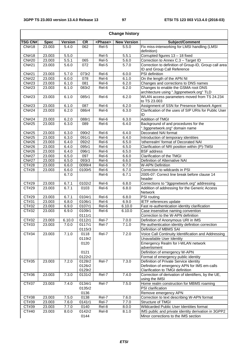$\overline{\phantom{a}}$ 

| <b>Change history</b>      |             |                |                  |                   |                    |                                                                                        |  |  |  |  |
|----------------------------|-------------|----------------|------------------|-------------------|--------------------|----------------------------------------------------------------------------------------|--|--|--|--|
| <b>TSG CN#</b>             | <b>Spec</b> | <b>Version</b> | <b>CR</b>        | <phase></phase>   | <b>New Version</b> | Subject/Comment                                                                        |  |  |  |  |
| CN#18                      | 23.003      | 5.4.0          | 062              | Rel-5             | 5.5.0              | Fix miss-interworking for LMSI handling (LMSI                                          |  |  |  |  |
|                            |             |                |                  |                   |                    | definition)                                                                            |  |  |  |  |
| CN#18                      | 23.003      | 5.5.0          |                  | Rel-5             | 5.5.1              | Corrupted figures 13 - 18 fixed                                                        |  |  |  |  |
| $\overline{\text{CN}\#20}$ | 23.003      | 5.5.1          | 065              | $\overline{Rel5}$ | 5.6.0              | Correction to Annex C.3 - Target ID                                                    |  |  |  |  |
| <b>CN#21</b>               | 23.003      | 5.6.0          | 072              | Rel-5             | 5.7.0              | Correction to definition of Group-ID, Group call area<br>ID and Group Call Reference   |  |  |  |  |
| <b>CN#21</b>               | 23.003      | 5.7.0          | 073r2            | Rel-6             | 6.0.0              | PSI definition                                                                         |  |  |  |  |
| <b>CN#22</b>               | 23.003      | 6.0.0          | 078              | Rel-6             | 6.1.0              | On the length of the APN NI                                                            |  |  |  |  |
| CN#23                      | 23.003      | 6.1.0          | 081              | Rel-6             | 6.2.0              | Changes and corrections to DNS names                                                   |  |  |  |  |
| CN#23                      | 23.003      | 6.1.0          | 083r2            | Rel-6             | 6.2.0              | Changes to enable the GSMA root DNS                                                    |  |  |  |  |
|                            |             |                |                  |                   |                    | architecture using ".3gppnetwork.org" TLD                                              |  |  |  |  |
| CN#23                      | 23.003      | 6.1.0          | 085r1            | Rel-6             | 6.2.0              | WLAN access parameters moved from TS 24.234<br>to TS 23.003                            |  |  |  |  |
| CN#23                      | 23.003      | 6.1.0          | 087              | Rel-6             | 6.2.0              | Assignment of SSN for Presence Network Agent                                           |  |  |  |  |
| <b>CN#24</b>               | 23.003      | 6.2.0          | 086r4            | Rel-6             | 6.3.0              | Clarification of the uses of SIP URIs for Public User                                  |  |  |  |  |
|                            |             |                |                  |                   |                    | ID                                                                                     |  |  |  |  |
| <b>CN#24</b>               | 23.003      | 6.2.0          | 088r1            | Rel-6             | 6.3.0              | <b>Addition of TMGI</b>                                                                |  |  |  |  |
| <b>CN#25</b>               | 23.003      | 6.3.0          | 089              | Rel-6             | 6.4.0              | Background of and procedures for the<br>".3gppnetwork.org" domain name                 |  |  |  |  |
| <b>CN#25</b>               | 23.003      | 6.3.0          | 090r2            | Rel-6             | 6.4.0              | Decorated NAI format                                                                   |  |  |  |  |
| <b>CN#25</b>               | 23.003      | 6.3.0          | 091r1            | Rel-6             | 6.4.0              | Introduction of temporary identities                                                   |  |  |  |  |
| <b>CN#26</b>               | 23.003      | 6.4.0          | 092r2            | Rel-6             | 6.5.0              | 'otherrealm' format of Decorated NAI                                                   |  |  |  |  |
| <b>CN#26</b>               | 23.003      | 6.4.0          | 095r1            | Rel-6             | 6.5.0              | Clarification of NRI position within (P)-TMSI                                          |  |  |  |  |
| CN#26                      | 23.003      | 6.4.0          | 096r1            | Rel-6             | 6.5.0              | <b>BSF</b> address                                                                     |  |  |  |  |
| <b>CN#27</b>               | 23.003      | 6.5.0          | 097              | Rel-6             | 6.6.0              | <b>Clarification of the TMGI</b>                                                       |  |  |  |  |
| <b>CN#27</b>               | 23.003      | 6.5.0          | 093r3            | Rel-6             | 6.6.0              | Definition of Alternative NAI                                                          |  |  |  |  |
| CT#28                      | 23.003      | 6.6.0          | 0099r4           | Rel-6             | 6.7.0              | <b>W-APN Definition</b>                                                                |  |  |  |  |
| CT#28                      | 23.003      | 6.6.0          | 0100r5           | Rel-6             | 6.7.0              | Correction to wildcards in PSI                                                         |  |  |  |  |
|                            |             | 6.7.0          |                  | Rel-6             | 6.7.1              | 2005-07: Correct line break before clause 14<br>header                                 |  |  |  |  |
| CT#29                      | 23.003      | 6.7.1          | 0102r2           | Rel-6             | 6.8.0              | Corrections to "3gppnetwork.org" addressing                                            |  |  |  |  |
| CT#29                      | 23.003      | 6.7.1          | 0103             | Rel-6             | 6.8.0              | Addition of addressing for the Generic Access<br>Network                               |  |  |  |  |
| CT#29                      | 23.003      | 6.7.1          | 0104r1           | Rel-6             | 6.8.0              | <b>PSI</b> routing                                                                     |  |  |  |  |
| CT#31                      | 23.003      | 6.8.0          | 0106r1           | Rel-6             | 6.9.0              | IETF references update                                                                 |  |  |  |  |
| CT#32                      | 23.003      | 6.9.0          | 0107r1           | Rel-6             | 6.10.0             | Fast re-authentication identity clarification                                          |  |  |  |  |
| CT#32                      | 23.003      | 6.9.0          | 0109r1<br>0111r1 | Rel-6             | 6.10.0             | Case insensitive naming convention                                                     |  |  |  |  |
| CT#32                      | 23.003      | 6.10.0         | 0112r1           | Rel-7             | 7.0.0              | Correction to the W-APN definition<br>Definition of Anonymous URI in IMS               |  |  |  |  |
| CT#33                      | 23.003      | 7.0.0          | 0117r1           | Rel-7             | 7.1.0              | Re-authentication identity definition correction                                       |  |  |  |  |
|                            |             |                | 0115r3           |                   |                    | Definition of MBMS SAI                                                                 |  |  |  |  |
| CT#34                      | 23.003      | 7.1.0          | 0118             | Rel-7             | 7.2.0              | Voice Call Continuity Identification and Addressing                                    |  |  |  |  |
|                            |             |                | 0119r2           |                   |                    | Unavailable User Identity                                                              |  |  |  |  |
|                            |             |                | 0120             |                   |                    | Emergency Realm for I-WLAN network                                                     |  |  |  |  |
|                            |             |                |                  |                   |                    | advertisment                                                                           |  |  |  |  |
|                            |             |                | 0121             |                   |                    | Definition of emergency W-APN                                                          |  |  |  |  |
|                            |             |                | 0122r2           |                   |                    | Format of emergency public identity                                                    |  |  |  |  |
| CT#35                      | 23.003      | 7.2.0          | 0128r2<br>0126r2 | Rel-7             | 7.3.0              | Definition of Private Service identity<br>Definition of emergency APN for IMS em-calls |  |  |  |  |
|                            |             |                | 0129r2           |                   |                    | Clarification to TMGI definition                                                       |  |  |  |  |
| CT#36                      | 23.003      | 7.3.0          | 0131r2           | Rel-7             | 7.4.0              | Correction of derivation of identifiers, by the UE,<br>using the IMSI                  |  |  |  |  |
| CT#37                      | 23.003      | 7.4.0          | 0134r1           | Rel-7             | 7.5.0              | Home realm construction for MBMS roaming                                               |  |  |  |  |
|                            |             |                | 0135r2           |                   |                    | PSI clarification                                                                      |  |  |  |  |
|                            |             |                | 0136             |                   |                    | Remove emergency APN                                                                   |  |  |  |  |
| CT#38                      | 23.003      | 7.5.0          | 0138             | Rel-7             | 7.6.0              | Correction to text describing W-APN format                                             |  |  |  |  |
| CT#39                      | 23.003      | 7.6.0          | 0141r1           | Rel-7             | 7.7.0              | Structure of TMGI                                                                      |  |  |  |  |
| CT#39                      | 23.003      | 7.7.0          | 0140             | Rel-8             | 8.0.0              | Wildcarded Public User Identities format                                               |  |  |  |  |
| CT#40                      | 23.003      | 8.0.0          | 0142r2           | Rel-8             | 8.1.0              | IMS public and private identity derivation in 3GPP2                                    |  |  |  |  |
|                            |             |                | 0144             |                   |                    | Minor corrections to the IMS section                                                   |  |  |  |  |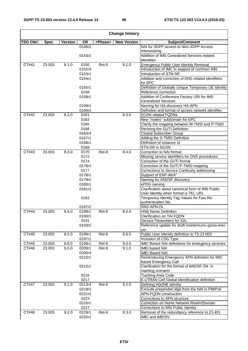$\overline{\phantom{0}}$ 

| <b>Change history</b> |             |                |                  |                 |                    |                                                                                          |  |  |  |  |  |
|-----------------------|-------------|----------------|------------------|-----------------|--------------------|------------------------------------------------------------------------------------------|--|--|--|--|--|
| <b>TSG CN#</b>        | <b>Spec</b> | <b>Version</b> | <b>CR</b>        | <phase></phase> | <b>New Version</b> | Subject/Comment                                                                          |  |  |  |  |  |
|                       |             |                | 0146r2           |                 |                    | NAI for 3GPP access to Non-3GPP Access                                                   |  |  |  |  |  |
|                       |             |                |                  |                 |                    | Interworking<br>Addition of IMS Centralized Services related                             |  |  |  |  |  |
|                       |             |                | 0143r2           |                 |                    | identities                                                                               |  |  |  |  |  |
| CT#41                 | 23.003      | 8.1.0          | 0150             | Rel-8           | 8.2.0              | <b>Emergency Public User Identity Removal</b>                                            |  |  |  |  |  |
|                       |             |                | 0152r3           |                 |                    | Introduction of IMC in support of common IMS                                             |  |  |  |  |  |
|                       |             |                | 0153r1           |                 |                    | Introduction of STN-SR                                                                   |  |  |  |  |  |
|                       |             |                | 0154r1           |                 |                    | Addition and correction of DNS related identifiers                                       |  |  |  |  |  |
|                       |             |                |                  |                 |                    | for EPC                                                                                  |  |  |  |  |  |
|                       |             |                | 0155r1           |                 |                    | Definition of Globally Unique Temporary UE Identity                                      |  |  |  |  |  |
|                       |             |                | 0156             |                 |                    | Reference correction                                                                     |  |  |  |  |  |
|                       |             |                | 0158r1           |                 |                    | Addition of Conference Factory URI for IMS                                               |  |  |  |  |  |
|                       |             |                |                  |                 |                    | Centralized Services                                                                     |  |  |  |  |  |
|                       |             |                | 0159r1           |                 |                    | Naming for HA discovery HA-APN                                                           |  |  |  |  |  |
| CT#42                 |             |                | 0160r2           |                 | 8.3.0              | Definition and format of access network identifier<br><b>SGSN related FQDNs</b>          |  |  |  |  |  |
|                       | 23.003      | 8.2.0          | 0161<br>0162     |                 |                    | New "nodes" subdomain for EPC                                                            |  |  |  |  |  |
|                       |             |                | 0165             |                 |                    | Clarify the mapping between M-TMSI and P-TMSI                                            |  |  |  |  |  |
|                       |             |                | 0166             |                 |                    | Revising the GUTI Definition                                                             |  |  |  |  |  |
|                       |             |                | 0163r4           |                 |                    | <b>Closed Subscriber Group</b>                                                           |  |  |  |  |  |
|                       |             |                | 0167r1           |                 |                    | Adding the S-TMSI Definition                                                             |  |  |  |  |  |
|                       |             |                | 0168r1           |                 |                    | Definition of instance Id                                                                |  |  |  |  |  |
|                       |             |                | 0169             |                 |                    | STN-SR in SGSN                                                                           |  |  |  |  |  |
| CT#43                 | 23.003      | 8.3.0          | 0170             | Rel-8           | 8.4.0              | Correction to NAI format                                                                 |  |  |  |  |  |
|                       |             |                | 0172             |                 |                    | Missing service identifiers for DNS procedures                                           |  |  |  |  |  |
|                       |             |                | 0174             |                 |                    | Correction of the GUTI format                                                            |  |  |  |  |  |
|                       |             |                | 0176r1           |                 |                    | Correction of the GUTI P-TMSI mapping                                                    |  |  |  |  |  |
|                       |             |                | 0177             |                 |                    | Corrections to Service Continuity addressing                                             |  |  |  |  |  |
|                       |             |                | 0178r1           |                 |                    | Support of EAP-AKA"                                                                      |  |  |  |  |  |
|                       |             |                | 0179r2           |                 |                    | Naming for ANDSF discovery                                                               |  |  |  |  |  |
|                       |             |                | 0180r1           |                 |                    | ePDG naming                                                                              |  |  |  |  |  |
|                       |             |                | 0181r2           |                 |                    | Clarification about canonical form of IMS Public<br>User Identity when format is TEL URL |  |  |  |  |  |
|                       |             |                | 0182             |                 |                    | Temporary Identity Tag Values for Fast Re-                                               |  |  |  |  |  |
|                       |             |                |                  |                 |                    | authentication Ids                                                                       |  |  |  |  |  |
|                       |             |                | 0187r2           |                 |                    | DNS-APN-OI                                                                               |  |  |  |  |  |
| CT#44                 | 23.003      | 8.4.0          | 0189r1           | Rel-8           | 8.5.0              | <b>HNB Name Definition</b>                                                               |  |  |  |  |  |
|                       |             |                | 0190r1           |                 |                    | Clarification on TAI FQDN                                                                |  |  |  |  |  |
|                       |             |                | 0191             |                 |                    | Service Parameters for S2c                                                               |  |  |  |  |  |
|                       |             |                | 0193r2           |                 |                    | Reference update for draft-montemurro-gsma-imei-                                         |  |  |  |  |  |
| CT#45                 |             |                |                  |                 |                    | urn                                                                                      |  |  |  |  |  |
|                       | 23.003      | 8.5.0          | 0194r1<br>0197r1 | Rel-8           | 8.6.0              | Public User Identity definition in TS 23.003<br>Inclusion of CSG Type                    |  |  |  |  |  |
| CT#45                 | 23.003      | 8.6.0          | 0199r1           | Rel-9           | 9.0.0              | IMEI Based NAI definitions for emergency services                                        |  |  |  |  |  |
| CT#46                 | 23.003      | 9.0.0          | 0200r1           | Rel-9           | 9.1.0              | <b>IMEI based NAI</b>                                                                    |  |  |  |  |  |
|                       |             |                | 0205r4           |                 |                    | <b>IMEI Based NAI</b>                                                                    |  |  |  |  |  |
|                       |             |                | 0210r1           |                 |                    | Reintroducing Emergency APN definition for IMS                                           |  |  |  |  |  |
|                       |             |                |                  |                 |                    | based Emergency Call                                                                     |  |  |  |  |  |
|                       |             |                | 0212r1           |                 |                    | Clarification for the format of ANDSF-SN in<br>roaming scenario                          |  |  |  |  |  |
|                       |             |                | 0215             |                 |                    | <b>Tracking Area Code</b>                                                                |  |  |  |  |  |
|                       |             |                | 0217             |                 |                    | E-UTRAN Cell Global Identification definition                                            |  |  |  |  |  |
| CT#47                 | 23.003      | 9.1.0          | 0213r4           | Rel-9           | 9.2.0              | Defining H(e)NB identity                                                                 |  |  |  |  |  |
|                       |             |                | 0219r2           |                 |                    | Exclude prepended digit from the NAI in PMIPv6                                           |  |  |  |  |  |
|                       |             |                | 0221r2           |                 |                    | <b>APN-FQDN</b> construction                                                             |  |  |  |  |  |
|                       |             |                | 0223             |                 |                    | Corrections to APN structure                                                             |  |  |  |  |  |
|                       |             |                | 0225r1           |                 |                    | Correction on Home Network Realm/Domain                                                  |  |  |  |  |  |
|                       |             |                | 0227             |                 |                    | Corrections to IMS Public Identity                                                       |  |  |  |  |  |
| CT#48                 | 23.003      | 9.2.0          | 0229r1           | Rel-9           | 9.3.0              | Removal of the redundancy reference to 23.401                                            |  |  |  |  |  |
|                       |             |                | 0232r1           |                 |                    | IMEI and IMEISV                                                                          |  |  |  |  |  |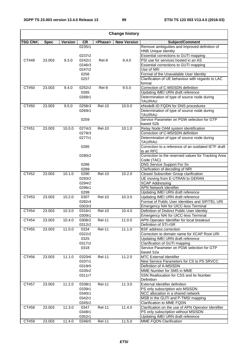| <b>Change history</b> |             |         |                  |                 |                    |                                                                                     |  |  |  |  |
|-----------------------|-------------|---------|------------------|-----------------|--------------------|-------------------------------------------------------------------------------------|--|--|--|--|
| <b>TSG CN#</b>        | <b>Spec</b> | Version | <b>CR</b>        | <phase></phase> | <b>New Version</b> | Subject/Comment                                                                     |  |  |  |  |
|                       |             |         | 0235r1           |                 |                    | Remove ambiguities and improved definition of                                       |  |  |  |  |
|                       |             |         |                  |                 |                    | <b>HNB Unique Identity</b>                                                          |  |  |  |  |
|                       |             |         | 0237r2           |                 |                    | Essential corrections to GUTI mapping                                               |  |  |  |  |
| CT#49                 | 23.003      | 9.3.0   | 0242r1           | Rel-9           | 9.4.0              | PSI use for services hosted in an AS                                                |  |  |  |  |
|                       |             |         | 0246r3           |                 |                    | Essential corrections to GUTI mapping                                               |  |  |  |  |
|                       |             |         | 0247r2           |                 |                    | Use of NRI                                                                          |  |  |  |  |
|                       |             |         | 0256             |                 |                    | Format of the Unavailable User Identity                                             |  |  |  |  |
|                       |             |         | 0257             |                 |                    | Clarification of UE behaviour with regards to LAC                                   |  |  |  |  |
| CT#50                 | 23.003      | 9.4.0   | 0252r2           | Rel-9           | 9.5.0              | format<br>Correction of C-MSISDN definition                                         |  |  |  |  |
|                       |             |         | 0265             |                 |                    | Updating IMEI URN draft reference                                                   |  |  |  |  |
|                       |             |         | 0268r1           |                 |                    | Determination of type of source node during                                         |  |  |  |  |
|                       |             |         |                  |                 |                    | TAU/RAU                                                                             |  |  |  |  |
| CT#50                 | 23.003      | 9.5.0   | 0258r3           | <b>Rel-10</b>   | 10.0.0             | eNodeB-ID FQDN for DNS procedures                                                   |  |  |  |  |
|                       |             |         | 0269r1           |                 |                    | Determination of type of source node during                                         |  |  |  |  |
|                       |             |         |                  |                 |                    | TAU/RAU                                                                             |  |  |  |  |
|                       |             |         | 0259             |                 |                    | Service Parameter on PGW selection for GTP                                          |  |  |  |  |
|                       |             |         |                  |                 |                    | based S2b                                                                           |  |  |  |  |
| CT#51                 | 23.003      | 10.0.0  | 0274r3           | <b>Rel-10</b>   | 10.1.0             | Relay Node OAM system identification                                                |  |  |  |  |
|                       |             |         | 0279r3           |                 |                    | Correction of C-MSISDN definition                                                   |  |  |  |  |
|                       |             |         | 0277r1           |                 |                    | Determination of type of source node during                                         |  |  |  |  |
|                       |             |         | 0285             |                 |                    | TAU/RAU<br>Correction to a reference of an outdated IETF draft                      |  |  |  |  |
|                       |             |         |                  |                 |                    | to an RFC                                                                           |  |  |  |  |
|                       |             |         | 0280r2           |                 |                    | Correction to the reserved values for Tracking Area                                 |  |  |  |  |
|                       |             |         |                  |                 |                    | Code (TAC)                                                                          |  |  |  |  |
|                       |             |         | 0286             |                 |                    | DNS Service Support For Sv                                                          |  |  |  |  |
|                       |             |         | 0289             |                 |                    | Clarfication of decoding of NRI                                                     |  |  |  |  |
| CT#52                 | 23.003      | 10.1.0  | 0290             | <b>Rel-10</b>   | 10.2.0             | Closed Subscriber Group clarification                                               |  |  |  |  |
|                       |             |         | 0293r2           |                 |                    | UE moving from E-UTRAN to GERAN                                                     |  |  |  |  |
|                       |             |         | 0294r2           |                 |                    | <b>XCAP Addressing</b>                                                              |  |  |  |  |
|                       |             |         | 0296r1           |                 |                    | <b>APN Network Identifier</b>                                                       |  |  |  |  |
|                       |             |         | 0299             |                 |                    | Updating IMEI URN draft reference                                                   |  |  |  |  |
| CT#53                 | 23.003      | 10.2.0  | 0307             | <b>Rel-10</b>   | 10.3.0             | Updating IMEI URN draft reference                                                   |  |  |  |  |
|                       |             |         | 0282r4           |                 |                    | Format of Public User Identities and SIP/TEL URI                                    |  |  |  |  |
| CT#54                 | 23.003      | 10.3.0  | 0303r3<br>0316r1 | <b>Rel-10</b>   | 10.4.0             | Emergency NAI for UICC-less Terminal<br>Definition of Distinct Public User Identity |  |  |  |  |
|                       |             |         | 0309r1           |                 |                    | Emergency NAI for UICC-less Terminal                                                |  |  |  |  |
| CT#54                 | 23.003      | 10.4.0  | 0308r2           | <b>Rel-11</b>   | 11.0.0             | <b>APN Operator Identifier for local breakout</b>                                   |  |  |  |  |
|                       |             |         | 0312r2           |                 |                    | Definition of STI-rSR                                                               |  |  |  |  |
| CT#55                 | 23.003      | 11.0.0  | 0334             | <b>Rel-11</b>   | 11.1.0             | <b>BSF</b> address correction                                                       |  |  |  |  |
|                       |             |         | 0322r2           |                 |                    | Correction to domain name for XCAP Root URI                                         |  |  |  |  |
|                       |             |         | 0325             |                 |                    | Updating IMEI URN draft reference                                                   |  |  |  |  |
|                       |             |         | 0317r2           |                 |                    | Clarification of GUTI mapping                                                       |  |  |  |  |
|                       |             |         | 0318             |                 |                    | Service Parameter on PGW selection for GTP                                          |  |  |  |  |
|                       |             |         |                  |                 |                    | based S2a                                                                           |  |  |  |  |
| CT#56                 | 23.003      | 11.1.0  | 0320r6           | <b>Rel-11</b>   | 11.2.0             | <b>MTC External Identifier</b>                                                      |  |  |  |  |
|                       |             |         | 0337r1           |                 |                    | New Service Parameters for CS to PS SRVCC                                           |  |  |  |  |
|                       |             |         | 0319r5           |                 |                    | Definition of A-MSISDN                                                              |  |  |  |  |
|                       |             |         | 0335r2           |                 |                    | MME Number for SMS in MME                                                           |  |  |  |  |
|                       |             |         | 0311r7           |                 |                    | SSN Reallocation for CSS and its Number                                             |  |  |  |  |
| CT#57                 | 23.003      | 11.2.0  | 0338r1           | <b>Rel-11</b>   | 11.3.0             | Definition<br>External Identifier definition                                        |  |  |  |  |
|                       |             |         | 0339r1           |                 |                    | PS only subscription w/o MSISDN                                                     |  |  |  |  |
|                       |             |         | 0340r1           |                 |                    | NCC allocation in a shared network                                                  |  |  |  |  |
|                       |             |         | 0342r1           |                 |                    | MSB in the GUTI and P-TMSI mapping                                                  |  |  |  |  |
|                       |             |         | 0345r2           |                 |                    | Clarification to MME FQDN                                                           |  |  |  |  |
| CT#58                 | 23.003      | 11.3.0  | 0347             | <b>Rel-11</b>   | 11.4.0             | Clarification on the use of APN Operator Identifier                                 |  |  |  |  |
|                       |             |         | 0348r1           |                 |                    | PS only subscription without MSISDN                                                 |  |  |  |  |
|                       |             |         | 0352r1           |                 |                    | Updating IMEI URN draft reference                                                   |  |  |  |  |
| CT#59                 | 23.003      | 11.4.0  | 0346r5           | <b>Rel-11</b>   | 11.5.0             | MME FQDN Clarification                                                              |  |  |  |  |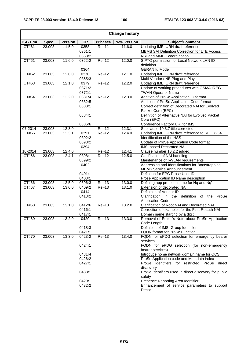| <b>Change history</b> |             |                |                  |                     |                    |                                                                                        |  |  |  |  |  |
|-----------------------|-------------|----------------|------------------|---------------------|--------------------|----------------------------------------------------------------------------------------|--|--|--|--|--|
| <b>TSG CN#</b>        | <b>Spec</b> | <b>Version</b> | CR               | <phase></phase>     | <b>New Version</b> | Subject/Comment                                                                        |  |  |  |  |  |
| CT#61                 | 23.003      | 11.5.0         | 0358             | <b>Rel-11</b>       | 11.6.0             | Updating IMEI URN draft reference                                                      |  |  |  |  |  |
|                       |             |                | 0361r1           |                     |                    | MBMS SAI Definition Correction for LTE Access                                          |  |  |  |  |  |
|                       |             |                | 0363r2           |                     |                    | NRI and MMEC coordination                                                              |  |  |  |  |  |
| CT#61                 | 23.003      | 11.6.0         | 0362r2           | <b>Rel-12</b>       | 12.0.0             | SIPTO permission for Local Network LHN ID                                              |  |  |  |  |  |
|                       |             |                |                  |                     |                    | definition                                                                             |  |  |  |  |  |
|                       |             |                | 0364             |                     |                    | <b>GERAN Iu Mode</b>                                                                   |  |  |  |  |  |
| CT#62                 | 23.003      | 12.0.0         | 0370             | $\overline{Rel-12}$ | 12.1.0             | Updating IMEI URN draft reference                                                      |  |  |  |  |  |
|                       |             | 12.1.0         | 0365r3           |                     |                    | Multi-Vendor eNB Plug and Play                                                         |  |  |  |  |  |
| CT#63                 | 23.003      |                | 0379             | <b>Rel-12</b>       | 12.2.0             | Updating IMEI URN draft reference<br>Update of working procedures with GSMA IREG       |  |  |  |  |  |
|                       |             |                | 0371r2<br>0372r1 |                     |                    | <b>TWAN Operator Name</b>                                                              |  |  |  |  |  |
| CT#64                 | 23.003      | 12.2.0         | 0381r4           | <b>Rel-12</b>       | 12.3.0             | Addition of ProSe Application ID format                                                |  |  |  |  |  |
|                       |             |                | 0382r5           |                     |                    | Addition of ProSe Application Code format                                              |  |  |  |  |  |
|                       |             |                | 0383r1           |                     |                    | Correct definition of Decorated NAI for Evolved                                        |  |  |  |  |  |
|                       |             |                |                  |                     |                    | Packet Core (EPC)                                                                      |  |  |  |  |  |
|                       |             |                | 0384r1           |                     |                    | Definition of Alternative NAI for Evolved Packet                                       |  |  |  |  |  |
|                       |             |                |                  |                     |                    | Core (EPC)                                                                             |  |  |  |  |  |
|                       |             |                | 0386r6           |                     |                    | Conference Factory URI for IMS                                                         |  |  |  |  |  |
| 07-2014               | 23.003      | 12.3.0         |                  | <b>Rel-12</b>       | 12.3.1             | Subclause 19.3.7 title corrected                                                       |  |  |  |  |  |
| CT#65                 | 23.003      | 12.3.1         | 0391             | <b>Rel-12</b>       | 12.4.0             | Updating IMEI URN draft reference to RFC 7254                                          |  |  |  |  |  |
|                       |             |                | 0392r2           |                     |                    | Identification of the HSS                                                              |  |  |  |  |  |
|                       |             |                | 0393r2           |                     |                    | Update of ProSe Application Code format                                                |  |  |  |  |  |
|                       |             |                | 0394             |                     |                    | <b>IMSI based Decorated NAI</b>                                                        |  |  |  |  |  |
| 10-2014               | 23.003      | 12.4.0         |                  | <b>Rel-12</b>       | 12.4.1             | Clause number 10.2.2 added.                                                            |  |  |  |  |  |
| CT#66                 | 23.003      | 12.4.1         | 0398r1           | Rel-12              | 12.5.0             | Clarification of NAI handling                                                          |  |  |  |  |  |
|                       |             |                | 0399r2<br>0402   |                     |                    | Maintenance of I-WLAN requirements<br>Addressing and Identifications for Bootstrapping |  |  |  |  |  |
|                       |             |                |                  |                     |                    | <b>MBMS Service Announcement</b>                                                       |  |  |  |  |  |
|                       |             |                | 0401r1           |                     |                    | Definiton for EPC Prose User ID                                                        |  |  |  |  |  |
|                       |             |                | 0403r1           |                     |                    | Prose Application ID Name description                                                  |  |  |  |  |  |
| CT#66                 | 23.003      | 12.5.0         | 0396r3           | <b>Rel-13</b>       | 13.0.0             | Defining app protocol name for Nq and Nq'                                              |  |  |  |  |  |
| CT#67                 | 23.003      | 13.0.0         | 0409r2           | <b>Rel-13</b>       | 13.1.0             | Extension of decorated NAI                                                             |  |  |  |  |  |
|                       |             |                | 0414             |                     |                    | Definition of Vendor ID                                                                |  |  |  |  |  |
|                       |             |                | 0413r2           |                     |                    | Clarification in the<br>definition of the<br>ProSe                                     |  |  |  |  |  |
|                       |             |                |                  |                     |                    | <b>Application Code</b>                                                                |  |  |  |  |  |
| CT#68                 | 23.003      | 13.1.0         | 0412r6           | <b>Rel-13</b>       | 13.2.0             | Clarification of Root NAI and Decorated NAI                                            |  |  |  |  |  |
|                       |             |                | 0416r1           |                     |                    | Correction of examples for the Fast-Reauth NAI                                         |  |  |  |  |  |
| CT#69                 | 23.003      | 13.2.0         | 0417r1<br>0420   | <b>Rel-13</b>       | 13.3.0             | Domain name starting by a digit<br>Removal of Editor"s Note about ProSe Application    |  |  |  |  |  |
|                       |             |                |                  |                     |                    | Code Length                                                                            |  |  |  |  |  |
|                       |             |                | 0418r3           |                     |                    | Definition of IMSI-Group Identifier                                                    |  |  |  |  |  |
|                       |             |                | 0421r1           |                     |                    | FQDN format for ProSe Function                                                         |  |  |  |  |  |
| CT#70                 | 23.003      | 13.3.0         | 0423r2           | <b>Rel-13</b>       | 13.4.0             | FQDN for ePDG selection for emergency bearer                                           |  |  |  |  |  |
|                       |             |                |                  |                     |                    | services                                                                               |  |  |  |  |  |
|                       |             |                | 0424r1           |                     |                    | FQDN for ePDG selection (for non-emergency                                             |  |  |  |  |  |
|                       |             |                |                  |                     |                    | bearer services)                                                                       |  |  |  |  |  |
|                       |             |                | 0431r4           |                     |                    | Introduce home network domain name for OCS                                             |  |  |  |  |  |
|                       |             |                | 0426r2           |                     |                    | ProSe Application code and Metadata index                                              |  |  |  |  |  |
|                       |             |                | 0427r1           |                     |                    | ProSe identifiers for restricted ProSe<br>direct                                       |  |  |  |  |  |
|                       |             |                | 0433r1           |                     |                    | discovery<br>ProSe identifiers used in direct discovery for public                     |  |  |  |  |  |
|                       |             |                |                  |                     |                    | safety                                                                                 |  |  |  |  |  |
|                       |             |                | 0429r1           |                     |                    | Presence Reporting Area Identifier                                                     |  |  |  |  |  |
|                       |             |                | 0432r2           |                     |                    | Enhancement of service parameters to support                                           |  |  |  |  |  |
|                       |             |                |                  |                     |                    | Decor                                                                                  |  |  |  |  |  |